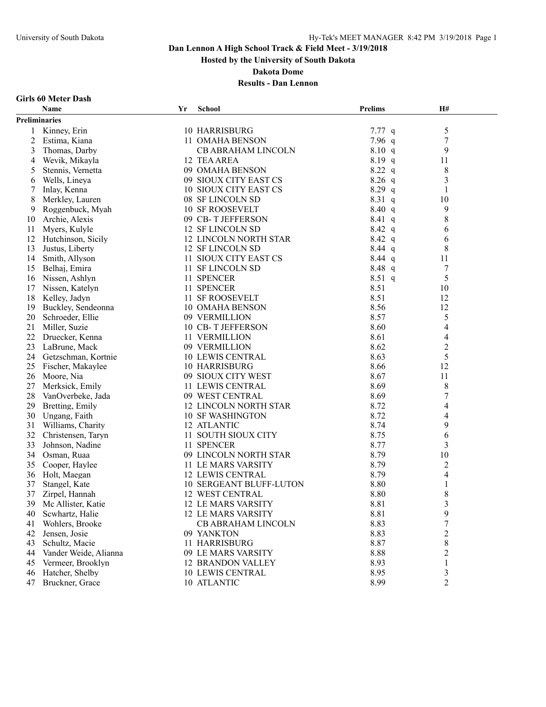**Hosted by the University of South Dakota**

**Dakota Dome**

## **Results - Dan Lennon**

## **Girls 60 Meter Dash**

|               | Name                  | Yr | <b>School</b>                  | <b>Prelims</b> | H#                       |  |
|---------------|-----------------------|----|--------------------------------|----------------|--------------------------|--|
| Preliminaries |                       |    |                                |                |                          |  |
| 1             | Kinney, Erin          |    | 10 HARRISBURG                  | $7.77$ q       | 5                        |  |
| 2             | Estima, Kiana         |    | 11 OMAHA BENSON                | $7.96$ q       | 7                        |  |
| 3             | Thomas, Darby         |    | CB ABRAHAM LINCOLN             | 8.10 q         | 9                        |  |
| 4             | Wevik, Mikayla        |    | 12 TEA AREA                    | 8.19 q         | 11                       |  |
| 5             | Stennis, Vernetta     |    | 09 OMAHA BENSON                | 8.22 q         | $\,8\,$                  |  |
| 6             | Wells, Lineya         |    | 09 SIOUX CITY EAST CS          | $8.26$ q       | 3                        |  |
| 7             | Inlay, Kenna          |    | 10 SIOUX CITY EAST CS          | $8.29$ q       | 1                        |  |
| 8             | Merkley, Lauren       |    | 08 SF LINCOLN SD               | $8.31\ q$      | 10                       |  |
| 9             | Roggenbuck, Myah      |    | <b>10 SF ROOSEVELT</b>         | 8.40 q         | 9                        |  |
| 10            | Archie, Alexis        |    | 09 CB-T JEFFERSON              | 8.41 q         | 8                        |  |
| 11            | Myers, Kulyle         |    | 12 SF LINCOLN SD               | $8.42\ q$      | 6                        |  |
| 12            | Hutchinson, Sicily    |    | <b>12 LINCOLN NORTH STAR</b>   | $8.42\ q$      | 6                        |  |
| 13            | Justus, Liberty       |    | 12 SF LINCOLN SD               | $8.44$ q       | 8                        |  |
| 14            | Smith, Allyson        |    | 11 SIOUX CITY EAST CS          | $8.44$ q       | 11                       |  |
| 15            | Belhaj, Emira         |    | 11 SF LINCOLN SD               | 8.48 q         | 7                        |  |
| 16            | Nissen, Ashlyn        |    | 11 SPENCER                     | 8.51 q         | 5                        |  |
| 17            | Nissen, Katelyn       |    | 11 SPENCER                     | 8.51           | 10                       |  |
| 18            | Kelley, Jadyn         |    | 11 SF ROOSEVELT                | 8.51           | 12                       |  |
| 19            | Buckley, Sendeonna    |    | <b>10 OMAHA BENSON</b>         | 8.56           | 12                       |  |
| 20            | Schroeder, Ellie      |    | 09 VERMILLION                  | 8.57           | 5                        |  |
| 21            | Miller, Suzie         |    | 10 CB-T JEFFERSON              | 8.60           | 4                        |  |
| 22            | Druecker, Kenna       |    | 11 VERMILLION                  | 8.61           | $\overline{4}$           |  |
| 23            | LaBrune, Mack         |    | 09 VERMILLION                  | 8.62           | $\boldsymbol{2}$         |  |
| 24            | Getzschman, Kortnie   |    | <b>10 LEWIS CENTRAL</b>        | 8.63           | 5                        |  |
| 25            | Fischer, Makaylee     |    | 10 HARRISBURG                  | 8.66           | 12                       |  |
| 26            | Moore, Nia            |    | 09 SIOUX CITY WEST             | 8.67           | 11                       |  |
| 27            | Merksick, Emily       |    | 11 LEWIS CENTRAL               | 8.69           | 8                        |  |
| 28            | VanOverbeke, Jada     |    | 09 WEST CENTRAL                | 8.69           | $\overline{7}$           |  |
| 29            | Bretting, Emily       |    | 12 LINCOLN NORTH STAR          | 8.72           | $\overline{\mathcal{A}}$ |  |
| 30            | Ungang, Faith         |    | <b>10 SF WASHINGTON</b>        | 8.72           | 4                        |  |
| 31            | Williams, Charity     |    | 12 ATLANTIC                    | 8.74           | 9                        |  |
| 32            | Christensen, Taryn    |    | 11 SOUTH SIOUX CITY            | 8.75           | 6                        |  |
| 33            | Johnson, Nadine       |    | 11 SPENCER                     | 8.77           | 3                        |  |
| 34            | Osman, Ruaa           |    | 09 LINCOLN NORTH STAR          | 8.79           | 10                       |  |
| 35            | Cooper, Haylee        |    | 11 LE MARS VARSITY             | 8.79           | $\overline{c}$           |  |
| 36            | Holt, Maegan          |    | <b>12 LEWIS CENTRAL</b>        | 8.79           | $\overline{4}$           |  |
| 37            | Stangel, Kate         |    | <b>10 SERGEANT BLUFF-LUTON</b> | 8.80           | 1                        |  |
| 37            | Zirpel, Hannah        |    | <b>12 WEST CENTRAL</b>         | 8.80           | $\,8\,$                  |  |
| 39            | Mc Allister, Katie    |    | 12 LE MARS VARSITY             | 8.81           | 3                        |  |
| 40            | Scwhartz, Halie       |    | <b>12 LE MARS VARSITY</b>      | 8.81           | 9                        |  |
| 41            | Wohlers, Brooke       |    | CB ABRAHAM LINCOLN             | 8.83           | $\overline{7}$           |  |
| 42            | Jensen, Josie         |    | 09 YANKTON                     | 8.83           | $\overline{c}$           |  |
| 43            | Schultz, Macie        |    | 11 HARRISBURG                  | 8.87           | 8                        |  |
| 44            | Vander Weide, Alianna |    | 09 LE MARS VARSITY             | 8.88           | $\overline{c}$           |  |
| 45            | Vermeer, Brooklyn     |    | 12 BRANDON VALLEY              | 8.93           | 1                        |  |
| 46            | Hatcher, Shelby       |    | <b>10 LEWIS CENTRAL</b>        | 8.95           | 3                        |  |
| 47            | Bruckner, Grace       |    | 10 ATLANTIC                    | 8.99           | $\overline{2}$           |  |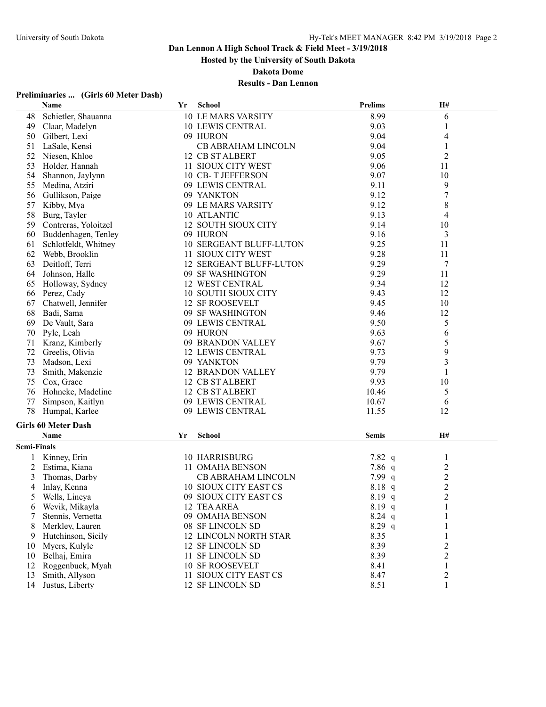**Hosted by the University of South Dakota**

**Dakota Dome**

## **Results - Dan Lennon**

## **Preliminaries ... (Girls 60 Meter Dash)**

|                    | Name                       | Yr | <b>School</b>                  | <b>Prelims</b> | H#                      |  |
|--------------------|----------------------------|----|--------------------------------|----------------|-------------------------|--|
| 48                 | Schietler, Shauanna        |    | <b>10 LE MARS VARSITY</b>      | 8.99           | 6                       |  |
| 49                 | Claar, Madelyn             |    | <b>10 LEWIS CENTRAL</b>        | 9.03           | 1                       |  |
| 50                 | Gilbert, Lexi              |    | 09 HURON                       | 9.04           | 4                       |  |
| 51                 | LaSale, Kensi              |    | <b>CB ABRAHAM LINCOLN</b>      | 9.04           |                         |  |
| 52                 | Niesen, Khloe              |    | 12 CB ST ALBERT                | 9.05           | 2                       |  |
| 53                 | Holder, Hannah             |    | 11 SIOUX CITY WEST             | 9.06           | 11                      |  |
| 54                 | Shannon, Jaylynn           |    | 10 CB-T JEFFERSON              | 9.07           | 10                      |  |
| 55                 | Medina, Atziri             |    | 09 LEWIS CENTRAL               | 9.11           | 9                       |  |
| 56                 | Gullikson, Paige           |    | 09 YANKTON                     | 9.12           | $\boldsymbol{7}$        |  |
| 57                 | Kibby, Mya                 |    | 09 LE MARS VARSITY             | 9.12           | 8                       |  |
| 58                 | Burg, Tayler               |    | 10 ATLANTIC                    | 9.13           | 4                       |  |
| 59                 | Contreras, Yoloitzel       |    | 12 SOUTH SIOUX CITY            | 9.14           | 10                      |  |
| 60                 | Buddenhagen, Tenley        |    | 09 HURON                       | 9.16           | 3                       |  |
| 61                 | Schlotfeldt, Whitney       |    | 10 SERGEANT BLUFF-LUTON        | 9.25           | 11                      |  |
| 62                 | Webb, Brooklin             |    | 11 SIOUX CITY WEST             | 9.28           | 11                      |  |
| 63                 | Deitloff, Terri            |    | <b>12 SERGEANT BLUFF-LUTON</b> | 9.29           | 7                       |  |
| 64                 | Johnson, Halle             |    | 09 SF WASHINGTON               | 9.29           | 11                      |  |
| 65                 | Holloway, Sydney           |    | 12 WEST CENTRAL                | 9.34           | 12                      |  |
| 66                 | Perez, Cady                |    | 10 SOUTH SIOUX CITY            | 9.43           | 12                      |  |
| 67                 | Chatwell, Jennifer         |    | <b>12 SF ROOSEVELT</b>         | 9.45           | 10                      |  |
| 68                 | Badi, Sama                 |    | 09 SF WASHINGTON               | 9.46           | 12                      |  |
| 69                 | De Vault, Sara             |    | 09 LEWIS CENTRAL               | 9.50           | 5                       |  |
| 70                 | Pyle, Leah                 |    | 09 HURON                       | 9.63           | 6                       |  |
| 71                 | Kranz, Kimberly            |    | 09 BRANDON VALLEY              | 9.67           | 5                       |  |
| 72                 | Greelis, Olivia            |    | <b>12 LEWIS CENTRAL</b>        | 9.73           | 9                       |  |
| 73                 | Madson, Lexi               |    | 09 YANKTON                     | 9.79           | 3                       |  |
| 73                 | Smith, Makenzie            |    | <b>12 BRANDON VALLEY</b>       | 9.79           | 1                       |  |
| 75                 | Cox, Grace                 |    | 12 CB ST ALBERT                | 9.93           | 10                      |  |
| 76                 | Hohneke, Madeline          |    | 12 CB ST ALBERT                | 10.46          | 5                       |  |
| 77                 | Simpson, Kaitlyn           |    | 09 LEWIS CENTRAL               | 10.67          | 6                       |  |
| 78                 | Humpal, Karlee             |    | 09 LEWIS CENTRAL               | 11.55          | 12                      |  |
|                    | <b>Girls 60 Meter Dash</b> |    |                                |                |                         |  |
|                    | <b>Name</b>                | Yr | <b>School</b>                  | <b>Semis</b>   | H#                      |  |
| <b>Semi-Finals</b> |                            |    |                                |                |                         |  |
| 1                  | Kinney, Erin               |    | 10 HARRISBURG                  | 7.82 q         | 1                       |  |
| 2                  | Estima, Kiana              |    | 11 OMAHA BENSON                | 7.86 $q$       | $\overline{c}$          |  |
| 3                  | Thomas, Darby              |    | CB ABRAHAM LINCOLN             | 7.99 $q$       |                         |  |
| 4                  | Inlay, Kenna               |    | 10 SIOUX CITY EAST CS          | 8.18 q         | $\frac{2}{2}$           |  |
| 5                  | Wells, Lineya              |    | 09 SIOUX CITY EAST CS          | $8.19$ q       | $\overline{2}$          |  |
| 6                  | Wevik, Mikayla             |    | 12 TEA AREA                    | $8.19$ q       | 1                       |  |
| 7                  | Stennis, Vernetta          |    | 09 OMAHA BENSON                | $8.24$ q       | 1                       |  |
| 8                  | Merkley, Lauren            |    | 08 SF LINCOLN SD               | $8.29$ q       | 1                       |  |
| 9                  | Hutchinson, Sicily         |    | 12 LINCOLN NORTH STAR          | 8.35           | 1                       |  |
| 10                 | Myers, Kulyle              |    | 12 SF LINCOLN SD               | 8.39           | $\overline{\mathbf{c}}$ |  |
| 10                 | Belhaj, Emira              |    | 11 SF LINCOLN SD               | 8.39           | $\overline{c}$          |  |
| 12                 | Roggenbuck, Myah           |    | <b>10 SF ROOSEVELT</b>         | 8.41           | 1                       |  |
| 13                 | Smith, Allyson             |    | 11 SIOUX CITY EAST CS          | 8.47           | $\overline{\mathbf{c}}$ |  |
| 14                 | Justus, Liberty            |    | 12 SF LINCOLN SD               | 8.51           |                         |  |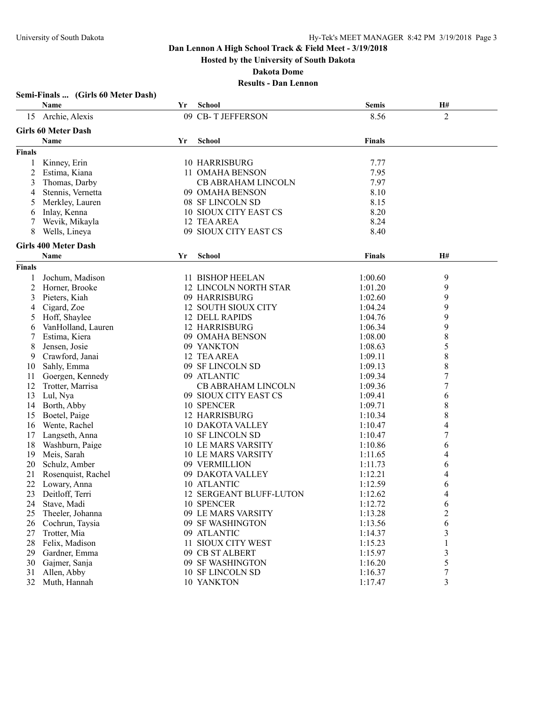**Hosted by the University of South Dakota**

**Dakota Dome**

|                | Semi-Finals  (Girls 60 Meter Dash) |    |                              |               |                  |  |
|----------------|------------------------------------|----|------------------------------|---------------|------------------|--|
|                | Name                               | Yr | School                       | <b>Semis</b>  | H#               |  |
| 15             | Archie, Alexis                     |    | 09 CB-T JEFFERSON            | 8.56          | $\overline{2}$   |  |
|                | <b>Girls 60 Meter Dash</b>         |    |                              |               |                  |  |
|                | Name                               | Yr | <b>School</b>                | <b>Finals</b> |                  |  |
| <b>Finals</b>  |                                    |    |                              |               |                  |  |
| 1              | Kinney, Erin                       |    | <b>10 HARRISBURG</b>         | 7.77          |                  |  |
| $\overline{c}$ | Estima, Kiana                      |    | 11 OMAHA BENSON              | 7.95          |                  |  |
| 3              | Thomas, Darby                      |    | CB ABRAHAM LINCOLN           | 7.97          |                  |  |
| 4              | Stennis, Vernetta                  |    | 09 OMAHA BENSON              | 8.10          |                  |  |
| 5              | Merkley, Lauren                    |    | 08 SF LINCOLN SD             | 8.15          |                  |  |
| 6              | Inlay, Kenna                       |    | 10 SIOUX CITY EAST CS        | 8.20          |                  |  |
|                | Wevik, Mikayla                     |    | 12 TEA AREA                  | 8.24          |                  |  |
| 7<br>8         | Wells, Lineya                      |    | 09 SIOUX CITY EAST CS        | 8.40          |                  |  |
|                |                                    |    |                              |               |                  |  |
|                | <b>Girls 400 Meter Dash</b>        |    |                              |               |                  |  |
|                | Name                               | Yr | School                       | Finals        | H#               |  |
| <b>Finals</b>  |                                    |    |                              |               |                  |  |
| 1              | Jochum, Madison                    |    | 11 BISHOP HEELAN             | 1:00.60       | 9                |  |
| 2              | Horner, Brooke                     |    | <b>12 LINCOLN NORTH STAR</b> | 1:01.20       | 9                |  |
| 3              | Pieters, Kiah                      |    | 09 HARRISBURG                | 1:02.60       | 9                |  |
| 4              | Cigard, Zoe                        |    | 12 SOUTH SIOUX CITY          | 1:04.24       | 9                |  |
| 5              | Hoff, Shaylee                      |    | 12 DELL RAPIDS               | 1:04.76       | 9                |  |
| 6              | VanHolland, Lauren                 |    | <b>12 HARRISBURG</b>         | 1:06.34       | 9                |  |
| 7              | Estima, Kiera                      |    | 09 OMAHA BENSON              | 1:08.00       | 8                |  |
| 8              | Jensen, Josie                      |    | 09 YANKTON                   | 1:08.63       | 5                |  |
| 9              | Crawford, Janai                    |    | 12 TEA AREA                  | 1:09.11       | $\,$ $\,$        |  |
| 10             | Sahly, Emma                        |    | 09 SF LINCOLN SD             | 1:09.13       | 8                |  |
| 11             | Goergen, Kennedy                   |    | 09 ATLANTIC                  | 1:09.34       | $\boldsymbol{7}$ |  |
| 12             | Trotter, Marrisa                   |    | <b>CB ABRAHAM LINCOLN</b>    | 1:09.36       | $\boldsymbol{7}$ |  |
| 13             | Lul, Nya                           |    | 09 SIOUX CITY EAST CS        | 1:09.41       | 6                |  |
| 14             | Borth, Abby                        |    | 10 SPENCER                   | 1:09.71       | 8                |  |
| 15             | Boetel, Paige                      |    | 12 HARRISBURG                | 1:10.34       | $\,$ $\,$        |  |
| 16             | Wente, Rachel                      |    | <b>10 DAKOTA VALLEY</b>      | 1:10.47       | 4                |  |
| 17             | Langseth, Anna                     |    | 10 SF LINCOLN SD             | 1:10.47       | $\boldsymbol{7}$ |  |
| 18             | Washburn, Paige                    |    | <b>10 LE MARS VARSITY</b>    | 1:10.86       | 6                |  |
| 19             | Meis, Sarah                        |    | <b>10 LE MARS VARSITY</b>    | 1:11.65       | 4                |  |
| 20             | Schulz, Amber                      |    | 09 VERMILLION                | 1:11.73       | 6                |  |
| 21             | Rosenquist, Rachel                 |    | 09 DAKOTA VALLEY             | 1:12.21       | 4                |  |
| 22             | Lowary, Anna                       |    | 10 ATLANTIC                  | 1:12.59       | 6                |  |
| 23             | Deitloff, Terri                    |    | 12 SERGEANT BLUFF-LUTON      | 1:12.62       | 4                |  |
| 24             | Stave, Madi                        |    | 10 SPENCER                   | 1:12.72       | 6                |  |
| 25             | Theeler, Johanna                   |    | 09 LE MARS VARSITY           | 1:13.28       | 2                |  |
| 26             | Cochrun, Taysia                    |    | 09 SF WASHINGTON             | 1:13.56       | 6                |  |
| 27             | Trotter, Mia                       |    | 09 ATLANTIC                  | 1:14.37       | 3                |  |
| 28             | Felix, Madison                     |    | 11 SIOUX CITY WEST           | 1:15.23       | 1                |  |
| 29             | Gardner, Emma                      |    | 09 CB ST ALBERT              | 1:15.97       | 3                |  |
| 30             | Gajmer, Sanja                      |    | 09 SF WASHINGTON             | 1:16.20       | 5                |  |
| 31             | Allen, Abby                        |    | 10 SF LINCOLN SD             | 1:16.37       | 7                |  |
| 32             | Muth, Hannah                       |    | 10 YANKTON                   | 1:17.47       | 3                |  |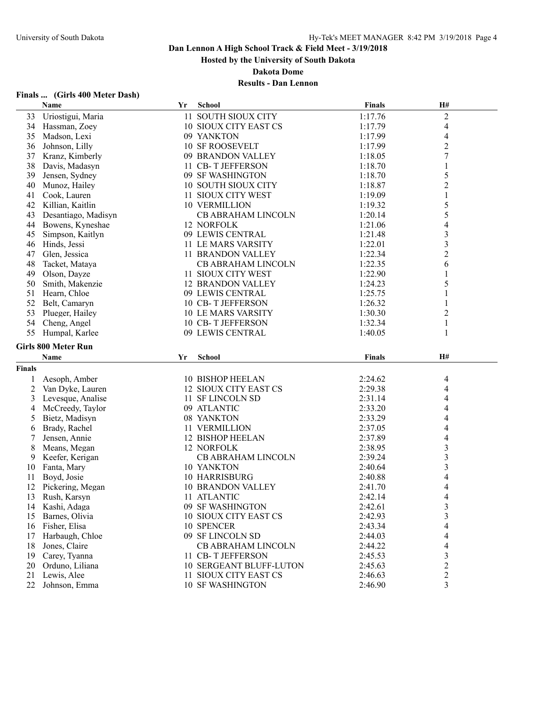**Hosted by the University of South Dakota**

**Dakota Dome**

| Finals  (Girls 400 Meter Dash) |  |
|--------------------------------|--|
|                                |  |

|                | Name                             | Yr | <b>School</b>                                    | <b>Finals</b>      | H#                       |  |
|----------------|----------------------------------|----|--------------------------------------------------|--------------------|--------------------------|--|
| 33             | Uriostigui, Maria                |    | 11 SOUTH SIOUX CITY                              | 1:17.76            | $\overline{c}$           |  |
| 34             | Hassman, Zoey                    |    | 10 SIOUX CITY EAST CS                            | 1:17.79            | 4                        |  |
| 35             | Madson, Lexi                     |    | 09 YANKTON                                       | 1:17.99            | 4                        |  |
| 36             | Johnson, Lilly                   |    | <b>10 SF ROOSEVELT</b>                           | 1:17.99            | $\overline{c}$           |  |
| 37             | Kranz, Kimberly                  |    | 09 BRANDON VALLEY                                | 1:18.05            | $\overline{7}$           |  |
| 38             | Davis, Madasyn                   |    | 11 CB-T JEFFERSON                                | 1:18.70            | $\mathbf{1}$             |  |
| 39             | Jensen, Sydney                   |    | 09 SF WASHINGTON                                 | 1:18.70            | 5                        |  |
| 40             | Munoz, Hailey                    |    | <b>10 SOUTH SIOUX CITY</b>                       | 1:18.87            | $\overline{c}$           |  |
| 41             | Cook, Lauren                     |    | 11 SIOUX CITY WEST                               | 1:19.09            | 1                        |  |
| 42             | Killian, Kaitlin                 |    | <b>10 VERMILLION</b>                             | 1:19.32            | 5                        |  |
| 43             | Desantiago, Madisyn              |    | CB ABRAHAM LINCOLN                               | 1:20.14            | 5                        |  |
| 44             | Bowens, Kyneshae                 |    | 12 NORFOLK                                       | 1:21.06            | $\overline{\mathcal{A}}$ |  |
| 45             | Simpson, Kaitlyn                 |    | 09 LEWIS CENTRAL                                 | 1:21.48            | 3                        |  |
| 46             | Hinds, Jessi                     |    | 11 LE MARS VARSITY                               | 1:22.01            | $\overline{\mathbf{3}}$  |  |
|                |                                  |    |                                                  | 1:22.34            | $\overline{c}$           |  |
| 47             | Glen, Jessica                    |    | 11 BRANDON VALLEY                                |                    |                          |  |
| 48             | Tacket, Mataya                   |    | <b>CB ABRAHAM LINCOLN</b>                        | 1:22.35            | 6                        |  |
| 49             | Olson, Dayze                     |    | 11 SIOUX CITY WEST                               | 1:22.90            | 1                        |  |
| 50             | Smith, Makenzie                  |    | <b>12 BRANDON VALLEY</b>                         | 1:24.23            | 5                        |  |
| 51             | Hearn, Chloe                     |    | 09 LEWIS CENTRAL                                 | 1:25.75            | $\mathbf{1}$             |  |
| 52             | Belt, Camaryn                    |    | 10 CB-T JEFFERSON                                | 1:26.32            | 1                        |  |
| 53             | Plueger, Hailey                  |    | <b>10 LE MARS VARSITY</b>                        | 1:30.30            | 2                        |  |
| 54             | Cheng, Angel                     |    | 10 CB-T JEFFERSON                                | 1:32.34            | $\mathbf{1}$             |  |
| 55             | Humpal, Karlee                   |    | 09 LEWIS CENTRAL                                 | 1:40.05            | 1                        |  |
|                | <b>Girls 800 Meter Run</b>       |    |                                                  |                    |                          |  |
|                |                                  |    |                                                  |                    |                          |  |
|                |                                  |    |                                                  |                    |                          |  |
|                | <b>Name</b>                      | Yr | <b>School</b>                                    | <b>Finals</b>      | H#                       |  |
| <b>Finals</b>  |                                  |    |                                                  |                    |                          |  |
| 1              | Aesoph, Amber                    |    | 10 BISHOP HEELAN                                 | 2:24.62            | 4                        |  |
| $\overline{c}$ | Van Dyke, Lauren                 |    | 12 SIOUX CITY EAST CS                            | 2:29.38            | 4                        |  |
| 3              | Levesque, Analise                |    | 11 SF LINCOLN SD                                 | 2:31.14            | 4                        |  |
| 4              | McCreedy, Taylor                 |    | 09 ATLANTIC                                      | 2:33.20            | 4                        |  |
| 5              | Bietz, Madisyn                   |    | 08 YANKTON                                       | 2:33.29            | 4                        |  |
| 6              | Brady, Rachel                    |    | 11 VERMILLION                                    | 2:37.05            | 4                        |  |
| 7              | Jensen, Annie                    |    | 12 BISHOP HEELAN                                 | 2:37.89            | 4                        |  |
| 8              | Means, Megan                     |    | 12 NORFOLK                                       | 2:38.95            | 3                        |  |
| 9              | Keefer, Kerigan                  |    | <b>CB ABRAHAM LINCOLN</b>                        | 2:39.24            | 3                        |  |
| 10             | Fanta, Mary                      |    | 10 YANKTON                                       | 2:40.64            | 3                        |  |
| 11             | Boyd, Josie                      |    | 10 HARRISBURG                                    | 2:40.88            | 4                        |  |
| 12             | Pickering, Megan                 |    | <b>10 BRANDON VALLEY</b>                         | 2:41.70            | $\overline{\mathcal{A}}$ |  |
| 13             | Rush, Karsyn                     |    | 11 ATLANTIC                                      | 2:42.14            | 4                        |  |
| 14             | Kashi, Adaga                     |    | 09 SF WASHINGTON                                 | 2:42.61            | 3                        |  |
| 15             | Barnes, Olivia                   |    | 10 SIOUX CITY EAST CS                            | 2:42.93            | 3                        |  |
| 16             |                                  |    | 10 SPENCER                                       |                    | 4                        |  |
| 17             | Fisher, Elisa                    |    |                                                  | 2:43.34            | 4                        |  |
| 18             | Harbaugh, Chloe<br>Jones, Claire |    | 09 SF LINCOLN SD<br><b>CB ABRAHAM LINCOLN</b>    | 2:44.03            | 4                        |  |
|                |                                  |    |                                                  | 2:44.22            |                          |  |
| 19             | Carey, Tyanna                    |    | 11 CB-T JEFFERSON                                | 2:45.53            | 3                        |  |
| 20             | Orduno, Liliana                  |    | <b>10 SERGEANT BLUFF-LUTON</b>                   | 2:45.63            | $\overline{c}$           |  |
| 21<br>22       | Lewis, Alee<br>Johnson, Emma     |    | 11 SIOUX CITY EAST CS<br><b>10 SF WASHINGTON</b> | 2:46.63<br>2:46.90 | 2<br>3                   |  |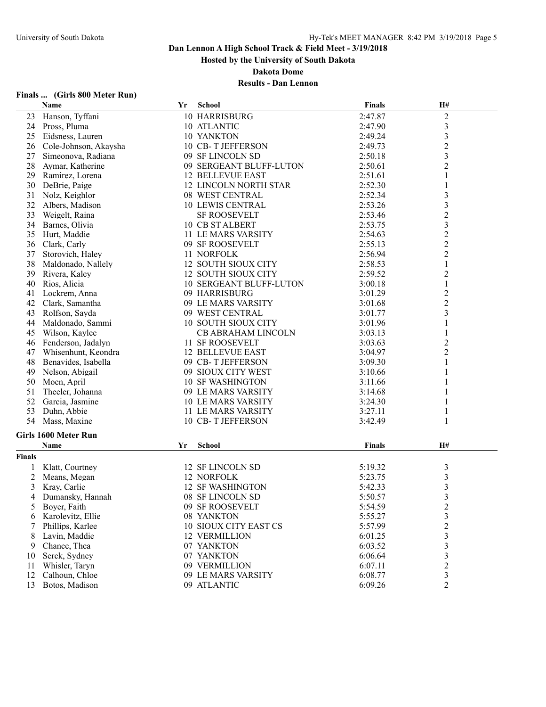**Hosted by the University of South Dakota**

**Dakota Dome**

## **Results - Dan Lennon**

## **Finals ... (Girls 800 Meter Run)**

|               | <b>Name</b>           | Yr | <b>School</b>                | <b>Finals</b> | H#               |  |
|---------------|-----------------------|----|------------------------------|---------------|------------------|--|
| 23            | Hanson, Tyffani       |    | 10 HARRISBURG                | 2:47.87       | $\sqrt{2}$       |  |
| 24            | Pross, Pluma          |    | 10 ATLANTIC                  | 2:47.90       | $\overline{3}$   |  |
| 25            | Eidsness, Lauren      |    | 10 YANKTON                   | 2:49.24       | $\mathfrak{Z}$   |  |
| 26            | Cole-Johnson, Akaysha |    | 10 CB-T JEFFERSON            | 2:49.73       | $\overline{c}$   |  |
| 27            | Simeonova, Radiana    |    | 09 SF LINCOLN SD             | 2:50.18       | $\overline{3}$   |  |
| 28            | Aymar, Katherine      |    | 09 SERGEANT BLUFF-LUTON      | 2:50.61       | $\overline{2}$   |  |
| 29            | Ramirez, Lorena       |    | <b>12 BELLEVUE EAST</b>      | 2:51.61       | $\mathbf{1}$     |  |
| 30            | DeBrie, Paige         |    | <b>12 LINCOLN NORTH STAR</b> | 2:52.30       | 1                |  |
| 31            | Nolz, Keighlor        |    | 08 WEST CENTRAL              | 2:52.34       | 3                |  |
| 32            | Albers, Madison       |    | <b>10 LEWIS CENTRAL</b>      | 2:53.26       | $\mathfrak{Z}$   |  |
| 33            | Weigelt, Raina        |    | <b>SF ROOSEVELT</b>          | 2:53.46       | $\overline{c}$   |  |
| 34            | Barnes, Olivia        |    | <b>10 CB ST ALBERT</b>       | 2:53.75       | $\mathfrak{Z}$   |  |
| 35            | Hurt, Maddie          |    | 11 LE MARS VARSITY           | 2:54.63       | $\overline{c}$   |  |
| 36            | Clark, Carly          |    | 09 SF ROOSEVELT              | 2:55.13       | $\overline{c}$   |  |
| 37            | Storovich, Haley      |    | 11 NORFOLK                   | 2:56.94       | $\boldsymbol{2}$ |  |
| 38            | Maldonado, Nallely    |    | 12 SOUTH SIOUX CITY          | 2:58.53       | $\mathbf{1}$     |  |
| 39            | Rivera, Kaley         |    | 12 SOUTH SIOUX CITY          | 2:59.52       | $\boldsymbol{2}$ |  |
| 40            | Rios, Alicia          |    | 10 SERGEANT BLUFF-LUTON      | 3:00.18       | $\mathbf{1}$     |  |
| 41            | Lockrem, Anna         |    | 09 HARRISBURG                | 3:01.29       | $\overline{c}$   |  |
| 42            | Clark, Samantha       |    | 09 LE MARS VARSITY           | 3:01.68       | $\overline{2}$   |  |
| 43            | Rolfson, Sayda        |    | 09 WEST CENTRAL              | 3:01.77       | 3                |  |
| 44            | Maldonado, Sammi      |    | <b>10 SOUTH SIOUX CITY</b>   | 3:01.96       | 1                |  |
| 45            | Wilson, Kaylee        |    | CB ABRAHAM LINCOLN           | 3:03.13       | 1                |  |
| 46            | Fenderson, Jadalyn    |    | 11 SF ROOSEVELT              | 3:03.63       | $\overline{c}$   |  |
| 47            | Whisenhunt, Keondra   |    | <b>12 BELLEVUE EAST</b>      | 3:04.97       | $\overline{c}$   |  |
| 48            | Benavides, Isabella   |    | 09 CB-T JEFFERSON            | 3:09.30       | 1                |  |
| 49            | Nelson, Abigail       |    | 09 SIOUX CITY WEST           | 3:10.66       | 1                |  |
| 50            | Moen, April           |    | <b>10 SF WASHINGTON</b>      | 3:11.66       | 1                |  |
| 51            | Theeler, Johanna      |    | 09 LE MARS VARSITY           | 3:14.68       | 1                |  |
| 52            | Garcia, Jasmine       |    | <b>10 LE MARS VARSITY</b>    | 3:24.30       | 1                |  |
| 53            | Duhn, Abbie           |    | 11 LE MARS VARSITY           | 3:27.11       | 1                |  |
| 54            | Mass, Maxine          |    | 10 CB-T JEFFERSON            | 3:42.49       | 1                |  |
|               |                       |    |                              |               |                  |  |
|               | Girls 1600 Meter Run  |    |                              |               |                  |  |
|               | Name                  | Yr | School                       | <b>Finals</b> | H#               |  |
| <b>Finals</b> |                       |    |                              |               |                  |  |
|               | Klatt, Courtney       |    | 12 SF LINCOLN SD             | 5:19.32       | 3                |  |
| 2             | Means, Megan          |    | 12 NORFOLK                   | 5:23.75       | $\mathfrak{Z}$   |  |
| 3             | Kray, Carlie          |    | <b>12 SF WASHINGTON</b>      | 5:42.33       | $\mathfrak{Z}$   |  |
| 4             | Dumansky, Hannah      |    | 08 SF LINCOLN SD             | 5:50.57       | 3                |  |
| 5             | Boyer, Faith          |    | 09 SF ROOSEVELT              | 5:54.59       | $\overline{c}$   |  |
| 6             | Karolevitz, Ellie     |    | 08 YANKTON                   | 5:55.27       | $\mathfrak{Z}$   |  |
|               | Phillips, Karlee      |    | 10 SIOUX CITY EAST CS        | 5:57.99       | $\overline{c}$   |  |
| 8             | Lavin, Maddie         |    | <b>12 VERMILLION</b>         | 6:01.25       | 3                |  |
| 9             | Chance, Thea          |    | 07 YANKTON                   | 6:03.52       | $\mathfrak{Z}$   |  |
| 10            | Serck, Sydney         |    | 07 YANKTON                   | 6:06.64       | 3                |  |
| 11            | Whisler, Taryn        |    | 09 VERMILLION                | 6:07.11       | $\overline{c}$   |  |
| 12            | Calhoun, Chloe        |    | 09 LE MARS VARSITY           | 6:08.77       | 3                |  |
| 13            | Botos, Madison        |    | 09 ATLANTIC                  | 6:09.26       | $\overline{2}$   |  |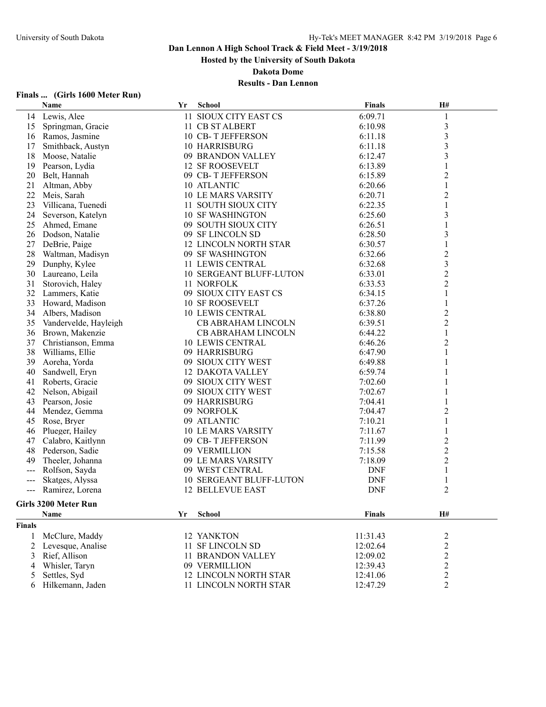**Hosted by the University of South Dakota**

**Dakota Dome**

| Finals |  | (Girls 1600 Meter Run) |  |
|--------|--|------------------------|--|
|        |  |                        |  |

|                                          | Name                  | Yr | <b>School</b>                  | Finals     | H#                      |
|------------------------------------------|-----------------------|----|--------------------------------|------------|-------------------------|
|                                          | 14 Lewis, Alee        |    | 11 SIOUX CITY EAST CS          | 6:09.71    | 1                       |
| 15                                       | Springman, Gracie     |    | 11 CB ST ALBERT                | 6:10.98    | 3                       |
|                                          | 16 Ramos, Jasmine     |    | 10 CB-T JEFFERSON              | 6:11.18    | $\overline{\mathbf{3}}$ |
| 17                                       | Smithback, Austyn     |    | 10 HARRISBURG                  | 6:11.18    | $\overline{\mathbf{3}}$ |
| 18                                       | Moose, Natalie        |    | 09 BRANDON VALLEY              | 6:12.47    | 3                       |
| 19                                       | Pearson, Lydia        |    | <b>12 SF ROOSEVELT</b>         | 6:13.89    | 1                       |
| 20                                       | Belt, Hannah          |    | 09 CB-T JEFFERSON              | 6:15.89    | $\overline{c}$          |
| 21                                       | Altman, Abby          |    | 10 ATLANTIC                    | 6:20.66    | $\mathbf{1}$            |
| 22                                       | Meis, Sarah           |    | <b>10 LE MARS VARSITY</b>      | 6:20.71    | $\overline{c}$          |
| 23                                       | Villicana, Tuenedi    |    | 11 SOUTH SIOUX CITY            | 6:22.35    |                         |
| 24                                       | Severson, Katelyn     |    | <b>10 SF WASHINGTON</b>        | 6:25.60    | 3                       |
| 25                                       | Ahmed, Emane          |    | 09 SOUTH SIOUX CITY            | 6:26.51    | 1                       |
| 26                                       | Dodson, Natalie       |    | 09 SF LINCOLN SD               | 6:28.50    | $\overline{\mathbf{3}}$ |
| 27                                       | DeBrie, Paige         |    | <b>12 LINCOLN NORTH STAR</b>   | 6:30.57    | 1                       |
| 28                                       | Waltman, Madisyn      |    | 09 SF WASHINGTON               | 6:32.66    | $\overline{\mathbf{c}}$ |
| 29                                       | Dunphy, Kylee         |    | 11 LEWIS CENTRAL               | 6:32.68    | $\overline{\mathbf{3}}$ |
| 30                                       | Laureano, Leila       |    | 10 SERGEANT BLUFF-LUTON        | 6:33.01    | $\overline{c}$          |
| 31                                       | Storovich, Haley      |    | 11 NORFOLK                     | 6:33.53    | $\overline{c}$          |
| 32                                       | Lammers, Katie        |    | 09 SIOUX CITY EAST CS          | 6:34.15    | $\mathbf{1}$            |
| 33                                       | Howard, Madison       |    | <b>10 SF ROOSEVELT</b>         | 6:37.26    | 1                       |
| 34                                       | Albers, Madison       |    | <b>10 LEWIS CENTRAL</b>        | 6:38.80    | $\overline{\mathbf{c}}$ |
| 35                                       | Vandervelde, Hayleigh |    | <b>CB ABRAHAM LINCOLN</b>      | 6:39.51    | $\overline{c}$          |
| 36                                       | Brown, Makenzie       |    | <b>CB ABRAHAM LINCOLN</b>      | 6:44.22    | 1                       |
| 37                                       | Christianson, Emma    |    | <b>10 LEWIS CENTRAL</b>        | 6:46.26    | $\overline{c}$          |
| 38                                       | Williams, Ellie       |    | 09 HARRISBURG                  | 6:47.90    | 1                       |
| 39                                       | Aoreha, Yorda         |    | 09 SIOUX CITY WEST             | 6:49.88    | 1                       |
| 40                                       | Sandwell, Eryn        |    | <b>12 DAKOTA VALLEY</b>        | 6:59.74    |                         |
| 41                                       | Roberts, Gracie       |    | 09 SIOUX CITY WEST             | 7:02.60    |                         |
| 42                                       | Nelson, Abigail       |    | 09 SIOUX CITY WEST             | 7:02.67    |                         |
| 43                                       | Pearson, Josie        |    | 09 HARRISBURG                  | 7:04.41    |                         |
| 44                                       | Mendez, Gemma         |    | 09 NORFOLK                     | 7:04.47    | $\overline{c}$          |
| 45                                       | Rose, Bryer           |    | 09 ATLANTIC                    | 7:10.21    | 1                       |
| 46                                       | Plueger, Hailey       |    | <b>10 LE MARS VARSITY</b>      | 7:11.67    | 1                       |
| 47                                       | Calabro, Kaitlynn     |    | 09 CB-T JEFFERSON              | 7:11.99    | 2                       |
| 48                                       | Pederson, Sadie       |    | 09 VERMILLION                  | 7:15.58    | $\overline{c}$          |
| 49                                       | Theeler, Johanna      |    | 09 LE MARS VARSITY             | 7:18.09    | $\overline{c}$          |
| ---                                      | Rolfson, Sayda        |    | 09 WEST CENTRAL                | <b>DNF</b> | 1                       |
| ---                                      | Skatges, Alyssa       |    | <b>10 SERGEANT BLUFF-LUTON</b> | <b>DNF</b> | 1                       |
| $\hspace{0.05cm} \ldots \hspace{0.05cm}$ | Ramirez, Lorena       |    | <b>12 BELLEVUE EAST</b>        | <b>DNF</b> | 2                       |
|                                          | Girls 3200 Meter Run  |    |                                |            |                         |
|                                          |                       |    |                                |            |                         |
|                                          | <b>Name</b>           | Yr | <b>School</b>                  | Finals     | H#                      |
| <b>Finals</b>                            |                       |    |                                |            |                         |
| 1                                        | McClure, Maddy        |    | 12 YANKTON                     | 11:31.43   | $\overline{c}$          |
| 2                                        | Levesque, Analise     |    | 11 SF LINCOLN SD               | 12:02.64   | $\overline{c}$          |
| 3                                        | Rief, Allison         |    | 11 BRANDON VALLEY              | 12:09.02   | $\overline{c}$          |
| 4                                        | Whisler, Taryn        |    | 09 VERMILLION                  | 12:39.43   | $\overline{\mathbf{c}}$ |
| 5                                        | Settles, Syd          |    | <b>12 LINCOLN NORTH STAR</b>   | 12:41.06   | $\overline{\mathbf{c}}$ |
| 6                                        | Hilkemann, Jaden      |    | 11 LINCOLN NORTH STAR          | 12:47.29   | 2                       |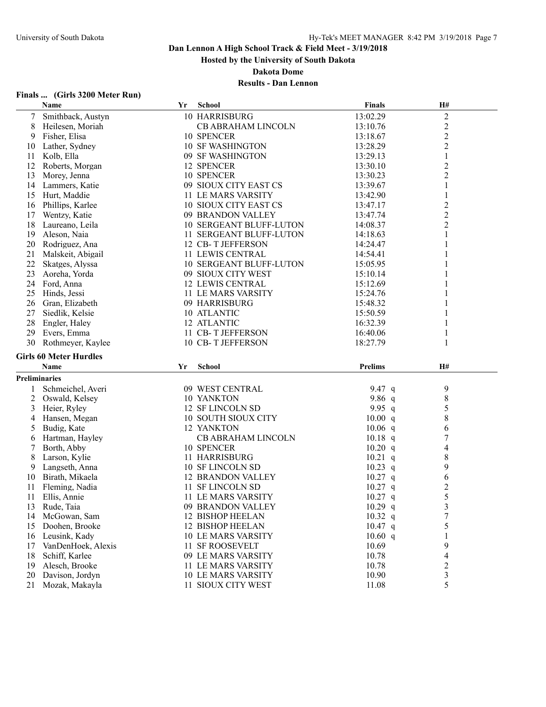**Hosted by the University of South Dakota**

**Dakota Dome**

| (Girls 3200 Meter Run)<br>Finals |
|----------------------------------|
|----------------------------------|

|               | Name                          | Yr | <b>School</b>                  | <b>Finals</b>        | H#                      |  |
|---------------|-------------------------------|----|--------------------------------|----------------------|-------------------------|--|
| 7             | Smithback, Austyn             |    | 10 HARRISBURG                  | 13:02.29             | $\sqrt{2}$              |  |
| 8             | Heilesen, Moriah              |    | CB ABRAHAM LINCOLN             | 13:10.76             | $\overline{c}$          |  |
| 9             | Fisher, Elisa                 |    | 10 SPENCER                     | 13:18.67             | $\overline{c}$          |  |
| 10            | Lather, Sydney                |    | <b>10 SF WASHINGTON</b>        | 13:28.29             | $\overline{c}$          |  |
| 11            | Kolb, Ella                    |    | 09 SF WASHINGTON               | 13:29.13             | $\mathbf{1}$            |  |
| 12            | Roberts, Morgan               |    | 12 SPENCER                     | 13:30.10             | $\overline{c}$          |  |
| 13            | Morey, Jenna                  |    | 10 SPENCER                     | 13:30.23             | $\overline{c}$          |  |
| 14            | Lammers, Katie                |    | 09 SIOUX CITY EAST CS          | 13:39.67             | $\mathbf{1}$            |  |
| 15            | Hurt, Maddie                  |    | 11 LE MARS VARSITY             | 13:42.90             | 1                       |  |
| 16            | Phillips, Karlee              |    | 10 SIOUX CITY EAST CS          | 13:47.17             | $\overline{c}$          |  |
| 17            | Wentzy, Katie                 |    | 09 BRANDON VALLEY              | 13:47.74             | $\overline{2}$          |  |
| 18            | Laureano, Leila               |    | <b>10 SERGEANT BLUFF-LUTON</b> | 14:08.37             | $\overline{c}$          |  |
| 19            | Aleson, Naia                  |    | 11 SERGEANT BLUFF-LUTON        | 14:18.63             | 1                       |  |
| 20            | Rodriguez, Ana                |    | 12 CB-T JEFFERSON              | 14:24.47             | 1                       |  |
| 21            | Malskeit, Abigail             |    | 11 LEWIS CENTRAL               | 14:54.41             |                         |  |
| 22            | Skatges, Alyssa               |    | 10 SERGEANT BLUFF-LUTON        | 15:05.95             |                         |  |
| 23            | Aoreha, Yorda                 |    | 09 SIOUX CITY WEST             |                      |                         |  |
| 24            | Ford, Anna                    |    | <b>12 LEWIS CENTRAL</b>        | 15:10.14<br>15:12.69 |                         |  |
|               |                               |    |                                |                      |                         |  |
| 25            | Hinds, Jessi                  |    | 11 LE MARS VARSITY             | 15:24.76             |                         |  |
| 26            | Gran, Elizabeth               |    | 09 HARRISBURG                  | 15:48.32<br>15:50.59 |                         |  |
| 27            | Siedlik, Kelsie               |    | 10 ATLANTIC                    |                      |                         |  |
| 28            | Engler, Haley                 |    | 12 ATLANTIC                    | 16:32.39             | 1                       |  |
| 29            | Evers, Emma                   |    | 11 CB-T JEFFERSON              | 16:40.06             | 1                       |  |
| 30            | Rothmeyer, Kaylee             |    | 10 CB-T JEFFERSON              | 18:27.79             | 1                       |  |
|               | <b>Girls 60 Meter Hurdles</b> |    |                                |                      |                         |  |
|               | Name                          | Yr | <b>School</b>                  | <b>Prelims</b>       | H#                      |  |
| Preliminaries |                               |    |                                |                      |                         |  |
| 1             | Schmeichel, Averi             |    | 09 WEST CENTRAL                | 9.47 $q$             | 9                       |  |
| 2             | Oswald, Kelsey                |    | 10 YANKTON                     | 9.86 $q$             | $\,8\,$                 |  |
| 3             | Heier, Ryley                  |    | 12 SF LINCOLN SD               | 9.95 $q$             | 5                       |  |
| 4             | Hansen, Megan                 |    | <b>10 SOUTH SIOUX CITY</b>     | 10.00 q              | 8                       |  |
| 5             | Budig, Kate                   |    | 12 YANKTON                     | $10.06$ q            | 6                       |  |
| 6             | Hartman, Hayley               |    | CB ABRAHAM LINCOLN             | $10.18$ q            | $\boldsymbol{7}$        |  |
| 7             | Borth, Abby                   |    | 10 SPENCER                     | 10.20 q              | 4                       |  |
| 8             | Larson, Kylie                 |    | 11 HARRISBURG                  | $10.21$ q            | 8                       |  |
| 9             | Langseth, Anna                |    | 10 SF LINCOLN SD               | $10.23$ q            | 9                       |  |
| 10            | Birath, Mikaela               |    | <b>12 BRANDON VALLEY</b>       | $10.27$ q            | 6                       |  |
| 11            | Fleming, Nadia                |    | 11 SF LINCOLN SD               | $10.27$ q            | $\overline{\mathbf{c}}$ |  |
| 11            | Ellis, Annie                  |    | 11 LE MARS VARSITY             | $10.27$ q            | 5                       |  |
| 13            | Rude, Taia                    |    | 09 BRANDON VALLEY              | $10.29$ q            | 3                       |  |
| 14            | McGowan, Sam                  |    | 12 BISHOP HEELAN               | $10.32$ q            | $\boldsymbol{7}$        |  |
| 15            | Doohen, Brooke                |    | 12 BISHOP HEELAN               | $10.47$ q            | 5                       |  |
| 16            | Leusink, Kady                 |    | <b>10 LE MARS VARSITY</b>      | 10.60 q              | 1                       |  |
| 17            | VanDenHoek, Alexis            |    | 11 SF ROOSEVELT                | 10.69                | 9                       |  |
| 18            | Schiff, Karlee                |    | 09 LE MARS VARSITY             | 10.78                | 4                       |  |
| 19            | Alesch, Brooke                |    | 11 LE MARS VARSITY             | 10.78                |                         |  |
| 20            | Davison, Jordyn               |    | <b>10 LE MARS VARSITY</b>      | 10.90                | $\overline{\mathbf{c}}$ |  |
| 21            | Mozak, Makayla                |    | 11 SIOUX CITY WEST             | 11.08                | 3<br>5                  |  |
|               |                               |    |                                |                      |                         |  |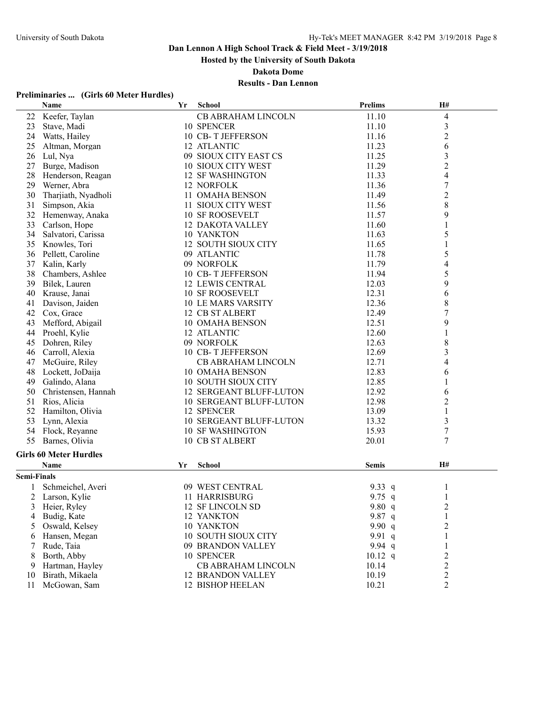**Hosted by the University of South Dakota**

**Dakota Dome**

## **Results - Dan Lennon**

## **Preliminaries ... (Girls 60 Meter Hurdles)**

|                    | Name                          | Yr | <b>School</b>                  | <b>Prelims</b> | H#                       |
|--------------------|-------------------------------|----|--------------------------------|----------------|--------------------------|
| 22                 | Keefer, Taylan                |    | CB ABRAHAM LINCOLN             | 11.10          | $\overline{\mathcal{L}}$ |
| 23                 | Stave, Madi                   |    | 10 SPENCER                     | 11.10          | $\mathfrak{Z}$           |
| 24                 | Watts, Hailey                 |    | 10 CB-T JEFFERSON              | 11.16          | $\overline{c}$           |
| 25                 | Altman, Morgan                |    | 12 ATLANTIC                    | 11.23          | 6                        |
| 26                 | Lul, Nya                      |    | 09 SIOUX CITY EAST CS          | 11.25          | $\mathfrak{Z}$           |
| 27                 | Burge, Madison                |    | 10 SIOUX CITY WEST             | 11.29          | $\overline{c}$           |
| 28                 | Henderson, Reagan             |    | <b>12 SF WASHINGTON</b>        | 11.33          | $\overline{4}$           |
| 29                 | Werner, Abra                  |    | 12 NORFOLK                     | 11.36          | $\boldsymbol{7}$         |
| 30                 | Tharjiath, Nyadholi           |    | 11 OMAHA BENSON                | 11.49          | $\overline{c}$           |
| 31                 | Simpson, Akia                 |    | 11 SIOUX CITY WEST             | 11.56          | 8                        |
| 32                 | Hemenway, Anaka               |    | <b>10 SF ROOSEVELT</b>         | 11.57          | 9                        |
| 33                 | Carlson, Hope                 |    | <b>12 DAKOTA VALLEY</b>        | 11.60          | 1                        |
| 34                 | Salvatori, Carissa            |    | 10 YANKTON                     | 11.63          | 5                        |
| 35                 | Knowles, Tori                 |    | 12 SOUTH SIOUX CITY            | 11.65          | 1                        |
| 36                 | Pellett, Caroline             |    | 09 ATLANTIC                    | 11.78          | 5                        |
| 37                 | Kalin, Karly                  |    | 09 NORFOLK                     | 11.79          | 4                        |
| 38                 | Chambers, Ashlee              |    | 10 CB-T JEFFERSON              | 11.94          | 5                        |
| 39                 | Bilek, Lauren                 |    | <b>12 LEWIS CENTRAL</b>        | 12.03          | 9                        |
| 40                 | Krause, Janai                 |    | <b>10 SF ROOSEVELT</b>         | 12.31          | 6                        |
| 41                 | Davison, Jaiden               |    | <b>10 LE MARS VARSITY</b>      | 12.36          | $\,$ $\,$                |
| 42                 | Cox, Grace                    |    | 12 CB ST ALBERT                | 12.49          | $\sqrt{ }$               |
| 43                 | Mefford, Abigail              |    | 10 OMAHA BENSON                | 12.51          | 9                        |
| 44                 | Proehl, Kylie                 |    | 12 ATLANTIC                    | 12.60          | 1                        |
| 45                 | Dohren, Riley                 |    | 09 NORFOLK                     | 12.63          | 8                        |
| 46                 | Carroll, Alexia               |    | 10 CB-T JEFFERSON              | 12.69          | $\mathfrak{Z}$           |
| 47                 | McGuire, Riley                |    | CB ABRAHAM LINCOLN             | 12.71          | 4                        |
| 48                 | Lockett, JoDaija              |    | 10 OMAHA BENSON                | 12.83          | 6                        |
| 49                 | Galindo, Alana                |    | 10 SOUTH SIOUX CITY            | 12.85          | 1                        |
| 50                 | Christensen, Hannah           |    | 12 SERGEANT BLUFF-LUTON        | 12.92          | 6                        |
| 51                 | Rios, Alicia                  |    | 10 SERGEANT BLUFF-LUTON        | 12.98          | $\overline{2}$           |
| 52                 | Hamilton, Olivia              |    | 12 SPENCER                     | 13.09          | $\mathbf{1}$             |
| 53                 | Lynn, Alexia                  |    | <b>10 SERGEANT BLUFF-LUTON</b> | 13.32          | $\mathfrak{Z}$           |
| 54                 | Flock, Reyanne                |    | <b>10 SF WASHINGTON</b>        | 15.93          | $\boldsymbol{7}$         |
| 55                 | Barnes, Olivia                |    | 10 CB ST ALBERT                | 20.01          | 7                        |
|                    |                               |    |                                |                |                          |
|                    | <b>Girls 60 Meter Hurdles</b> |    |                                |                |                          |
|                    | Name                          | Yr | <b>School</b>                  | <b>Semis</b>   | H#                       |
| <b>Semi-Finals</b> |                               |    |                                |                |                          |
|                    | Schmeichel, Averi             |    | 09 WEST CENTRAL                | 9.33 $q$       | 1                        |
| $\overline{2}$     | Larson, Kylie                 |    | 11 HARRISBURG                  | 9.75 $q$       | $\mathbf{1}$             |
| 3                  | Heier, Ryley                  |    | 12 SF LINCOLN SD               | 9.80 $q$       | 2                        |
| 4                  | Budig, Kate                   |    | 12 YANKTON                     | 9.87 q         | 1                        |
| 5                  | Oswald, Kelsey                |    | 10 YANKTON                     | 9.90 $q$       | $\overline{c}$           |
| 6                  | Hansen, Megan                 |    | 10 SOUTH SIOUX CITY            | 9.91 q         | 1                        |
| 7                  | Rude, Taia                    |    | 09 BRANDON VALLEY              | 9.94 $q$       | 1                        |
| 8                  | Borth, Abby                   |    | 10 SPENCER                     | $10.12$ q      | $\overline{c}$           |
| 9                  | Hartman, Hayley               |    | CB ABRAHAM LINCOLN             | 10.14          | $\overline{c}$           |
| 10                 | Birath, Mikaela               |    | <b>12 BRANDON VALLEY</b>       | 10.19          | $\overline{c}$           |
| 11                 | McGowan, Sam                  |    | 12 BISHOP HEELAN               | 10.21          | $\overline{c}$           |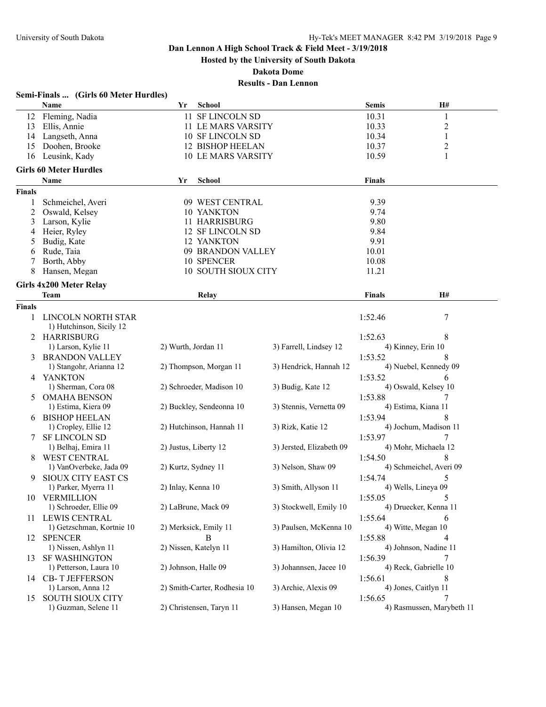**Hosted by the University of South Dakota**

**Dakota Dome**

|               | Semi-Finals  (Girls 60 Meter Hurdles)   |                              |                          |                                |                           |
|---------------|-----------------------------------------|------------------------------|--------------------------|--------------------------------|---------------------------|
|               | Name                                    | Yr<br><b>School</b>          |                          | <b>Semis</b>                   | <b>H#</b>                 |
|               | 12 Fleming, Nadia                       | 11 SF LINCOLN SD             |                          | 10.31                          | 1                         |
| 13            | Ellis, Annie                            | 11 LE MARS VARSITY           |                          | 10.33                          | 2                         |
|               | 14 Langseth, Anna                       | 10 SF LINCOLN SD             |                          | 10.34                          | 1                         |
| 15            | Doohen, Brooke                          | <b>12 BISHOP HEELAN</b>      |                          | 10.37                          | $\overline{c}$            |
| 16            | Leusink, Kady                           | <b>10 LE MARS VARSITY</b>    |                          | 10.59                          | 1                         |
|               | <b>Girls 60 Meter Hurdles</b>           |                              |                          |                                |                           |
|               | Name                                    | <b>School</b><br>Yr          |                          | <b>Finals</b>                  |                           |
| <b>Finals</b> |                                         |                              |                          |                                |                           |
| 1             | Schmeichel, Averi                       | 09 WEST CENTRAL              |                          | 9.39                           |                           |
| 2             | Oswald, Kelsey                          | 10 YANKTON                   |                          | 9.74                           |                           |
| 3             | Larson, Kylie                           | 11 HARRISBURG                |                          | 9.80                           |                           |
| 4             | Heier, Ryley                            | 12 SF LINCOLN SD             |                          | 9.84                           |                           |
| 5             | Budig, Kate                             | 12 YANKTON                   |                          | 9.91                           |                           |
| 6             | Rude, Taia                              | 09 BRANDON VALLEY            |                          | 10.01                          |                           |
| 7             | Borth, Abby                             | 10 SPENCER                   |                          | 10.08                          |                           |
| 8             | Hansen, Megan                           | 10 SOUTH SIOUX CITY          |                          | 11.21                          |                           |
|               | Girls 4x200 Meter Relay                 |                              |                          |                                |                           |
|               | <b>Team</b>                             | Relay                        |                          | <b>Finals</b>                  | H#                        |
| <b>Finals</b> |                                         |                              |                          |                                |                           |
| 1             | LINCOLN NORTH STAR                      |                              |                          | 1:52.46                        | 7                         |
|               | 1) Hutchinson, Sicily 12                |                              |                          |                                |                           |
|               | 2 HARRISBURG                            |                              |                          | 1:52.63                        | 8                         |
|               | 1) Larson, Kylie 11                     | 2) Wurth, Jordan 11          | 3) Farrell, Lindsey 12   | 4) Kinney, Erin 10             |                           |
|               | 3 BRANDON VALLEY                        |                              |                          | 1:53.52                        |                           |
|               | 1) Stangohr, Arianna 12                 | 2) Thompson, Morgan 11       | 3) Hendrick, Hannah 12   |                                | 4) Nuebel, Kennedy 09     |
|               | 4 YANKTON                               |                              |                          | 1:53.52                        | 6                         |
|               | 1) Sherman, Cora 08                     | 2) Schroeder, Madison 10     | 3) Budig, Kate 12        | 4) Oswald, Kelsey 10           |                           |
|               | 5 OMAHA BENSON                          |                              |                          | 1:53.88                        | 7                         |
|               | 1) Estima, Kiera 09                     | 2) Buckley, Sendeonna 10     | 3) Stennis, Vernetta 09  | 4) Estima, Kiana 11            |                           |
|               | <b>BISHOP HEELAN</b>                    |                              |                          | 1:53.94                        | 8                         |
|               | 1) Cropley, Ellie 12                    | 2) Hutchinson, Hannah 11     | 3) Rizk, Katie 12        |                                | 4) Jochum, Madison 11     |
|               | <b>SF LINCOLN SD</b>                    |                              |                          | 1:53.97                        |                           |
|               | 1) Belhaj, Emira 11                     | 2) Justus, Liberty 12        | 3) Jersted, Elizabeth 09 | 4) Mohr, Michaela 12           |                           |
|               | <b>WEST CENTRAL</b>                     |                              | 3) Nelson, Shaw 09       | 1:54.50                        | 4) Schmeichel, Averi 09   |
|               | 1) VanOverbeke, Jada 09                 | 2) Kurtz, Sydney 11          |                          |                                |                           |
| 9             | SIOUX CITY EAST CS                      | 2) Inlay, Kenna 10           | 3) Smith, Allyson 11     | 1:54.74<br>4) Wells, Lineya 09 | 5                         |
|               | 1) Parker, Myerra 11                    |                              |                          |                                | 5                         |
|               | 10 VERMILLION<br>1) Schroeder, Ellie 09 | 2) LaBrune, Mack 09          | 3) Stockwell, Emily 10   | 1:55.05                        | 4) Druecker, Kenna 11     |
|               | 11 LEWIS CENTRAL                        |                              |                          | 1:55.64                        | 6                         |
|               | 1) Getzschman, Kortnie 10               | 2) Merksick, Emily 11        | 3) Paulsen, McKenna 10   | 4) Witte, Megan 10             |                           |
| 12            | <b>SPENCER</b>                          | B                            |                          | 1:55.88                        | 4                         |
|               | 1) Nissen, Ashlyn 11                    | 2) Nissen, Katelyn 11        | 3) Hamilton, Olivia 12   |                                | 4) Johnson, Nadine 11     |
| 13            | <b>SF WASHINGTON</b>                    |                              |                          | 1:56.39                        | 7                         |
|               | 1) Petterson, Laura 10                  | 2) Johnson, Halle 09         | 3) Johannsen, Jacee 10   | 4) Reck, Gabrielle 10          |                           |
|               | 14 CB-T JEFFERSON                       |                              |                          | 1:56.61                        | 8                         |
|               | 1) Larson, Anna 12                      | 2) Smith-Carter, Rodhesia 10 | 3) Archie, Alexis 09     | 4) Jones, Caitlyn 11           |                           |
|               | 15 SOUTH SIOUX CITY                     |                              |                          | 1:56.65                        | 7                         |
|               | 1) Guzman, Selene 11                    | 2) Christensen, Taryn 11     | 3) Hansen, Megan 10      |                                | 4) Rasmussen, Marybeth 11 |
|               |                                         |                              |                          |                                |                           |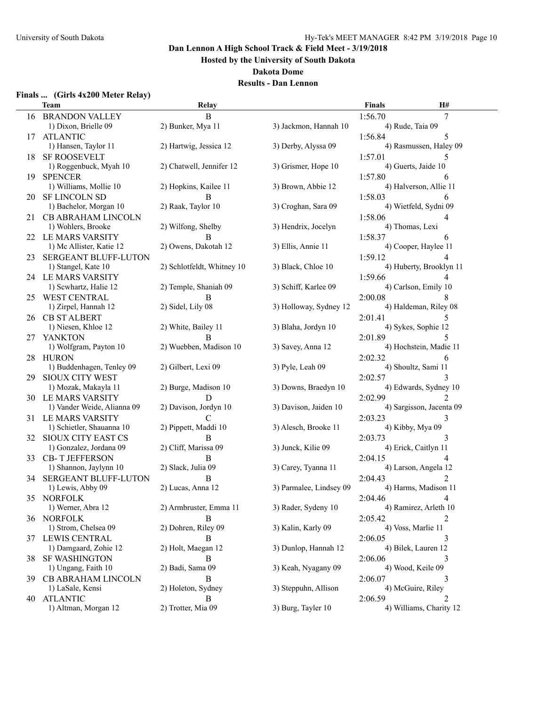**Hosted by the University of South Dakota**

**Dakota Dome**

## **Results - Dan Lennon**

## **Finals ... (Girls 4x200 Meter Relay)**

|     | <b>Team</b>                                      | Relay                      |                         | <b>Finals</b> | H#                       |
|-----|--------------------------------------------------|----------------------------|-------------------------|---------------|--------------------------|
|     | <b>16 BRANDON VALLEY</b>                         | B                          |                         | 1:56.70       | 7                        |
|     | 1) Dixon, Brielle 09                             | 2) Bunker, Mya 11          | 3) Jackmon, Hannah 10   |               | 4) Rude, Taia 09         |
| 17  | <b>ATLANTIC</b>                                  |                            |                         | 1:56.84       | 5                        |
|     | 1) Hansen, Taylor 11                             | 2) Hartwig, Jessica 12     | 3) Derby, Alyssa 09     |               | 4) Rasmussen, Haley 09   |
| 18  | <b>SF ROOSEVELT</b>                              |                            |                         | 1:57.01       | 5                        |
|     | 1) Roggenbuck, Myah 10                           | 2) Chatwell, Jennifer 12   | 3) Grismer, Hope 10     |               | 4) Guerts, Jaide 10      |
| 19  | <b>SPENCER</b>                                   |                            |                         | 1:57.80       | 6                        |
|     | 1) Williams, Mollie 10                           | 2) Hopkins, Kailee 11      | 3) Brown, Abbie 12      |               | 4) Halverson, Allie 11   |
|     | 20 SF LINCOLN SD                                 | В                          |                         | 1:58.03       | 6                        |
|     | 1) Bachelor, Morgan 10                           | 2) Raak, Taylor 10         | 3) Croghan, Sara 09     |               | 4) Wietfeld, Sydni 09    |
|     | 21 CB ABRAHAM LINCOLN                            |                            |                         | 1:58.06       | 4                        |
|     | 1) Wohlers, Brooke                               | 2) Wilfong, Shelby         | 3) Hendrix, Jocelyn     |               | 4) Thomas, Lexi          |
|     | 22 LE MARS VARSITY                               | B                          |                         | 1:58.37       | 6                        |
|     | 1) Mc Allister, Katie 12                         | 2) Owens, Dakotah 12       | 3) Ellis, Annie 11      |               | 4) Cooper, Haylee 11     |
| 23  | SERGEANT BLUFF-LUTON                             |                            |                         | 1:59.12       | 4                        |
|     | 1) Stangel, Kate 10                              | 2) Schlotfeldt, Whitney 10 | 3) Black, Chloe 10      |               | 4) Huberty, Brooklyn 11  |
|     | 24 LE MARS VARSITY                               |                            |                         | 1:59.66       |                          |
|     | 1) Scwhartz, Halie 12                            | 2) Temple, Shaniah 09      | 3) Schiff, Karlee 09    |               | 4) Carlson, Emily 10     |
| 25. | <b>WEST CENTRAL</b>                              | R                          |                         | 2:00.08       |                          |
|     | 1) Zirpel, Hannah 12                             | 2) Sidel, Lily 08          | 3) Holloway, Sydney 12  |               | 4) Haldeman, Riley 08    |
| 26. | <b>CB ST ALBERT</b>                              |                            |                         | 2:01.41       | 5                        |
|     | 1) Niesen, Khloe 12                              | 2) White, Bailey 11        | 3) Blaha, Jordyn 10     |               | 4) Sykes, Sophie 12      |
| 27  | YANKTON                                          | B                          |                         | 2:01.89       | 5                        |
|     | 1) Wolfgram, Payton 10                           | 2) Wuebben, Madison 10     | 3) Savey, Anna 12       |               | 4) Hochstein, Madie 11   |
|     | 28 HURON                                         |                            |                         | 2:02.32       | 6                        |
|     | 1) Buddenhagen, Tenley 09                        | 2) Gilbert, Lexi 09        | 3) Pyle, Leah 09        |               | 4) Shoultz, Sami 11      |
| 29. | <b>SIOUX CITY WEST</b>                           |                            |                         | 2:02.57       | 3                        |
|     | 1) Mozak, Makayla 11                             | 2) Burge, Madison 10       | 3) Downs, Braedyn 10    |               | 4) Edwards, Sydney 10    |
|     | 30 LE MARS VARSITY                               | D                          |                         | 2:02.99       | 2                        |
|     | 1) Vander Weide, Alianna 09                      | 2) Davison, Jordyn 10      | 3) Davison, Jaiden 10   |               | 4) Sargisson, Jacenta 09 |
|     | 31 LE MARS VARSITY                               | $\mathsf{C}$               |                         | 2:03.23       | 3                        |
|     | 1) Schietler, Shauanna 10                        | 2) Pippett, Maddi 10       | 3) Alesch, Brooke 11    |               | 4) Kibby, Mya 09         |
|     | 32 SIOUX CITY EAST CS                            | B                          |                         | 2:03.73       | 3                        |
|     | 1) Gonzalez, Jordana 09                          | 2) Cliff, Marissa 09       | 3) Junck, Kilie 09      |               | 4) Erick, Caitlyn 11     |
| 33  | <b>CB-T JEFFERSON</b>                            | B<br>2) Slack, Julia 09    | 3) Carey, Tyanna 11     | 2:04.15       | 4) Larson, Angela 12     |
|     | 1) Shannon, Jaylynn 10                           | B                          |                         |               | 2                        |
| 34  | <b>SERGEANT BLUFF-LUTON</b><br>1) Lewis, Abby 09 | 2) Lucas, Anna 12          | 3) Parmalee, Lindsey 09 | 2:04.43       | 4) Harms, Madison 11     |
|     | 35 NORFOLK                                       |                            |                         |               |                          |
|     | 1) Werner, Abra 12                               | 2) Armbruster, Emma 11     | 3) Rader, Sydeny 10     | 2:04.46 4     | 4) Ramirez, Arleth 10    |
|     | 36 NORFOLK                                       |                            |                         |               | 2                        |
|     | 1) Strom, Chelsea 09                             | 2) Dohren, Riley 09        | 3) Kalin, Karly 09      | 2:05.42       | 4) Voss, Marlie 11       |
|     | 37 LEWIS CENTRAL                                 | B                          |                         | 2:06.05       |                          |
|     | 1) Damgaard, Zohie 12                            | 2) Holt, Maegan 12         | 3) Dunlop, Hannah 12    |               | 4) Bilek, Lauren 12      |
| 38. | <b>SF WASHINGTON</b>                             | B                          |                         | 2:06.06       | 3                        |
|     | 1) Ungang, Faith 10                              | 2) Badi, Sama 09           | 3) Keah, Nyagany 09     |               | 4) Wood, Keile 09        |
|     | 39 CB ABRAHAM LINCOLN                            | B                          |                         | 2:06.07       | 3                        |
|     | 1) LaSale, Kensi                                 | 2) Holeton, Sydney         | 3) Steppuhn, Allison    |               | 4) McGuire, Riley        |
|     | 40 ATLANTIC                                      | В                          |                         | 2:06.59       | 2                        |
|     | 1) Altman, Morgan 12                             | 2) Trotter, Mia 09         | 3) Burg, Tayler 10      |               | 4) Williams, Charity 12  |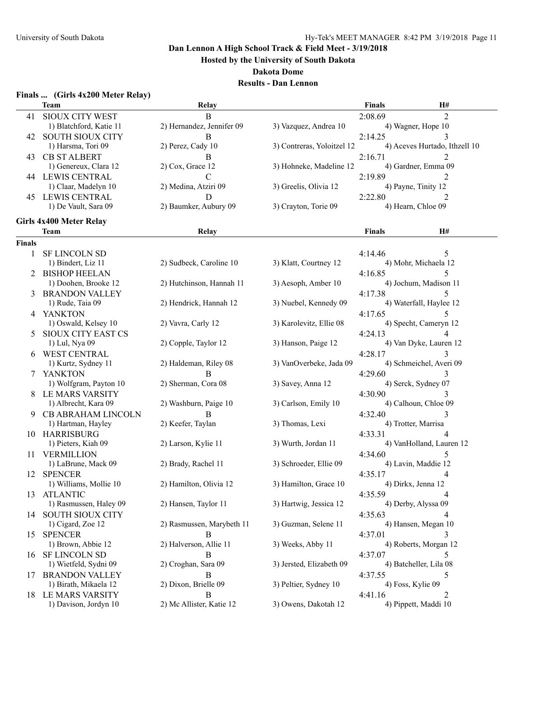**Hosted by the University of South Dakota**

**Dakota Dome**

| <b>Finals </b> |  | (Girls 4x200 Meter Relay) |  |
|----------------|--|---------------------------|--|
|                |  |                           |  |

|               | <b>Team</b>                       | Relay                     |                            | <b>Finals</b>                 | H#             |
|---------------|-----------------------------------|---------------------------|----------------------------|-------------------------------|----------------|
| 41            | <b>SIOUX CITY WEST</b>            | B                         |                            | 2:08.69                       | $\overline{2}$ |
|               | 1) Blatchford, Katie 11           | 2) Hernandez, Jennifer 09 | 3) Vazquez, Andrea 10      | 4) Wagner, Hope 10            |                |
|               | 42 SOUTH SIOUX CITY               | B                         |                            | 2:14.25                       | 3              |
|               | 1) Harsma, Tori 09                | 2) Perez, Cady 10         | 3) Contreras, Yoloitzel 12 | 4) Aceves Hurtado, Ithzell 10 |                |
|               | <b>43 CB ST ALBERT</b>            | B                         |                            | 2:16.71                       |                |
|               | 1) Genereux, Clara 12             | $2)$ Cox, Grace 12        | 3) Hohneke, Madeline 12    | 4) Gardner, Emma 09           |                |
|               | <b>44 LEWIS CENTRAL</b>           | $\mathcal{C}$             |                            | 2:19.89                       | 2              |
|               | 1) Claar, Madelyn 10              | 2) Medina, Atziri 09      | 3) Greelis, Olivia 12      | 4) Payne, Tinity 12           |                |
|               |                                   |                           |                            |                               |                |
| 45.           | LEWIS CENTRAL                     | D                         |                            | 2:22.80                       | 2              |
|               | 1) De Vault, Sara 09              | 2) Baumker, Aubury 09     | 3) Crayton, Torie 09       | 4) Hearn, Chloe 09            |                |
|               | Girls 4x400 Meter Relay           |                           |                            |                               |                |
|               | <b>Team</b>                       | Relay                     |                            | <b>Finals</b>                 | H#             |
| <b>Finals</b> |                                   |                           |                            |                               |                |
| 1             | <b>SF LINCOLN SD</b>              |                           |                            | 4:14.46                       | 5              |
|               | 1) Bindert, Liz 11                | 2) Sudbeck, Caroline 10   | 3) Klatt, Courtney 12      | 4) Mohr, Michaela 12          |                |
| 2             | <b>BISHOP HEELAN</b>              |                           |                            | 4:16.85                       | 5              |
|               | 1) Doohen, Brooke 12              | 2) Hutchinson, Hannah 11  | 3) Aesoph, Amber 10        | 4) Jochum, Madison 11         |                |
|               | <b>BRANDON VALLEY</b>             |                           |                            | 4:17.38                       | 5              |
|               | 1) Rude, Taia 09                  | 2) Hendrick, Hannah 12    | 3) Nuebel, Kennedy 09      | 4) Waterfall, Haylee 12       |                |
|               |                                   |                           |                            | 4:17.65                       | 5              |
|               | 4 YANKTON<br>1) Oswald, Kelsey 10 | 2) Vavra, Carly 12        | 3) Karolevitz, Ellie 08    | 4) Specht, Cameryn 12         |                |
|               |                                   |                           |                            |                               |                |
|               | SIOUX CITY EAST CS                |                           |                            | 4:24.13                       |                |
|               | 1) Lul, Nya 09                    | 2) Copple, Taylor 12      | 3) Hanson, Paige 12        | 4) Van Dyke, Lauren 12        |                |
|               | <b>WEST CENTRAL</b>               |                           |                            | 4:28.17                       | 3              |
|               | 1) Kurtz, Sydney 11               | 2) Haldeman, Riley 08     | 3) VanOverbeke, Jada 09    | 4) Schmeichel, Averi 09       |                |
|               | <b>YANKTON</b>                    | B                         |                            | 4:29.60                       | 3              |
|               | 1) Wolfgram, Payton 10            | 2) Sherman, Cora 08       | 3) Savey, Anna 12          | 4) Serck, Sydney 07           |                |
| 8             | LE MARS VARSITY                   |                           |                            | 4:30.90                       | 3              |
|               | 1) Albrecht, Kara 09              | 2) Washburn, Paige 10     | 3) Carlson, Emily 10       | 4) Calhoun, Chloe 09          |                |
| 9             | CB ABRAHAM LINCOLN                | B                         |                            | 4:32.40                       | 3              |
|               | 1) Hartman, Hayley                | 2) Keefer, Taylan         | 3) Thomas, Lexi            | 4) Trotter, Marrisa           |                |
|               | 10 HARRISBURG                     |                           |                            | 4:33.31                       | 4              |
|               | 1) Pieters, Kiah 09               | 2) Larson, Kylie 11       | 3) Wurth, Jordan 11        | 4) VanHolland, Lauren 12      |                |
| 11            | VERMILLION                        |                           |                            | 4:34.60                       | 5              |
|               | 1) LaBrune, Mack 09               | 2) Brady, Rachel 11       | 3) Schroeder, Ellie 09     | 4) Lavin, Maddie 12           |                |
| 12            | <b>SPENCER</b>                    |                           |                            | 4:35.17                       | 4              |
|               | 1) Williams, Mollie 10            | 2) Hamilton, Olivia 12    | 3) Hamilton, Grace 10      | 4) Dirkx, Jenna 12            |                |
|               | 13 ATLANTIC                       |                           |                            | 4:35.59                       | 4              |
|               | 1) Rasmussen, Haley 09            | 2) Hansen, Taylor 11      | 3) Hartwig, Jessica 12     | 4) Derby, Alyssa 09           |                |
|               | 14 SOUTH SIOUX CITY               |                           |                            | 4:35.63                       | 4              |
|               | 1) Cigard, Zoe 12                 | 2) Rasmussen, Marybeth 11 | 3) Guzman, Selene 11       | 4) Hansen, Megan 10           |                |
| 15            | <b>SPENCER</b>                    | B                         |                            | 4:37.01                       | 3              |
|               | 1) Brown, Abbie 12                | 2) Halverson, Allie 11    | 3) Weeks, Abby 11          | 4) Roberts, Morgan 12         |                |
| 16            | <b>SF LINCOLN SD</b>              | B                         |                            | 4:37.07                       | 5              |
|               | 1) Wietfeld, Sydni 09             | 2) Croghan, Sara 09       | 3) Jersted, Elizabeth 09   | 4) Batcheller, Lila 08        |                |
| 17            | <b>BRANDON VALLEY</b>             | B                         |                            | 4:37.55                       | 5              |
|               | 1) Birath, Mikaela 12             | 2) Dixon, Brielle 09      | 3) Peltier, Sydney 10      | 4) Foss, Kylie 09             |                |
|               | 18 LE MARS VARSITY                | B                         |                            | 4:41.16                       | 2              |
|               | 1) Davison, Jordyn 10             | 2) Mc Allister, Katie 12  | 3) Owens, Dakotah 12       | 4) Pippett, Maddi 10          |                |
|               |                                   |                           |                            |                               |                |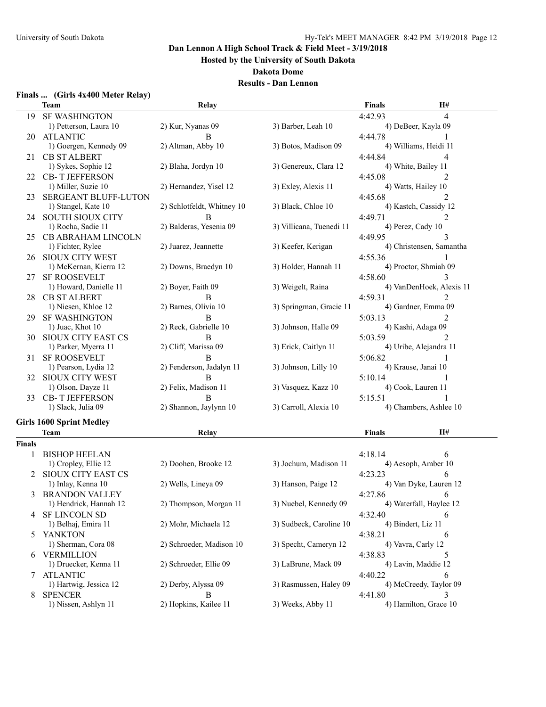**Hosted by the University of South Dakota**

#### **Dakota Dome**

|  | Finals  (Girls 4x400 Meter Relay) |  |  |  |  |
|--|-----------------------------------|--|--|--|--|
|--|-----------------------------------|--|--|--|--|

| <b>SF WASHINGTON</b><br>4:42.93<br>19.<br>4<br>1) Petterson, Laura 10<br>2) Kur, Nyanas 09<br>3) Barber, Leah 10<br>4) DeBeer, Kayla 09<br><b>ATLANTIC</b><br>4:44.78<br>B<br>20<br>2) Altman, Abby 10<br>1) Goergen, Kennedy 09<br>3) Botos, Madison 09<br>4) Williams, Heidi 11<br><b>CB ST ALBERT</b><br>4:44.84<br>4<br>21<br>2) Blaha, Jordyn 10<br>3) Genereux, Clara 12<br>4) White, Bailey 11<br>1) Sykes, Sophie 12<br>22 CB-T JEFFERSON<br>2<br>4:45.08<br>2) Hernandez, Yisel 12<br>3) Exley, Alexis 11<br>4) Watts, Hailey 10<br>1) Miller, Suzie 10<br>SERGEANT BLUFF-LUTON<br>4:45.68<br>2<br>23<br>2) Schlotfeldt, Whitney 10<br>3) Black, Chloe 10<br>4) Kastch, Cassidy 12<br>1) Stangel, Kate 10<br>24 SOUTH SIOUX CITY<br>B<br>4:49.71<br>2<br>2) Balderas, Yesenia 09<br>3) Villicana, Tuenedi 11<br>4) Perez, Cady 10<br>1) Rocha, Sadie 11<br>CB ABRAHAM LINCOLN<br>4:49.95<br>3<br>25.<br>2) Juarez, Jeannette<br>3) Keefer, Kerigan<br>4) Christensen, Samantha<br>1) Fichter, Rylee<br>26 SIOUX CITY WEST<br>4:55.36<br>3) Holder, Hannah 11<br>4) Proctor, Shmiah 09<br>1) McKernan, Kierra 12<br>2) Downs, Braedyn 10<br>4:58.60<br><b>SF ROOSEVELT</b><br>27<br>1) Howard, Danielle 11<br>2) Boyer, Faith 09<br>3) Weigelt, Raina<br>4) VanDenHoek, Alexis 11<br><b>CB ST ALBERT</b><br>4:59.31<br>B<br>$\mathcal{D}_{\mathcal{L}}$<br>28.<br>1) Niesen, Khloe 12<br>2) Barnes, Olivia 10<br>3) Springman, Gracie 11<br>4) Gardner, Emma 09<br>B<br>2<br><b>SF WASHINGTON</b><br>5:03.13<br>29.<br>2) Reck, Gabrielle 10<br>3) Johnson, Halle 09<br>4) Kashi, Adaga 09<br>1) Juac, Khot 10<br>SIOUX CITY EAST CS<br>$\mathfrak{D}$<br>B<br>5:03.59<br>30<br>2) Cliff, Marissa 09<br>3) Erick, Caitlyn 11<br>4) Uribe, Alejandra 11<br>1) Parker, Myerra 11<br><b>SF ROOSEVELT</b><br>5:06.82<br>B<br>31<br>2) Fenderson, Jadalyn 11<br>1) Pearson, Lydia 12<br>3) Johnson, Lilly 10<br>4) Krause, Janai 10<br><b>SIOUX CITY WEST</b><br>B<br>5:10.14<br>32<br>2) Felix, Madison 11<br>3) Vasquez, Kazz 10<br>4) Cook, Lauren 11<br>1) Olson, Dayze 11<br>B<br>5:15.51<br><b>CB-T JEFFERSON</b><br>33<br>1) Slack, Julia 09<br>2) Shannon, Jaylynn 10<br>3) Carroll, Alexia 10<br>4) Chambers, Ashlee 10<br><b>Girls 1600 Sprint Medley</b><br>H#<br><b>Finals</b><br><b>Team</b><br>Relay<br><b>Finals</b><br><b>BISHOP HEELAN</b><br>4:18.14<br>6<br>1) Cropley, Ellie 12<br>2) Doohen, Brooke 12<br>3) Jochum, Madison 11<br>4) Aesoph, Amber 10<br>SIOUX CITY EAST CS<br>4:23.23<br>6<br>2<br>2) Wells, Lineya 09<br>3) Hanson, Paige 12<br>4) Van Dyke, Lauren 12<br>1) Inlay, Kenna 10<br>4:27.86<br>6<br><b>BRANDON VALLEY</b><br>3<br>1) Hendrick, Hannah 12<br>2) Thompson, Morgan 11<br>3) Nuebel, Kennedy 09<br>4) Waterfall, Haylee 12<br>4 SF LINCOLN SD<br>4:32.40<br>6<br>1) Belhaj, Emira 11<br>2) Mohr, Michaela 12<br>3) Sudbeck, Caroline 10<br>4) Bindert, Liz 11<br>4:38.21<br>YANKTON<br>6<br>5<br>1) Sherman, Cora 08<br>2) Schroeder, Madison 10<br>3) Specht, Cameryn 12<br>4) Vavra, Carly 12 | <b>Team</b>          | Relay                 |                   | <b>Finals</b> | H#                    |  |
|----------------------------------------------------------------------------------------------------------------------------------------------------------------------------------------------------------------------------------------------------------------------------------------------------------------------------------------------------------------------------------------------------------------------------------------------------------------------------------------------------------------------------------------------------------------------------------------------------------------------------------------------------------------------------------------------------------------------------------------------------------------------------------------------------------------------------------------------------------------------------------------------------------------------------------------------------------------------------------------------------------------------------------------------------------------------------------------------------------------------------------------------------------------------------------------------------------------------------------------------------------------------------------------------------------------------------------------------------------------------------------------------------------------------------------------------------------------------------------------------------------------------------------------------------------------------------------------------------------------------------------------------------------------------------------------------------------------------------------------------------------------------------------------------------------------------------------------------------------------------------------------------------------------------------------------------------------------------------------------------------------------------------------------------------------------------------------------------------------------------------------------------------------------------------------------------------------------------------------------------------------------------------------------------------------------------------------------------------------------------------------------------------------------------------------------------------------------------------------------------------------------------------------------------------------------------------------------------------------------------------------------------------------------------------------------------------------------------------------------------------------------------------------------------------------------------------------------------------------------------------------------------------------------------------------------------------------------------------------------------------------------------------------------------------|----------------------|-----------------------|-------------------|---------------|-----------------------|--|
|                                                                                                                                                                                                                                                                                                                                                                                                                                                                                                                                                                                                                                                                                                                                                                                                                                                                                                                                                                                                                                                                                                                                                                                                                                                                                                                                                                                                                                                                                                                                                                                                                                                                                                                                                                                                                                                                                                                                                                                                                                                                                                                                                                                                                                                                                                                                                                                                                                                                                                                                                                                                                                                                                                                                                                                                                                                                                                                                                                                                                                                    |                      |                       |                   |               |                       |  |
|                                                                                                                                                                                                                                                                                                                                                                                                                                                                                                                                                                                                                                                                                                                                                                                                                                                                                                                                                                                                                                                                                                                                                                                                                                                                                                                                                                                                                                                                                                                                                                                                                                                                                                                                                                                                                                                                                                                                                                                                                                                                                                                                                                                                                                                                                                                                                                                                                                                                                                                                                                                                                                                                                                                                                                                                                                                                                                                                                                                                                                                    |                      |                       |                   |               |                       |  |
|                                                                                                                                                                                                                                                                                                                                                                                                                                                                                                                                                                                                                                                                                                                                                                                                                                                                                                                                                                                                                                                                                                                                                                                                                                                                                                                                                                                                                                                                                                                                                                                                                                                                                                                                                                                                                                                                                                                                                                                                                                                                                                                                                                                                                                                                                                                                                                                                                                                                                                                                                                                                                                                                                                                                                                                                                                                                                                                                                                                                                                                    |                      |                       |                   |               |                       |  |
|                                                                                                                                                                                                                                                                                                                                                                                                                                                                                                                                                                                                                                                                                                                                                                                                                                                                                                                                                                                                                                                                                                                                                                                                                                                                                                                                                                                                                                                                                                                                                                                                                                                                                                                                                                                                                                                                                                                                                                                                                                                                                                                                                                                                                                                                                                                                                                                                                                                                                                                                                                                                                                                                                                                                                                                                                                                                                                                                                                                                                                                    |                      |                       |                   |               |                       |  |
|                                                                                                                                                                                                                                                                                                                                                                                                                                                                                                                                                                                                                                                                                                                                                                                                                                                                                                                                                                                                                                                                                                                                                                                                                                                                                                                                                                                                                                                                                                                                                                                                                                                                                                                                                                                                                                                                                                                                                                                                                                                                                                                                                                                                                                                                                                                                                                                                                                                                                                                                                                                                                                                                                                                                                                                                                                                                                                                                                                                                                                                    |                      |                       |                   |               |                       |  |
|                                                                                                                                                                                                                                                                                                                                                                                                                                                                                                                                                                                                                                                                                                                                                                                                                                                                                                                                                                                                                                                                                                                                                                                                                                                                                                                                                                                                                                                                                                                                                                                                                                                                                                                                                                                                                                                                                                                                                                                                                                                                                                                                                                                                                                                                                                                                                                                                                                                                                                                                                                                                                                                                                                                                                                                                                                                                                                                                                                                                                                                    |                      |                       |                   |               |                       |  |
|                                                                                                                                                                                                                                                                                                                                                                                                                                                                                                                                                                                                                                                                                                                                                                                                                                                                                                                                                                                                                                                                                                                                                                                                                                                                                                                                                                                                                                                                                                                                                                                                                                                                                                                                                                                                                                                                                                                                                                                                                                                                                                                                                                                                                                                                                                                                                                                                                                                                                                                                                                                                                                                                                                                                                                                                                                                                                                                                                                                                                                                    |                      |                       |                   |               |                       |  |
|                                                                                                                                                                                                                                                                                                                                                                                                                                                                                                                                                                                                                                                                                                                                                                                                                                                                                                                                                                                                                                                                                                                                                                                                                                                                                                                                                                                                                                                                                                                                                                                                                                                                                                                                                                                                                                                                                                                                                                                                                                                                                                                                                                                                                                                                                                                                                                                                                                                                                                                                                                                                                                                                                                                                                                                                                                                                                                                                                                                                                                                    |                      |                       |                   |               |                       |  |
|                                                                                                                                                                                                                                                                                                                                                                                                                                                                                                                                                                                                                                                                                                                                                                                                                                                                                                                                                                                                                                                                                                                                                                                                                                                                                                                                                                                                                                                                                                                                                                                                                                                                                                                                                                                                                                                                                                                                                                                                                                                                                                                                                                                                                                                                                                                                                                                                                                                                                                                                                                                                                                                                                                                                                                                                                                                                                                                                                                                                                                                    |                      |                       |                   |               |                       |  |
|                                                                                                                                                                                                                                                                                                                                                                                                                                                                                                                                                                                                                                                                                                                                                                                                                                                                                                                                                                                                                                                                                                                                                                                                                                                                                                                                                                                                                                                                                                                                                                                                                                                                                                                                                                                                                                                                                                                                                                                                                                                                                                                                                                                                                                                                                                                                                                                                                                                                                                                                                                                                                                                                                                                                                                                                                                                                                                                                                                                                                                                    |                      |                       |                   |               |                       |  |
|                                                                                                                                                                                                                                                                                                                                                                                                                                                                                                                                                                                                                                                                                                                                                                                                                                                                                                                                                                                                                                                                                                                                                                                                                                                                                                                                                                                                                                                                                                                                                                                                                                                                                                                                                                                                                                                                                                                                                                                                                                                                                                                                                                                                                                                                                                                                                                                                                                                                                                                                                                                                                                                                                                                                                                                                                                                                                                                                                                                                                                                    |                      |                       |                   |               |                       |  |
|                                                                                                                                                                                                                                                                                                                                                                                                                                                                                                                                                                                                                                                                                                                                                                                                                                                                                                                                                                                                                                                                                                                                                                                                                                                                                                                                                                                                                                                                                                                                                                                                                                                                                                                                                                                                                                                                                                                                                                                                                                                                                                                                                                                                                                                                                                                                                                                                                                                                                                                                                                                                                                                                                                                                                                                                                                                                                                                                                                                                                                                    |                      |                       |                   |               |                       |  |
|                                                                                                                                                                                                                                                                                                                                                                                                                                                                                                                                                                                                                                                                                                                                                                                                                                                                                                                                                                                                                                                                                                                                                                                                                                                                                                                                                                                                                                                                                                                                                                                                                                                                                                                                                                                                                                                                                                                                                                                                                                                                                                                                                                                                                                                                                                                                                                                                                                                                                                                                                                                                                                                                                                                                                                                                                                                                                                                                                                                                                                                    |                      |                       |                   |               |                       |  |
|                                                                                                                                                                                                                                                                                                                                                                                                                                                                                                                                                                                                                                                                                                                                                                                                                                                                                                                                                                                                                                                                                                                                                                                                                                                                                                                                                                                                                                                                                                                                                                                                                                                                                                                                                                                                                                                                                                                                                                                                                                                                                                                                                                                                                                                                                                                                                                                                                                                                                                                                                                                                                                                                                                                                                                                                                                                                                                                                                                                                                                                    |                      |                       |                   |               |                       |  |
|                                                                                                                                                                                                                                                                                                                                                                                                                                                                                                                                                                                                                                                                                                                                                                                                                                                                                                                                                                                                                                                                                                                                                                                                                                                                                                                                                                                                                                                                                                                                                                                                                                                                                                                                                                                                                                                                                                                                                                                                                                                                                                                                                                                                                                                                                                                                                                                                                                                                                                                                                                                                                                                                                                                                                                                                                                                                                                                                                                                                                                                    |                      |                       |                   |               |                       |  |
|                                                                                                                                                                                                                                                                                                                                                                                                                                                                                                                                                                                                                                                                                                                                                                                                                                                                                                                                                                                                                                                                                                                                                                                                                                                                                                                                                                                                                                                                                                                                                                                                                                                                                                                                                                                                                                                                                                                                                                                                                                                                                                                                                                                                                                                                                                                                                                                                                                                                                                                                                                                                                                                                                                                                                                                                                                                                                                                                                                                                                                                    |                      |                       |                   |               |                       |  |
|                                                                                                                                                                                                                                                                                                                                                                                                                                                                                                                                                                                                                                                                                                                                                                                                                                                                                                                                                                                                                                                                                                                                                                                                                                                                                                                                                                                                                                                                                                                                                                                                                                                                                                                                                                                                                                                                                                                                                                                                                                                                                                                                                                                                                                                                                                                                                                                                                                                                                                                                                                                                                                                                                                                                                                                                                                                                                                                                                                                                                                                    |                      |                       |                   |               |                       |  |
|                                                                                                                                                                                                                                                                                                                                                                                                                                                                                                                                                                                                                                                                                                                                                                                                                                                                                                                                                                                                                                                                                                                                                                                                                                                                                                                                                                                                                                                                                                                                                                                                                                                                                                                                                                                                                                                                                                                                                                                                                                                                                                                                                                                                                                                                                                                                                                                                                                                                                                                                                                                                                                                                                                                                                                                                                                                                                                                                                                                                                                                    |                      |                       |                   |               |                       |  |
|                                                                                                                                                                                                                                                                                                                                                                                                                                                                                                                                                                                                                                                                                                                                                                                                                                                                                                                                                                                                                                                                                                                                                                                                                                                                                                                                                                                                                                                                                                                                                                                                                                                                                                                                                                                                                                                                                                                                                                                                                                                                                                                                                                                                                                                                                                                                                                                                                                                                                                                                                                                                                                                                                                                                                                                                                                                                                                                                                                                                                                                    |                      |                       |                   |               |                       |  |
|                                                                                                                                                                                                                                                                                                                                                                                                                                                                                                                                                                                                                                                                                                                                                                                                                                                                                                                                                                                                                                                                                                                                                                                                                                                                                                                                                                                                                                                                                                                                                                                                                                                                                                                                                                                                                                                                                                                                                                                                                                                                                                                                                                                                                                                                                                                                                                                                                                                                                                                                                                                                                                                                                                                                                                                                                                                                                                                                                                                                                                                    |                      |                       |                   |               |                       |  |
|                                                                                                                                                                                                                                                                                                                                                                                                                                                                                                                                                                                                                                                                                                                                                                                                                                                                                                                                                                                                                                                                                                                                                                                                                                                                                                                                                                                                                                                                                                                                                                                                                                                                                                                                                                                                                                                                                                                                                                                                                                                                                                                                                                                                                                                                                                                                                                                                                                                                                                                                                                                                                                                                                                                                                                                                                                                                                                                                                                                                                                                    |                      |                       |                   |               |                       |  |
|                                                                                                                                                                                                                                                                                                                                                                                                                                                                                                                                                                                                                                                                                                                                                                                                                                                                                                                                                                                                                                                                                                                                                                                                                                                                                                                                                                                                                                                                                                                                                                                                                                                                                                                                                                                                                                                                                                                                                                                                                                                                                                                                                                                                                                                                                                                                                                                                                                                                                                                                                                                                                                                                                                                                                                                                                                                                                                                                                                                                                                                    |                      |                       |                   |               |                       |  |
|                                                                                                                                                                                                                                                                                                                                                                                                                                                                                                                                                                                                                                                                                                                                                                                                                                                                                                                                                                                                                                                                                                                                                                                                                                                                                                                                                                                                                                                                                                                                                                                                                                                                                                                                                                                                                                                                                                                                                                                                                                                                                                                                                                                                                                                                                                                                                                                                                                                                                                                                                                                                                                                                                                                                                                                                                                                                                                                                                                                                                                                    |                      |                       |                   |               |                       |  |
|                                                                                                                                                                                                                                                                                                                                                                                                                                                                                                                                                                                                                                                                                                                                                                                                                                                                                                                                                                                                                                                                                                                                                                                                                                                                                                                                                                                                                                                                                                                                                                                                                                                                                                                                                                                                                                                                                                                                                                                                                                                                                                                                                                                                                                                                                                                                                                                                                                                                                                                                                                                                                                                                                                                                                                                                                                                                                                                                                                                                                                                    |                      |                       |                   |               |                       |  |
|                                                                                                                                                                                                                                                                                                                                                                                                                                                                                                                                                                                                                                                                                                                                                                                                                                                                                                                                                                                                                                                                                                                                                                                                                                                                                                                                                                                                                                                                                                                                                                                                                                                                                                                                                                                                                                                                                                                                                                                                                                                                                                                                                                                                                                                                                                                                                                                                                                                                                                                                                                                                                                                                                                                                                                                                                                                                                                                                                                                                                                                    |                      |                       |                   |               |                       |  |
|                                                                                                                                                                                                                                                                                                                                                                                                                                                                                                                                                                                                                                                                                                                                                                                                                                                                                                                                                                                                                                                                                                                                                                                                                                                                                                                                                                                                                                                                                                                                                                                                                                                                                                                                                                                                                                                                                                                                                                                                                                                                                                                                                                                                                                                                                                                                                                                                                                                                                                                                                                                                                                                                                                                                                                                                                                                                                                                                                                                                                                                    |                      |                       |                   |               |                       |  |
|                                                                                                                                                                                                                                                                                                                                                                                                                                                                                                                                                                                                                                                                                                                                                                                                                                                                                                                                                                                                                                                                                                                                                                                                                                                                                                                                                                                                                                                                                                                                                                                                                                                                                                                                                                                                                                                                                                                                                                                                                                                                                                                                                                                                                                                                                                                                                                                                                                                                                                                                                                                                                                                                                                                                                                                                                                                                                                                                                                                                                                                    |                      |                       |                   |               |                       |  |
|                                                                                                                                                                                                                                                                                                                                                                                                                                                                                                                                                                                                                                                                                                                                                                                                                                                                                                                                                                                                                                                                                                                                                                                                                                                                                                                                                                                                                                                                                                                                                                                                                                                                                                                                                                                                                                                                                                                                                                                                                                                                                                                                                                                                                                                                                                                                                                                                                                                                                                                                                                                                                                                                                                                                                                                                                                                                                                                                                                                                                                                    |                      |                       |                   |               |                       |  |
|                                                                                                                                                                                                                                                                                                                                                                                                                                                                                                                                                                                                                                                                                                                                                                                                                                                                                                                                                                                                                                                                                                                                                                                                                                                                                                                                                                                                                                                                                                                                                                                                                                                                                                                                                                                                                                                                                                                                                                                                                                                                                                                                                                                                                                                                                                                                                                                                                                                                                                                                                                                                                                                                                                                                                                                                                                                                                                                                                                                                                                                    |                      |                       |                   |               |                       |  |
|                                                                                                                                                                                                                                                                                                                                                                                                                                                                                                                                                                                                                                                                                                                                                                                                                                                                                                                                                                                                                                                                                                                                                                                                                                                                                                                                                                                                                                                                                                                                                                                                                                                                                                                                                                                                                                                                                                                                                                                                                                                                                                                                                                                                                                                                                                                                                                                                                                                                                                                                                                                                                                                                                                                                                                                                                                                                                                                                                                                                                                                    |                      |                       |                   |               |                       |  |
|                                                                                                                                                                                                                                                                                                                                                                                                                                                                                                                                                                                                                                                                                                                                                                                                                                                                                                                                                                                                                                                                                                                                                                                                                                                                                                                                                                                                                                                                                                                                                                                                                                                                                                                                                                                                                                                                                                                                                                                                                                                                                                                                                                                                                                                                                                                                                                                                                                                                                                                                                                                                                                                                                                                                                                                                                                                                                                                                                                                                                                                    |                      |                       |                   |               |                       |  |
|                                                                                                                                                                                                                                                                                                                                                                                                                                                                                                                                                                                                                                                                                                                                                                                                                                                                                                                                                                                                                                                                                                                                                                                                                                                                                                                                                                                                                                                                                                                                                                                                                                                                                                                                                                                                                                                                                                                                                                                                                                                                                                                                                                                                                                                                                                                                                                                                                                                                                                                                                                                                                                                                                                                                                                                                                                                                                                                                                                                                                                                    |                      |                       |                   |               |                       |  |
|                                                                                                                                                                                                                                                                                                                                                                                                                                                                                                                                                                                                                                                                                                                                                                                                                                                                                                                                                                                                                                                                                                                                                                                                                                                                                                                                                                                                                                                                                                                                                                                                                                                                                                                                                                                                                                                                                                                                                                                                                                                                                                                                                                                                                                                                                                                                                                                                                                                                                                                                                                                                                                                                                                                                                                                                                                                                                                                                                                                                                                                    |                      |                       |                   |               |                       |  |
|                                                                                                                                                                                                                                                                                                                                                                                                                                                                                                                                                                                                                                                                                                                                                                                                                                                                                                                                                                                                                                                                                                                                                                                                                                                                                                                                                                                                                                                                                                                                                                                                                                                                                                                                                                                                                                                                                                                                                                                                                                                                                                                                                                                                                                                                                                                                                                                                                                                                                                                                                                                                                                                                                                                                                                                                                                                                                                                                                                                                                                                    |                      |                       |                   |               |                       |  |
|                                                                                                                                                                                                                                                                                                                                                                                                                                                                                                                                                                                                                                                                                                                                                                                                                                                                                                                                                                                                                                                                                                                                                                                                                                                                                                                                                                                                                                                                                                                                                                                                                                                                                                                                                                                                                                                                                                                                                                                                                                                                                                                                                                                                                                                                                                                                                                                                                                                                                                                                                                                                                                                                                                                                                                                                                                                                                                                                                                                                                                                    |                      |                       |                   |               |                       |  |
|                                                                                                                                                                                                                                                                                                                                                                                                                                                                                                                                                                                                                                                                                                                                                                                                                                                                                                                                                                                                                                                                                                                                                                                                                                                                                                                                                                                                                                                                                                                                                                                                                                                                                                                                                                                                                                                                                                                                                                                                                                                                                                                                                                                                                                                                                                                                                                                                                                                                                                                                                                                                                                                                                                                                                                                                                                                                                                                                                                                                                                                    |                      |                       |                   |               |                       |  |
|                                                                                                                                                                                                                                                                                                                                                                                                                                                                                                                                                                                                                                                                                                                                                                                                                                                                                                                                                                                                                                                                                                                                                                                                                                                                                                                                                                                                                                                                                                                                                                                                                                                                                                                                                                                                                                                                                                                                                                                                                                                                                                                                                                                                                                                                                                                                                                                                                                                                                                                                                                                                                                                                                                                                                                                                                                                                                                                                                                                                                                                    |                      |                       |                   |               |                       |  |
|                                                                                                                                                                                                                                                                                                                                                                                                                                                                                                                                                                                                                                                                                                                                                                                                                                                                                                                                                                                                                                                                                                                                                                                                                                                                                                                                                                                                                                                                                                                                                                                                                                                                                                                                                                                                                                                                                                                                                                                                                                                                                                                                                                                                                                                                                                                                                                                                                                                                                                                                                                                                                                                                                                                                                                                                                                                                                                                                                                                                                                                    |                      |                       |                   |               |                       |  |
|                                                                                                                                                                                                                                                                                                                                                                                                                                                                                                                                                                                                                                                                                                                                                                                                                                                                                                                                                                                                                                                                                                                                                                                                                                                                                                                                                                                                                                                                                                                                                                                                                                                                                                                                                                                                                                                                                                                                                                                                                                                                                                                                                                                                                                                                                                                                                                                                                                                                                                                                                                                                                                                                                                                                                                                                                                                                                                                                                                                                                                                    |                      |                       |                   |               |                       |  |
|                                                                                                                                                                                                                                                                                                                                                                                                                                                                                                                                                                                                                                                                                                                                                                                                                                                                                                                                                                                                                                                                                                                                                                                                                                                                                                                                                                                                                                                                                                                                                                                                                                                                                                                                                                                                                                                                                                                                                                                                                                                                                                                                                                                                                                                                                                                                                                                                                                                                                                                                                                                                                                                                                                                                                                                                                                                                                                                                                                                                                                                    |                      |                       |                   |               |                       |  |
|                                                                                                                                                                                                                                                                                                                                                                                                                                                                                                                                                                                                                                                                                                                                                                                                                                                                                                                                                                                                                                                                                                                                                                                                                                                                                                                                                                                                                                                                                                                                                                                                                                                                                                                                                                                                                                                                                                                                                                                                                                                                                                                                                                                                                                                                                                                                                                                                                                                                                                                                                                                                                                                                                                                                                                                                                                                                                                                                                                                                                                                    |                      |                       |                   |               |                       |  |
|                                                                                                                                                                                                                                                                                                                                                                                                                                                                                                                                                                                                                                                                                                                                                                                                                                                                                                                                                                                                                                                                                                                                                                                                                                                                                                                                                                                                                                                                                                                                                                                                                                                                                                                                                                                                                                                                                                                                                                                                                                                                                                                                                                                                                                                                                                                                                                                                                                                                                                                                                                                                                                                                                                                                                                                                                                                                                                                                                                                                                                                    |                      |                       |                   |               |                       |  |
|                                                                                                                                                                                                                                                                                                                                                                                                                                                                                                                                                                                                                                                                                                                                                                                                                                                                                                                                                                                                                                                                                                                                                                                                                                                                                                                                                                                                                                                                                                                                                                                                                                                                                                                                                                                                                                                                                                                                                                                                                                                                                                                                                                                                                                                                                                                                                                                                                                                                                                                                                                                                                                                                                                                                                                                                                                                                                                                                                                                                                                                    |                      |                       |                   |               |                       |  |
| 6 VERMILLION<br>5<br>4:38.83                                                                                                                                                                                                                                                                                                                                                                                                                                                                                                                                                                                                                                                                                                                                                                                                                                                                                                                                                                                                                                                                                                                                                                                                                                                                                                                                                                                                                                                                                                                                                                                                                                                                                                                                                                                                                                                                                                                                                                                                                                                                                                                                                                                                                                                                                                                                                                                                                                                                                                                                                                                                                                                                                                                                                                                                                                                                                                                                                                                                                       |                      |                       |                   |               |                       |  |
| 2) Schroeder, Ellie 09<br>3) LaBrune, Mack 09<br>1) Druecker, Kenna 11<br>4) Lavin, Maddie 12                                                                                                                                                                                                                                                                                                                                                                                                                                                                                                                                                                                                                                                                                                                                                                                                                                                                                                                                                                                                                                                                                                                                                                                                                                                                                                                                                                                                                                                                                                                                                                                                                                                                                                                                                                                                                                                                                                                                                                                                                                                                                                                                                                                                                                                                                                                                                                                                                                                                                                                                                                                                                                                                                                                                                                                                                                                                                                                                                      |                      |                       |                   |               |                       |  |
| <b>ATLANTIC</b><br>4:40.22<br>6                                                                                                                                                                                                                                                                                                                                                                                                                                                                                                                                                                                                                                                                                                                                                                                                                                                                                                                                                                                                                                                                                                                                                                                                                                                                                                                                                                                                                                                                                                                                                                                                                                                                                                                                                                                                                                                                                                                                                                                                                                                                                                                                                                                                                                                                                                                                                                                                                                                                                                                                                                                                                                                                                                                                                                                                                                                                                                                                                                                                                    |                      |                       |                   |               |                       |  |
| 7<br>2) Derby, Alyssa 09<br>3) Rasmussen, Haley 09<br>4) McCreedy, Taylor 09<br>1) Hartwig, Jessica 12                                                                                                                                                                                                                                                                                                                                                                                                                                                                                                                                                                                                                                                                                                                                                                                                                                                                                                                                                                                                                                                                                                                                                                                                                                                                                                                                                                                                                                                                                                                                                                                                                                                                                                                                                                                                                                                                                                                                                                                                                                                                                                                                                                                                                                                                                                                                                                                                                                                                                                                                                                                                                                                                                                                                                                                                                                                                                                                                             |                      |                       |                   |               |                       |  |
| <b>SPENCER</b><br>4:41.80<br>B<br>8                                                                                                                                                                                                                                                                                                                                                                                                                                                                                                                                                                                                                                                                                                                                                                                                                                                                                                                                                                                                                                                                                                                                                                                                                                                                                                                                                                                                                                                                                                                                                                                                                                                                                                                                                                                                                                                                                                                                                                                                                                                                                                                                                                                                                                                                                                                                                                                                                                                                                                                                                                                                                                                                                                                                                                                                                                                                                                                                                                                                                |                      |                       |                   |               |                       |  |
|                                                                                                                                                                                                                                                                                                                                                                                                                                                                                                                                                                                                                                                                                                                                                                                                                                                                                                                                                                                                                                                                                                                                                                                                                                                                                                                                                                                                                                                                                                                                                                                                                                                                                                                                                                                                                                                                                                                                                                                                                                                                                                                                                                                                                                                                                                                                                                                                                                                                                                                                                                                                                                                                                                                                                                                                                                                                                                                                                                                                                                                    |                      |                       |                   |               |                       |  |
|                                                                                                                                                                                                                                                                                                                                                                                                                                                                                                                                                                                                                                                                                                                                                                                                                                                                                                                                                                                                                                                                                                                                                                                                                                                                                                                                                                                                                                                                                                                                                                                                                                                                                                                                                                                                                                                                                                                                                                                                                                                                                                                                                                                                                                                                                                                                                                                                                                                                                                                                                                                                                                                                                                                                                                                                                                                                                                                                                                                                                                                    | 1) Nissen, Ashlyn 11 | 2) Hopkins, Kailee 11 | 3) Weeks, Abby 11 |               | 4) Hamilton, Grace 10 |  |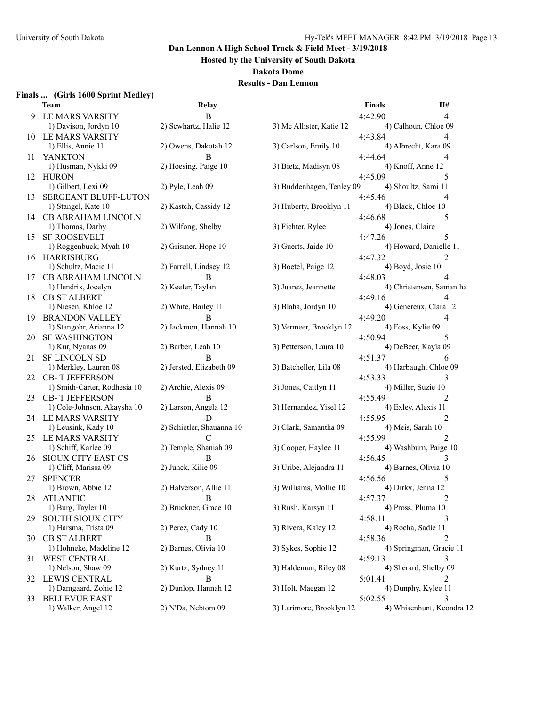**Hosted by the University of South Dakota**

**Dakota Dome**

## **Results - Dan Lennon**

## **Finals ... (Girls 1600 Sprint Medley)**

|     | Team                                       | Relay                                  |                           | <b>Finals</b>                    | H#                        |
|-----|--------------------------------------------|----------------------------------------|---------------------------|----------------------------------|---------------------------|
| 9   | LE MARS VARSITY                            | B                                      |                           | 4:42.90                          | 4                         |
|     | 1) Davison, Jordyn 10                      | 2) Scwhartz, Halie 12                  | 3) Mc Allister, Katie 12  | 4) Calhoun, Chloe 09             |                           |
|     | 10 LE MARS VARSITY                         |                                        |                           | 4:43.84                          |                           |
|     | 1) Ellis, Annie 11                         | 2) Owens, Dakotah 12                   | 3) Carlson, Emily 10      | 4) Albrecht, Kara 09             |                           |
| 11  | <b>YANKTON</b>                             | B                                      |                           | 4:44.64                          | 4                         |
|     | 1) Husman, Nykki 09                        | 2) Hoesing, Paige 10                   | 3) Bietz, Madisyn 08      | 4) Knoff, Anne 12                |                           |
|     | 12 HURON                                   |                                        |                           | 4:45.09                          | 5                         |
|     | 1) Gilbert, Lexi 09                        | 2) Pyle, Leah 09                       | 3) Buddenhagen, Tenley 09 | 4) Shoultz, Sami 11              |                           |
| 13  | <b>SERGEANT BLUFF-LUTON</b>                |                                        |                           | 4:45.46                          | 4                         |
|     | 1) Stangel, Kate 10                        | 2) Kastch, Cassidy 12                  | 3) Huberty, Brooklyn 11   | 4) Black, Chloe 10               |                           |
|     | 14 CB ABRAHAM LINCOLN                      |                                        |                           | 4:46.68                          | 5                         |
|     | 1) Thomas, Darby                           | 2) Wilfong, Shelby                     | 3) Fichter, Rylee         | 4) Jones, Claire                 |                           |
| 15  | <b>SF ROOSEVELT</b>                        |                                        |                           | 4:47.26                          | 5                         |
|     | 1) Roggenbuck, Myah 10                     | 2) Grismer, Hope 10                    | 3) Guerts, Jaide 10       | 4) Howard, Danielle 11           |                           |
|     | 16 HARRISBURG                              |                                        |                           | 4:47.32                          | 2                         |
|     | 1) Schultz, Macie 11                       | 2) Farrell, Lindsey 12                 | 3) Boetel, Paige 12       | 4) Boyd, Josie 10                |                           |
| 17  | <b>CB ABRAHAM LINCOLN</b>                  | B                                      |                           | 4:48.03                          | 4                         |
|     | 1) Hendrix, Jocelyn                        | 2) Keefer, Taylan                      | 3) Juarez, Jeannette      | 4) Christensen, Samantha         |                           |
| 18  | <b>CB ST ALBERT</b>                        |                                        |                           | 4:49.16                          |                           |
|     | 1) Niesen, Khloe 12                        | 2) White, Bailey 11                    | 3) Blaha, Jordyn 10       | 4) Genereux, Clara 12            |                           |
| 19. | <b>BRANDON VALLEY</b>                      | B                                      |                           | 4:49.20                          | 4                         |
|     | 1) Stangohr, Arianna 12                    | 2) Jackmon, Hannah 10                  | 3) Vermeer, Brooklyn 12   | 4) Foss, Kylie 09                |                           |
| 20. | <b>SF WASHINGTON</b>                       |                                        |                           | 4:50.94                          | 5                         |
|     | 1) Kur, Nyanas 09                          | 2) Barber, Leah 10                     | 3) Petterson, Laura 10    | 4) DeBeer, Kayla 09              |                           |
| 21  | <b>SF LINCOLN SD</b>                       | B                                      |                           | 4:51.37                          | 6                         |
|     | 1) Merkley, Lauren 08                      | 2) Jersted, Elizabeth 09               | 3) Batcheller, Lila 08    | 4) Harbaugh, Chloe 09            |                           |
|     | 22 CB-T JEFFERSON                          |                                        |                           | 4:53.33                          | 3                         |
|     | 1) Smith-Carter, Rodhesia 10               | 2) Archie, Alexis 09                   | 3) Jones, Caitlyn 11      | 4) Miller, Suzie 10              |                           |
| 23  | <b>CB-T JEFFERSON</b>                      | B                                      |                           | 4:55.49                          | $\overline{c}$            |
|     | 1) Cole-Johnson, Akaysha 10                | 2) Larson, Angela 12                   | 3) Hernandez, Yisel 12    | 4) Exley, Alexis 11              |                           |
|     | 24 LE MARS VARSITY                         | D                                      |                           | 4:55.95                          | 2                         |
|     | 1) Leusink, Kady 10                        | 2) Schietler, Shauanna 10              | 3) Clark, Samantha 09     | 4) Meis, Sarah 10                |                           |
|     | 25 LE MARS VARSITY<br>1) Schiff, Karlee 09 | $\mathcal{C}$<br>2) Temple, Shaniah 09 | 3) Cooper, Haylee 11      | 4:55.99<br>4) Washburn, Paige 10 | 2                         |
|     |                                            | B                                      |                           | 4:56.45                          |                           |
| 26. | SIOUX CITY EAST CS<br>1) Cliff, Marissa 09 | 2) Junck, Kilie 09                     | 3) Uribe, Alejandra 11    | 4) Barnes, Olivia 10             |                           |
| 27  | <b>SPENCER</b>                             |                                        |                           | 4:56.56                          | 5                         |
|     | 1) Brown, Abbie 12                         | 2) Halverson, Allie 11                 | 3) Williams, Mollie 10    | 4) Dirkx, Jenna 12               |                           |
|     | 28 ATLANTIC                                | $\overline{B}$                         |                           | 4:57.37                          |                           |
|     | 1) Burg, Tayler 10                         | 2) Bruckner, Grace 10                  | 3) Rush, Karsyn 11        | 4) Pross, Pluma 10               |                           |
| 29. | <b>SOUTH SIOUX CITY</b>                    |                                        |                           | 4:58.11                          |                           |
|     | 1) Harsma, Trista 09                       | 2) Perez, Cady 10                      | 3) Rivera, Kaley 12       | 4) Rocha, Sadie 11               |                           |
|     | 30 CB ST ALBERT                            | В                                      |                           | 4:58.36                          |                           |
|     | 1) Hohneke, Madeline 12                    | 2) Barnes, Olivia 10                   | 3) Sykes, Sophie 12       | 4) Springman, Gracie 11          |                           |
| 31  | WEST CENTRAL                               |                                        |                           | 4:59.13                          | 3                         |
|     | 1) Nelson, Shaw 09                         | 2) Kurtz, Sydney 11                    | 3) Haldeman, Riley 08     | 4) Sherard, Shelby 09            |                           |
|     | 32 LEWIS CENTRAL                           | <sub>B</sub>                           |                           | 5:01.41                          | 2                         |
|     | 1) Damgaard, Zohie 12                      | 2) Dunlop, Hannah 12                   | 3) Holt, Maegan 12        | 4) Dunphy, Kylee 11              |                           |
|     | 33 BELLEVUE EAST                           |                                        |                           | 5:02.55                          | 3                         |
|     | 1) Walker, Angel 12                        | 2) N'Da, Nebtom 09                     | 3) Larimore, Brooklyn 12  |                                  | 4) Whisenhunt, Keondra 12 |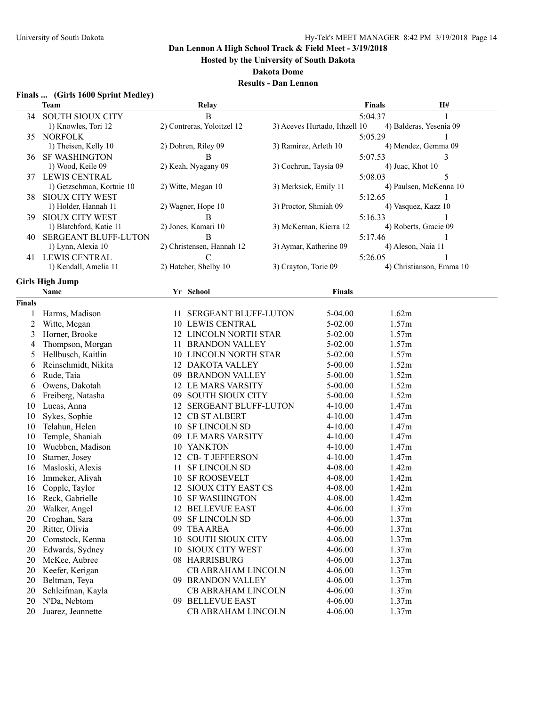**Hosted by the University of South Dakota**

**Dakota Dome**

## **Results - Dan Lennon**

#### **Finals ... (Girls 1600 Sprint Medley)**

|               | Team                        |    | Relay                      |                               | <b>Finals</b> | H#                       |
|---------------|-----------------------------|----|----------------------------|-------------------------------|---------------|--------------------------|
| 34            | <b>SOUTH SIOUX CITY</b>     |    | B                          |                               | 5:04.37       |                          |
|               | 1) Knowles, Tori 12         |    | 2) Contreras, Yoloitzel 12 | 3) Aceves Hurtado, Ithzell 10 |               | 4) Balderas, Yesenia 09  |
| 35            | <b>NORFOLK</b>              |    |                            |                               | 5:05.29       |                          |
|               | 1) Theisen, Kelly 10        |    | 2) Dohren, Riley 09        | 3) Ramirez, Arleth 10         |               | 4) Mendez, Gemma 09      |
| 36            | <b>SF WASHINGTON</b>        |    | B                          |                               | 5:07.53       | 3                        |
|               | 1) Wood, Keile 09           |    | 2) Keah, Nyagany 09        | 3) Cochrun, Taysia 09         |               | 4) Juac, Khot 10         |
|               | 37 LEWIS CENTRAL            |    |                            |                               | 5:08.03       | 5                        |
|               | 1) Getzschman, Kortnie 10   |    | 2) Witte, Megan 10         | 3) Merksick, Emily 11         |               | 4) Paulsen, McKenna 10   |
| 38            | SIOUX CITY WEST             |    |                            |                               | 5:12.65       |                          |
|               | 1) Holder, Hannah 11        |    | 2) Wagner, Hope 10         | 3) Proctor, Shmiah 09         |               | 4) Vasquez, Kazz 10      |
| 39.           | <b>SIOUX CITY WEST</b>      |    | В                          |                               | 5:16.33       |                          |
|               | 1) Blatchford, Katie 11     |    | 2) Jones, Kamari 10        | 3) McKernan, Kierra 12        |               | 4) Roberts, Gracie 09    |
| 40            | <b>SERGEANT BLUFF-LUTON</b> |    | B                          |                               | 5:17.46       | 1                        |
|               | 1) Lynn, Alexia 10          |    | 2) Christensen, Hannah 12  | 3) Aymar, Katherine 09        |               | 4) Aleson, Naia 11       |
| 41            | LEWIS CENTRAL               |    | $\mathcal{C}$              |                               | 5:26.05       |                          |
|               | 1) Kendall, Amelia 11       |    | 2) Hatcher, Shelby 10      | 3) Crayton, Torie 09          |               | 4) Christianson, Emma 10 |
|               |                             |    |                            |                               |               |                          |
|               | <b>Girls High Jump</b>      |    |                            |                               |               |                          |
|               | Name                        |    | Yr School                  | <b>Finals</b>                 |               |                          |
| <b>Finals</b> |                             |    |                            |                               |               |                          |
|               | Harms, Madison              |    | 11 SERGEANT BLUFF-LUTON    | 5-04.00                       |               | 1.62m                    |
| 2             | Witte, Megan                |    | 10 LEWIS CENTRAL           | 5-02.00                       |               | 1.57m                    |
| 3             | Horner, Brooke              |    | 12 LINCOLN NORTH STAR      | 5-02.00                       |               | 1.57m                    |
| 4             | Thompson, Morgan            |    | 11 BRANDON VALLEY          | $5-02.00$                     |               | 1.57m                    |
| 5             | Hellbusch, Kaitlin          |    | 10 LINCOLN NORTH STAR      | 5-02.00                       |               | 1.57m                    |
| 6             | Reinschmidt, Nikita         |    | 12 DAKOTA VALLEY           | $5 - 00.00$                   |               | 1.52m                    |
| 6             | Rude, Taia                  |    | 09 BRANDON VALLEY          | $5 - 00.00$                   |               | 1.52m                    |
| 6             | Owens, Dakotah              |    | 12 LE MARS VARSITY         | $5 - 00.00$                   |               | 1.52m                    |
| 6             | Freiberg, Natasha           |    | 09 SOUTH SIOUX CITY        | $5 - 00.00$                   |               | 1.52m                    |
| 10            | Lucas, Anna                 |    | 12 SERGEANT BLUFF-LUTON    | $4 - 10.00$                   |               | 1.47m                    |
| 10            | Sykes, Sophie               |    | 12 CB ST ALBERT            | 4-10.00                       |               | 1.47m                    |
| 10            | Telahun, Helen              |    | 10 SF LINCOLN SD           | $4 - 10.00$                   |               | 1.47m                    |
| 10            | Temple, Shaniah             |    | 09 LE MARS VARSITY         | $4 - 10.00$                   |               | 1.47m                    |
| 10            | Wuebben, Madison            |    | 10 YANKTON                 | $4 - 10.00$                   |               | 1.47m                    |
| 10            | Starner, Josey              |    | 12 CB-T JEFFERSON          | $4 - 10.00$                   |               | 1.47m                    |
| 16            | Masloski, Alexis            | 11 | <b>SF LINCOLN SD</b>       | 4-08.00                       |               | 1.42m                    |
| 16            | Immeker, Aliyah             |    | <b>10 SF ROOSEVELT</b>     | 4-08.00                       |               | 1.42m                    |
| 16            | Copple, Taylor              |    | 12 SIOUX CITY EAST CS      | 4-08.00                       |               | 1.42m                    |
|               | 16 Reck, Gabrielle          |    | 10 SF WASHINGTON           | 4-08.00                       |               | 1.42m                    |
| 20.           | Walker, Angel               |    | 12 BELLEVUE EAST           | 4-06.00                       |               | 1.37m                    |
| 20            | Croghan, Sara               |    | 09 SF LINCOLN SD           | 4-06.00                       |               | 1.37m                    |
| 20            | Ritter, Olivia              |    | 09 TEA AREA                | 4-06.00                       |               | 1.37m                    |
| 20            | Comstock, Kenna             | 10 | <b>SOUTH SIOUX CITY</b>    | 4-06.00                       |               | 1.37m                    |
|               |                             |    |                            |                               |               |                          |
| 20            | Edwards, Sydney             | 10 | <b>SIOUX CITY WEST</b>     | 4-06.00                       |               | 1.37m                    |
| 20            | McKee, Aubree               |    | 08 HARRISBURG              | 4-06.00                       |               | 1.37m                    |
| 20            | Keefer, Kerigan             |    | CB ABRAHAM LINCOLN         | 4-06.00                       |               | 1.37m                    |
| 20            | Beltman, Teya               |    | 09 BRANDON VALLEY          | 4-06.00                       |               | 1.37m                    |
| 20            | Schleifman, Kayla           |    | <b>CB ABRAHAM LINCOLN</b>  | 4-06.00                       |               | 1.37m                    |
| 20            | N'Da, Nebtom                |    | 09 BELLEVUE EAST           | 4-06.00                       |               | 1.37m                    |
| 20            | Juarez, Jeannette           |    | CB ABRAHAM LINCOLN         | 4-06.00                       |               | 1.37m                    |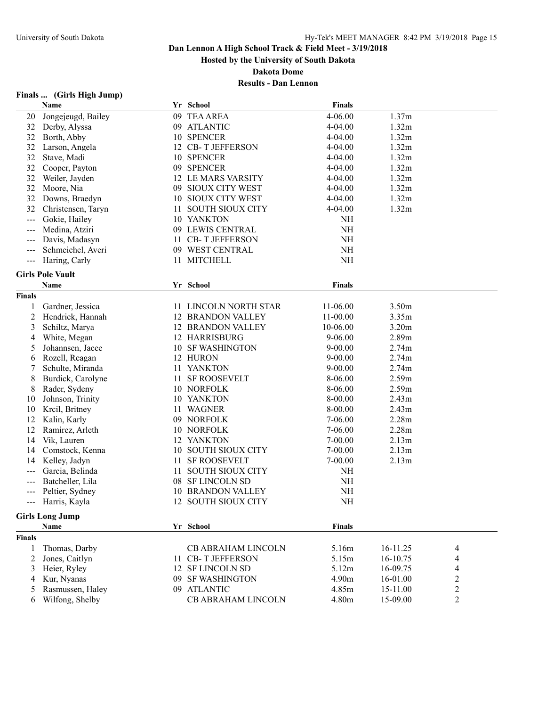**Hosted by the University of South Dakota**

**Dakota Dome**

## **Results - Dan Lennon**

# **Finals ... (Girls High Jump)**

|                            | Name                    |     | Yr School                | <b>Finals</b> |                   |                          |
|----------------------------|-------------------------|-----|--------------------------|---------------|-------------------|--------------------------|
| 20                         | Jongejeugd, Bailey      |     | 09 TEA AREA              | 4-06.00       | 1.37m             |                          |
| 32                         | Derby, Alyssa           |     | 09 ATLANTIC              | 4-04.00       | 1.32m             |                          |
| 32                         | Borth, Abby             |     | 10 SPENCER               | 4-04.00       | 1.32m             |                          |
| 32                         | Larson, Angela          |     | 12 CB-T JEFFERSON        | 4-04.00       | 1.32m             |                          |
| 32                         | Stave, Madi             |     | 10 SPENCER               | 4-04.00       | 1.32m             |                          |
| 32                         | Cooper, Payton          |     | 09 SPENCER               | 4-04.00       | 1.32m             |                          |
| 32                         | Weiler, Jayden          |     | 12 LE MARS VARSITY       | 4-04.00       | 1.32m             |                          |
| 32                         | Moore, Nia              |     | 09 SIOUX CITY WEST       | 4-04.00       | 1.32m             |                          |
| 32                         | Downs, Braedyn          |     | 10 SIOUX CITY WEST       | 4-04.00       | 1.32m             |                          |
| 32                         | Christensen, Taryn      | 11. | <b>SOUTH SIOUX CITY</b>  | 4-04.00       | 1.32m             |                          |
| $\qquad \qquad -$          | Gokie, Hailey           |     | 10 YANKTON               | <b>NH</b>     |                   |                          |
| $---$                      | Medina, Atziri          |     | 09 LEWIS CENTRAL         | $\rm NH$      |                   |                          |
| $---$                      | Davis, Madasyn          |     | 11 CB-T JEFFERSON        | NH            |                   |                          |
| $---$                      | Schmeichel, Averi       |     | 09 WEST CENTRAL          | <b>NH</b>     |                   |                          |
| $\qquad \qquad - \qquad -$ | Haring, Carly           | 11  | <b>MITCHELL</b>          | NH            |                   |                          |
|                            |                         |     |                          |               |                   |                          |
|                            | <b>Girls Pole Vault</b> |     |                          |               |                   |                          |
|                            | Name                    |     | Yr School                | <b>Finals</b> |                   |                          |
| <b>Finals</b>              |                         |     |                          |               |                   |                          |
|                            | Gardner, Jessica        |     | 11 LINCOLN NORTH STAR    | 11-06.00      | 3.50m             |                          |
| 2                          | Hendrick, Hannah        |     | <b>12 BRANDON VALLEY</b> | $11-00.00$    | 3.35m             |                          |
| 3                          | Schiltz, Marya          |     | <b>12 BRANDON VALLEY</b> | 10-06.00      | 3.20m             |                          |
| 4                          | White, Megan            |     | 12 HARRISBURG            | $9 - 06.00$   | 2.89m             |                          |
| 5                          | Johannsen, Jacee        |     | 10 SF WASHINGTON         | $9 - 00.00$   | 2.74m             |                          |
| 6                          | Rozell, Reagan          |     | 12 HURON                 | $9 - 00.00$   | 2.74m             |                          |
| 7                          | Schulte, Miranda        |     | 11 YANKTON               | $9 - 00.00$   | 2.74m             |                          |
| 8                          | Burdick, Carolyne       | 11  | <b>SF ROOSEVELT</b>      | 8-06.00       | 2.59m             |                          |
| 8                          | Rader, Sydeny           |     | 10 NORFOLK               | 8-06.00       | 2.59m             |                          |
| 10                         | Johnson, Trinity        |     | 10 YANKTON               | 8-00.00       | 2.43m             |                          |
| 10                         | Krcil, Britney          | 11. | <b>WAGNER</b>            | 8-00.00       | 2.43 <sub>m</sub> |                          |
| 12                         | Kalin, Karly            |     | 09 NORFOLK               | $7-06.00$     | 2.28m             |                          |
| 12                         | Ramirez, Arleth         |     | 10 NORFOLK               | $7-06.00$     | 2.28m             |                          |
| 14                         | Vik, Lauren             |     | 12 YANKTON               | $7 - 00.00$   | 2.13m             |                          |
| 14                         | Comstock, Kenna         | 10  | <b>SOUTH SIOUX CITY</b>  | $7 - 00.00$   | 2.13m             |                          |
| 14                         | Kelley, Jadyn           | 11. | <b>SF ROOSEVELT</b>      | $7 - 00.00$   | 2.13m             |                          |
| $---$                      | Garcia, Belinda         | 11  | <b>SOUTH SIOUX CITY</b>  | NH            |                   |                          |
| $---$                      | Batcheller, Lila        |     | 08 SF LINCOLN SD         | $\rm NH$      |                   |                          |
| $---$                      | Peltier, Sydney         |     | <b>10 BRANDON VALLEY</b> | <b>NH</b>     |                   |                          |
|                            | Harris, Kayla           |     | 12 SOUTH SIOUX CITY      | $\rm NH$      |                   |                          |
|                            |                         |     |                          |               |                   |                          |
|                            | <b>Girls Long Jump</b>  |     |                          |               |                   |                          |
|                            | <b>Name</b>             |     | Yr School                | <b>Finals</b> |                   |                          |
| <b>Finals</b>              |                         |     |                          |               |                   |                          |
| 1                          | Thomas, Darby           |     | CB ABRAHAM LINCOLN       | 5.16m         | 16-11.25          | 4                        |
| 2                          | Jones, Caitlyn          |     | 11 CB-T JEFFERSON        | 5.15m         | 16-10.75          | $\overline{\mathcal{L}}$ |
| 3                          | Heier, Ryley            |     | 12 SF LINCOLN SD         | 5.12m         | 16-09.75          | $\overline{\mathcal{L}}$ |
| 4                          | Kur, Nyanas             |     | 09 SF WASHINGTON         | 4.90m         | 16-01.00          | $\boldsymbol{2}$         |
| 5                          | Rasmussen, Haley        |     | 09 ATLANTIC              | 4.85m         | 15-11.00          | $\boldsymbol{2}$         |
| 6                          | Wilfong, Shelby         |     | CB ABRAHAM LINCOLN       | 4.80m         | 15-09.00          | $\overline{2}$           |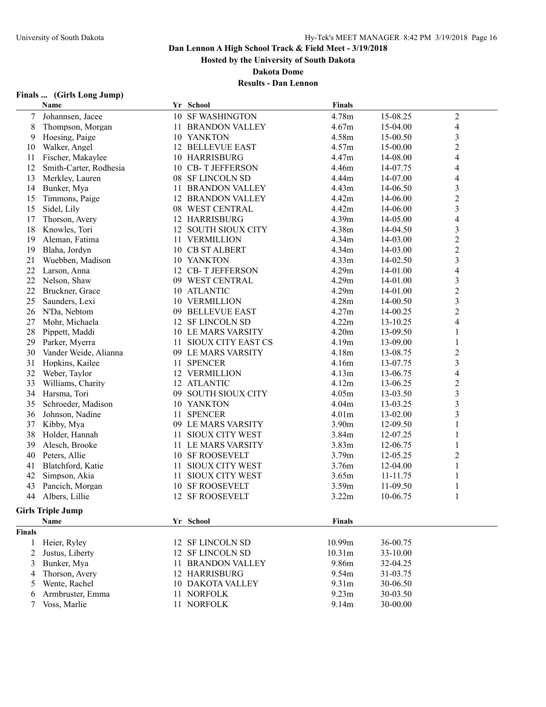**Hosted by the University of South Dakota**

**Dakota Dome**

## **Results - Dan Lennon**

## **Finals ... (Girls Long Jump)**

|               | <b>Name</b>              |    | Yr School                 | <b>Finals</b> |          |                          |
|---------------|--------------------------|----|---------------------------|---------------|----------|--------------------------|
| 7             | Johannsen, Jacee         |    | 10 SF WASHINGTON          | 4.78m         | 15-08.25 | $\boldsymbol{2}$         |
| 8             | Thompson, Morgan         |    | 11 BRANDON VALLEY         | 4.67m         | 15-04.00 | 4                        |
| 9             | Hoesing, Paige           |    | 10 YANKTON                | 4.58m         | 15-00.50 | 3                        |
| 10            | Walker, Angel            |    | <b>12 BELLEVUE EAST</b>   | 4.57m         | 15-00.00 | $\overline{\mathbf{c}}$  |
| 11            | Fischer, Makaylee        |    | 10 HARRISBURG             | 4.47m         | 14-08.00 | 4                        |
| 12            | Smith-Carter, Rodhesia   |    | 10 CB-T JEFFERSON         | 4.46m         | 14-07.75 | 4                        |
| 13            | Merkley, Lauren          |    | 08 SF LINCOLN SD          | 4.44m         | 14-07.00 | 4                        |
| 14            | Bunker, Mya              |    | 11 BRANDON VALLEY         | 4.43m         | 14-06.50 | 3                        |
| 15            | Timmons, Paige           |    | <b>12 BRANDON VALLEY</b>  | 4.42m         | 14-06.00 | $\overline{c}$           |
| 15            | Sidel, Lily              |    | 08 WEST CENTRAL           | 4.42m         | 14-06.00 | 3                        |
| 17            | Thorson, Avery           |    | <b>12 HARRISBURG</b>      | 4.39m         | 14-05.00 | 4                        |
| 18            | Knowles, Tori            | 12 | <b>SOUTH SIOUX CITY</b>   | 4.38m         | 14-04.50 | 3                        |
| 19            | Aleman, Fatima           |    | 11 VERMILLION             | 4.34m         | 14-03.00 | $\overline{c}$           |
| 19            | Blaha, Jordyn            |    | 10 CB ST ALBERT           | 4.34m         | 14-03.00 | $\overline{c}$           |
| 21            | Wuebben, Madison         |    | 10 YANKTON                | 4.33m         | 14-02.50 | 3                        |
| 22            | Larson, Anna             |    | 12 CB-T JEFFERSON         | 4.29m         | 14-01.00 | 4                        |
| 22            | Nelson, Shaw             |    | 09 WEST CENTRAL           | 4.29m         | 14-01.00 | 3                        |
| 22            | Bruckner, Grace          |    | 10 ATLANTIC               | 4.29m         | 14-01.00 | $\overline{\mathbf{c}}$  |
| 25            | Saunders, Lexi           |    | <b>10 VERMILLION</b>      | 4.28m         | 14-00.50 | $\overline{\mathbf{3}}$  |
| 26            | N'Da, Nebtom             |    | 09 BELLEVUE EAST          | 4.27m         | 14-00.25 | $\overline{c}$           |
| 27            | Mohr, Michaela           |    | 12 SF LINCOLN SD          | 4.22m         | 13-10.25 | 4                        |
| 28            | Pippett, Maddi           |    | <b>10 LE MARS VARSITY</b> | 4.20m         | 13-09.50 | 1                        |
| 29            | Parker, Myerra           | 11 | SIOUX CITY EAST CS        | 4.19m         | 13-09.00 | 1                        |
| 30            | Vander Weide, Alianna    |    | 09 LE MARS VARSITY        | 4.18m         | 13-08.75 | $\overline{c}$           |
| 31            | Hopkins, Kailee          | 11 | <b>SPENCER</b>            | 4.16m         | 13-07.75 | $\overline{\mathbf{3}}$  |
| 32            | Weber, Taylor            |    | 12 VERMILLION             | 4.13m         | 13-06.75 | $\overline{\mathcal{L}}$ |
| 33            | Williams, Charity        |    | 12 ATLANTIC               | 4.12m         | 13-06.25 | $\overline{c}$           |
| 34            | Harsma, Tori             |    | 09 SOUTH SIOUX CITY       | 4.05m         | 13-03.50 | 3                        |
| 35            | Schroeder, Madison       |    | 10 YANKTON                | 4.04m         | 13-03.25 | 3                        |
| 36            | Johnson, Nadine          | 11 | <b>SPENCER</b>            | 4.01m         | 13-02.00 | 3                        |
| 37            | Kibby, Mya               |    | 09 LE MARS VARSITY        | 3.90m         | 12-09.50 |                          |
| 38            | Holder, Hannah           | 11 | SIOUX CITY WEST           | 3.84m         | 12-07.25 |                          |
| 39            | Alesch, Brooke           |    | 11 LE MARS VARSITY        | 3.83m         | 12-06.75 |                          |
| 40            | Peters, Allie            |    | 10 SF ROOSEVELT           | 3.79m         | 12-05.25 | 2                        |
| 41            | Blatchford, Katie        | 11 | <b>SIOUX CITY WEST</b>    | 3.76m         | 12-04.00 | 1                        |
| 42            | Simpson, Akia            | 11 | <b>SIOUX CITY WEST</b>    | 3.65m         | 11-11.75 | 1                        |
| 43            | Pancich, Morgan          | 10 | <b>SF ROOSEVELT</b>       | 3.59m         | 11-09.50 |                          |
| 44            | Albers, Lillie           |    | 12 SF ROOSEVELT           | 3.22m         | 10-06.75 | 1                        |
|               | <b>Girls Triple Jump</b> |    |                           |               |          |                          |
|               | Name                     |    | Yr School                 | <b>Finals</b> |          |                          |
| <b>Finals</b> |                          |    |                           |               |          |                          |
| 1             | Heier, Ryley             | 12 | <b>SF LINCOLN SD</b>      | 10.99m        | 36-00.75 |                          |
| 2             | Justus, Liberty          | 12 | <b>SF LINCOLN SD</b>      | 10.31m        | 33-10.00 |                          |
| 3             | Bunker, Mya              | 11 | <b>BRANDON VALLEY</b>     | 9.86m         | 32-04.25 |                          |
| 4             | Thorson, Avery           |    | 12 HARRISBURG             | 9.54m         | 31-03.75 |                          |
| 5             | Wente, Rachel            |    | <b>10 DAKOTA VALLEY</b>   | 9.31m         | 30-06.50 |                          |
| 6             | Armbruster, Emma         | 11 | <b>NORFOLK</b>            | 9.23m         | 30-03.50 |                          |
| 7             | Voss, Marlie             | 11 | <b>NORFOLK</b>            | 9.14m         | 30-00.00 |                          |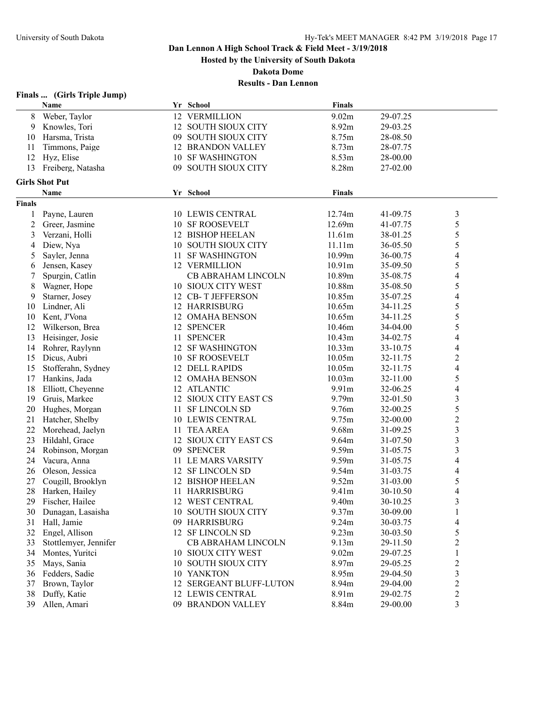**Hosted by the University of South Dakota**

**Dakota Dome**

| <b>Finals</b> |  |  | (Girls Triple Jump) |
|---------------|--|--|---------------------|
|---------------|--|--|---------------------|

|                | Name                  |     | Yr School                 | <b>Finals</b>  |          |                          |
|----------------|-----------------------|-----|---------------------------|----------------|----------|--------------------------|
| 8              | Weber, Taylor         |     | 12 VERMILLION             | 9.02m          | 29-07.25 |                          |
| 9              | Knowles, Tori         |     | 12 SOUTH SIOUX CITY       | 8.92m          | 29-03.25 |                          |
| 10             | Harsma, Trista        |     | 09 SOUTH SIOUX CITY       | 8.75m          | 28-08.50 |                          |
| 11             | Timmons, Paige        |     | <b>12 BRANDON VALLEY</b>  | 8.73m          | 28-07.75 |                          |
| 12             | Hyz, Elise            | 10  | <b>SF WASHINGTON</b>      | 8.53m          | 28-00.00 |                          |
| 13             | Freiberg, Natasha     | 09. | <b>SOUTH SIOUX CITY</b>   | 8.28m          | 27-02.00 |                          |
|                |                       |     |                           |                |          |                          |
|                | <b>Girls Shot Put</b> |     |                           |                |          |                          |
|                | Name                  |     | Yr School                 | <b>Finals</b>  |          |                          |
| <b>Finals</b>  |                       |     |                           |                |          |                          |
| 1              | Payne, Lauren         |     | <b>10 LEWIS CENTRAL</b>   | 12.74m         | 41-09.75 | 3                        |
| $\overline{c}$ | Greer, Jasmine        |     | <b>10 SF ROOSEVELT</b>    | 12.69m         | 41-07.75 | 5                        |
| 3              | Verzani, Holli        |     | 12 BISHOP HEELAN          | 11.61m         | 38-01.25 | 5                        |
| 4              | Diew, Nya             | 10  | <b>SOUTH SIOUX CITY</b>   | 11.11m         | 36-05.50 | 5                        |
| 5              | Sayler, Jenna         | 11  | <b>SF WASHINGTON</b>      | 10.99m         | 36-00.75 | 4                        |
| 6              | Jensen, Kasey         |     | 12 VERMILLION             | 10.91m         | 35-09.50 | 5                        |
| 7              | Spurgin, Catlin       |     | <b>CB ABRAHAM LINCOLN</b> | 10.89m         | 35-08.75 | 4                        |
| 8              | Wagner, Hope          |     | 10 SIOUX CITY WEST        | 10.88m         | 35-08.50 | 5                        |
| 9              | Starner, Josey        |     | 12 CB-T JEFFERSON         | 10.85m         | 35-07.25 | 4                        |
| 10             | Lindner, Ali          |     | 12 HARRISBURG             | 10.65m         | 34-11.25 | 5                        |
| 10             | Kent, J'Vona          | 12  | <b>OMAHA BENSON</b>       | 10.65m         | 34-11.25 | 5                        |
| 12             | Wilkerson, Brea       |     | 12 SPENCER                | 10.46m         | 34-04.00 | 5                        |
| 13             | Heisinger, Josie      | 11  | <b>SPENCER</b>            | 10.43m         | 34-02.75 | $\overline{\mathcal{L}}$ |
| 14             | Rohrer, Raylynn       |     | 12 SF WASHINGTON          | 10.33m         | 33-10.75 | 4                        |
| 15             | Dicus, Aubri          | 10  | <b>SF ROOSEVELT</b>       | 10.05m         | 32-11.75 | $\overline{\mathbf{c}}$  |
| 15             | Stofferahn, Sydney    |     | 12 DELL RAPIDS            | 10.05m         | 32-11.75 | $\overline{\mathcal{L}}$ |
| 17             | Hankins, Jada         |     | 12 OMAHA BENSON           | 10.03m         | 32-11.00 | 5                        |
| 18             | Elliott, Cheyenne     |     | 12 ATLANTIC               | 9.91m          | 32-06.25 | 4                        |
| 19             | Gruis, Markee         |     | 12 SIOUX CITY EAST CS     | 9.79m          | 32-01.50 | 3                        |
| 20             | Hughes, Morgan        | 11. | <b>SF LINCOLN SD</b>      | 9.76m          | 32-00.25 | 5                        |
| 21             | Hatcher, Shelby       |     | 10 LEWIS CENTRAL          | 9.75m          | 32-00.00 | $\overline{c}$           |
| 22             | Morehead, Jaelyn      | 11  | <b>TEA AREA</b>           | 9.68m          | 31-09.25 | $\overline{\mathbf{3}}$  |
| 23             | Hildahl, Grace        | 12  | SIOUX CITY EAST CS        | 9.64m          | 31-07.50 | $\overline{\mathbf{3}}$  |
| 24             | Robinson, Morgan      | 09. | <b>SPENCER</b>            | 9.59m          | 31-05.75 | $\overline{\mathbf{3}}$  |
| 24             | Vacura, Anna          |     | 11 LE MARS VARSITY        | 9.59m          | 31-05.75 | $\overline{\mathcal{L}}$ |
| 26             | Oleson, Jessica       |     | 12 SF LINCOLN SD          | 9.54m          | 31-03.75 | 4                        |
| 27             | Cougill, Brooklyn     |     | 12 BISHOP HEELAN          | 9.52m          | 31-03.00 | 5                        |
| 28             | Harken, Hailey        |     | 11 HARRISBURG             | 9.41m          | 30-10.50 | 4                        |
|                | 29 Fischer, Hailee    |     | 12 WEST CENTRAL           | 9.40m          | 30-10.25 | 3                        |
| 30             | Dunagan, Lasaisha     |     | 10 SOUTH SIOUX CITY       | 9.37m          | 30-09.00 | 1                        |
| 31             | Hall, Jamie           |     | 09 HARRISBURG             | 9.24m          | 30-03.75 | 4                        |
|                |                       |     |                           |                |          |                          |
| 32             | Engel, Allison        |     | 12 SF LINCOLN SD          | 9.23m<br>9.13m | 30-03.50 | 5<br>2                   |
| 33             | Stottlemyer, Jennifer |     | CB ABRAHAM LINCOLN        |                | 29-11.50 |                          |
| 34             | Montes, Yuritci       |     | 10 SIOUX CITY WEST        | 9.02m          | 29-07.25 | 1                        |
| 35             | Mays, Sania           | 10  | <b>SOUTH SIOUX CITY</b>   | 8.97m          | 29-05.25 | 2                        |
| 36             | Fedders, Sadie        |     | 10 YANKTON                | 8.95m          | 29-04.50 | 3                        |
| 37             | Brown, Taylor         |     | 12 SERGEANT BLUFF-LUTON   | 8.94m          | 29-04.00 | $\overline{c}$           |
| 38             | Duffy, Katie          |     | 12 LEWIS CENTRAL          | 8.91m          | 29-02.75 | $\overline{c}$           |
| 39             | Allen, Amari          |     | 09 BRANDON VALLEY         | 8.84m          | 29-00.00 | 3                        |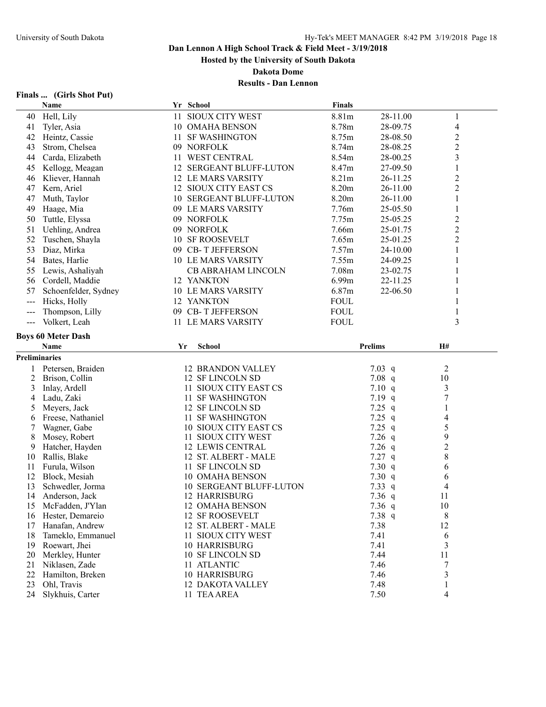**Hosted by the University of South Dakota**

**Dakota Dome**

| (Girls Shot Put)<br>Finals |
|----------------------------|
|----------------------------|

|                      | Name                      |    | Yr School                 | <b>Finals</b> |                |                         |  |
|----------------------|---------------------------|----|---------------------------|---------------|----------------|-------------------------|--|
| 40                   | Hell, Lily                | 11 | SIOUX CITY WEST           | 8.81m         | 28-11.00       | $\mathbf{1}$            |  |
| 41                   | Tyler, Asia               |    | 10 OMAHA BENSON           | 8.78m         | 28-09.75       | 4                       |  |
| 42                   | Heintz, Cassie            | 11 | <b>SF WASHINGTON</b>      | 8.75m         | 28-08.50       | $\overline{2}$          |  |
| 43                   | Strom, Chelsea            |    | 09 NORFOLK                | 8.74m         | 28-08.25       | $\overline{c}$          |  |
| 44                   | Carda, Elizabeth          |    | 11 WEST CENTRAL           | 8.54m         | 28-00.25       | 3                       |  |
| 45                   | Kellogg, Meagan           |    | 12 SERGEANT BLUFF-LUTON   | 8.47m         | 27-09.50       | $\mathbf{1}$            |  |
| 46                   | Kliever, Hannah           |    | 12 LE MARS VARSITY        | 8.21m         | 26-11.25       | $\overline{c}$          |  |
| 47                   | Kern, Ariel               |    | 12 SIOUX CITY EAST CS     | 8.20m         | 26-11.00       | $\overline{c}$          |  |
| 47                   | Muth, Taylor              |    | 10 SERGEANT BLUFF-LUTON   | 8.20m         | 26-11.00       | $\mathbf{1}$            |  |
| 49                   | Haage, Mia                |    | 09 LE MARS VARSITY        | 7.76m         | 25-05.50       | $\mathbf{1}$            |  |
|                      |                           |    |                           |               |                |                         |  |
| 50                   | Tuttle, Elyssa            |    | 09 NORFOLK                | 7.75m         | 25-05.25       | $\overline{\mathbf{c}}$ |  |
| 51                   | Uehling, Andrea           |    | 09 NORFOLK                | 7.66m         | 25-01.75       | $\overline{c}$          |  |
| 52                   | Tuschen, Shayla           | 10 | <b>SF ROOSEVELT</b>       | 7.65m         | 25-01.25       | $\overline{2}$          |  |
| 53                   | Diaz, Mirka               |    | 09 CB-T JEFFERSON         | 7.57m         | 24-10.00       | 1                       |  |
| 54                   | Bates, Harlie             |    | <b>10 LE MARS VARSITY</b> | 7.55m         | 24-09.25       |                         |  |
| 55                   | Lewis, Ashaliyah          |    | <b>CB ABRAHAM LINCOLN</b> | 7.08m         | 23-02.75       | 1                       |  |
| 56                   | Cordell, Maddie           |    | 12 YANKTON                | 6.99m         | 22-11.25       |                         |  |
| 57                   | Schoenfelder, Sydney      |    | <b>10 LE MARS VARSITY</b> | 6.87m         | 22-06.50       | 1                       |  |
| $---$                | Hicks, Holly              |    | 12 YANKTON                | <b>FOUL</b>   |                | 1                       |  |
| $---$                | Thompson, Lilly           | 09 | <b>CB-T JEFFERSON</b>     | <b>FOUL</b>   |                | $\mathbf{1}$            |  |
| $---$                | Volkert, Leah             |    | 11 LE MARS VARSITY        | <b>FOUL</b>   |                | 3                       |  |
|                      |                           |    |                           |               |                |                         |  |
|                      | <b>Boys 60 Meter Dash</b> |    | <b>School</b>             |               |                |                         |  |
|                      | Name                      | Yr |                           |               | <b>Prelims</b> | H#                      |  |
|                      |                           |    |                           |               |                |                         |  |
| <b>Preliminaries</b> |                           |    |                           |               |                |                         |  |
| 1                    | Petersen, Braiden         |    | <b>12 BRANDON VALLEY</b>  |               | $7.03$ q       | 2                       |  |
| 2                    | Brison, Collin            |    | 12 SF LINCOLN SD          |               | $7.08$ q       | 10                      |  |
| 3                    | Inlay, Ardell             |    | 11 SIOUX CITY EAST CS     |               | 7.10 q         | 3                       |  |
| 4                    | Ladu, Zaki                |    | 11 SF WASHINGTON          |               | $7.19$ q       | $\boldsymbol{7}$        |  |
| 5                    | Meyers, Jack              |    | 12 SF LINCOLN SD          |               | 7.25 $q$       | $\mathbf{1}$            |  |
| 6                    | Freese, Nathaniel         |    | 11 SF WASHINGTON          |               | 7.25 $q$       | 4                       |  |
| 7                    | Wagner, Gabe              |    | 10 SIOUX CITY EAST CS     |               | $7.25$ q       | 5                       |  |
| 8                    | Mosey, Robert             |    | 11 SIOUX CITY WEST        |               | $7.26$ q       | 9                       |  |
| 9                    | Hatcher, Hayden           |    | <b>12 LEWIS CENTRAL</b>   |               | $7.26$ q       | $\boldsymbol{2}$        |  |
| 10                   | Rallis, Blake             |    | 12 ST. ALBERT - MALE      |               | $7.27$ q       | 8                       |  |
| 11                   | Furula, Wilson            |    | 11 SF LINCOLN SD          |               | 7.30 q         | 6                       |  |
| 12                   | Block, Mesiah             |    | 10 OMAHA BENSON           |               | 7.30 $q$       | 6                       |  |
| 13                   | Schwedler, Jorma          |    | 10 SERGEANT BLUFF-LUTON   |               | 7.33 $q$       | 4                       |  |
| 14                   | Anderson, Jack            |    | 12 HARRISBURG             |               | 7.36 $q$       | 11                      |  |
| 15                   | McFadden, J'Ylan          |    | 12 OMAHA BENSON           |               | $7.36$ q       | 10                      |  |
| 16                   | Hester, Demareio          |    | 12 SF ROOSEVELT           |               | 7.38 q         | 8                       |  |
| 17                   | Hanafan, Andrew           |    | 12 ST. ALBERT - MALE      |               | 7.38           | 12                      |  |
| 18                   | Tameklo, Emmanuel         |    | 11 SIOUX CITY WEST        |               | 7.41           | 6                       |  |
| 19                   | Roewart, Jhei             |    | 10 HARRISBURG             |               | 7.41           | 3                       |  |
| 20                   | Merkley, Hunter           |    | 10 SF LINCOLN SD          |               | 7.44           | 11                      |  |
| 21                   | Niklasen, Zade            |    | 11 ATLANTIC               |               | 7.46           | 7                       |  |
| 22                   | Hamilton, Breken          |    | 10 HARRISBURG             |               | 7.46           | 3                       |  |
| 23                   | Ohl, Travis               |    | 12 DAKOTA VALLEY          |               | 7.48           | 1                       |  |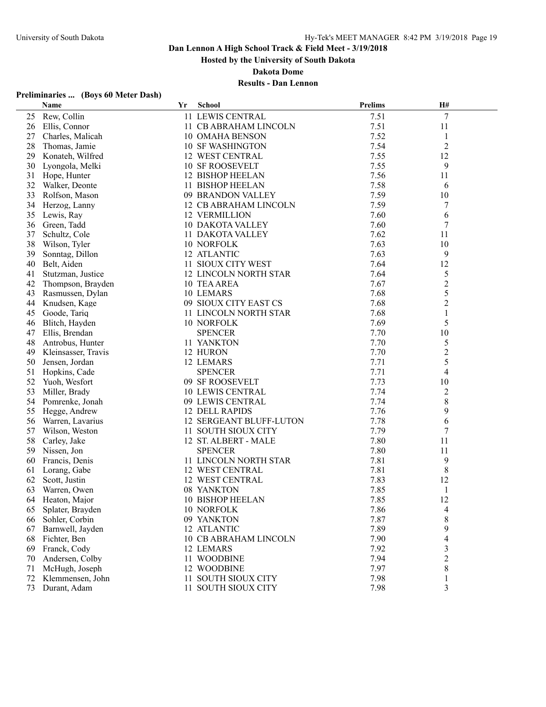**Hosted by the University of South Dakota**

**Dakota Dome**

## **Results - Dan Lennon**

## **Preliminaries ... (Boys 60 Meter Dash)**

|    | Name                | $\mathbf{Yr}$ | <b>School</b>                  | <b>Prelims</b> | H#             |  |
|----|---------------------|---------------|--------------------------------|----------------|----------------|--|
| 25 | Rew, Collin         |               | 11 LEWIS CENTRAL               | 7.51           | $\tau$         |  |
| 26 | Ellis, Connor       |               | 11 CB ABRAHAM LINCOLN          | 7.51           | 11             |  |
| 27 | Charles, Malicah    |               | 10 OMAHA BENSON                | 7.52           | 1              |  |
| 28 | Thomas, Jamie       |               | <b>10 SF WASHINGTON</b>        | 7.54           | $\overline{2}$ |  |
| 29 | Konateh, Wilfred    |               | 12 WEST CENTRAL                | 7.55           | 12             |  |
| 30 | Lyongola, Melki     |               | <b>10 SF ROOSEVELT</b>         | 7.55           | 9              |  |
| 31 | Hope, Hunter        |               | 12 BISHOP HEELAN               | 7.56           | 11             |  |
| 32 | Walker, Deonte      |               | 11 BISHOP HEELAN               | 7.58           | 6              |  |
| 33 | Rolfson, Mason      |               | 09 BRANDON VALLEY              | 7.59           | 10             |  |
| 34 | Herzog, Lanny       |               | 12 CB ABRAHAM LINCOLN          | 7.59           | 7              |  |
| 35 | Lewis, Ray          |               | <b>12 VERMILLION</b>           | 7.60           | 6              |  |
| 36 | Green, Tadd         |               | <b>10 DAKOTA VALLEY</b>        | 7.60           | 7              |  |
| 37 | Schultz, Cole       |               | 11 DAKOTA VALLEY               | 7.62           | 11             |  |
| 38 | Wilson, Tyler       |               | 10 NORFOLK                     | 7.63           | 10             |  |
| 39 | Sonntag, Dillon     |               | 12 ATLANTIC                    | 7.63           | 9              |  |
| 40 | Belt, Aiden         |               | 11 SIOUX CITY WEST             | 7.64           | 12             |  |
| 41 | Stutzman, Justice   |               | 12 LINCOLN NORTH STAR          | 7.64           | 5              |  |
| 42 | Thompson, Brayden   |               | 10 TEA AREA                    | 7.67           | $\overline{c}$ |  |
| 43 | Rasmussen, Dylan    |               | 10 LEMARS                      | 7.68           | 5              |  |
| 44 | Knudsen, Kage       |               | 09 SIOUX CITY EAST CS          | 7.68           | $\overline{2}$ |  |
| 45 | Goode, Tariq        |               | 11 LINCOLN NORTH STAR          | 7.68           | 1              |  |
| 46 | Blitch, Hayden      |               | 10 NORFOLK                     | 7.69           | 5              |  |
| 47 | Ellis, Brendan      |               | <b>SPENCER</b>                 | 7.70           | 10             |  |
| 48 | Antrobus, Hunter    |               | 11 YANKTON                     | 7.70           | 5              |  |
| 49 | Kleinsasser, Travis |               | 12 HURON                       | 7.70           | $\overline{c}$ |  |
| 50 | Jensen, Jordan      |               | 12 LEMARS                      | 7.71           | 5              |  |
| 51 | Hopkins, Cade       |               | <b>SPENCER</b>                 | 7.71           | 4              |  |
| 52 | Yuoh, Wesfort       |               | 09 SF ROOSEVELT                | 7.73           | 10             |  |
| 53 | Miller, Brady       |               | <b>10 LEWIS CENTRAL</b>        | 7.74           | $\overline{c}$ |  |
| 54 | Pomrenke, Jonah     |               | 09 LEWIS CENTRAL               | 7.74           | 8              |  |
| 55 | Hegge, Andrew       |               | <b>12 DELL RAPIDS</b>          | 7.76           | 9              |  |
| 56 | Warren, Lavarius    |               | <b>12 SERGEANT BLUFF-LUTON</b> | 7.78           | 6              |  |
| 57 | Wilson, Weston      |               | 11 SOUTH SIOUX CITY            | 7.79           | 7              |  |
| 58 | Carley, Jake        |               | 12 ST. ALBERT - MALE           | 7.80           | 11             |  |
| 59 | Nissen, Jon         |               | <b>SPENCER</b>                 | 7.80           | 11             |  |
| 60 | Francis, Denis      |               | 11 LINCOLN NORTH STAR          | 7.81           | 9              |  |
| 61 | Lorang, Gabe        |               | 12 WEST CENTRAL                | 7.81           | 8              |  |
| 62 | Scott, Justin       |               | 12 WEST CENTRAL                | 7.83           | 12             |  |
| 63 | Warren, Owen        |               | 08 YANKTON                     | 7.85           | 1              |  |
|    | 64 Heaton, Major    |               | 10 BISHOP HEELAN               | 7.85           | 12             |  |
| 65 | Splater, Brayden    |               | 10 NORFOLK                     | 7.86           | 4              |  |
| 66 | Sohler, Corbin      |               | 09 YANKTON                     | 7.87           | 8              |  |
| 67 | Barnwell, Jayden    |               | 12 ATLANTIC                    | 7.89           | 9              |  |
| 68 | Fichter, Ben        |               | 10 CB ABRAHAM LINCOLN          | 7.90           | 4              |  |
| 69 | Franck, Cody        |               | 12 LEMARS                      | 7.92           | 3              |  |
| 70 | Andersen, Colby     |               | 11 WOODBINE                    | 7.94           | $\overline{c}$ |  |
| 71 | McHugh, Joseph      |               | 12 WOODBINE                    | 7.97           | 8              |  |
| 72 | Klemmensen, John    |               | 11 SOUTH SIOUX CITY            | 7.98           | 1              |  |
| 73 | Durant, Adam        |               | 11 SOUTH SIOUX CITY            | 7.98           | 3              |  |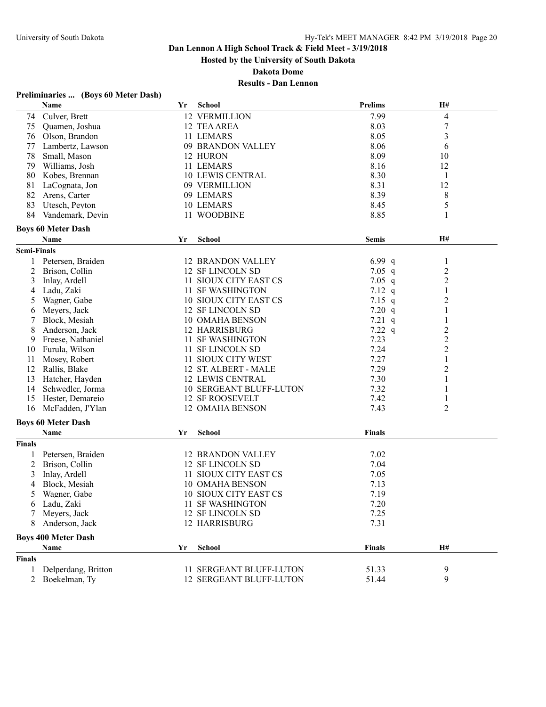**Hosted by the University of South Dakota**

**Dakota Dome**

| $\overline{\mathcal{L}}$<br>74 Culver, Brett<br>12 VERMILLION<br>7.99<br>$\boldsymbol{7}$<br>8.03<br>75<br>Quamen, Joshua<br>12 TEA AREA<br>8.05<br>3<br>76<br>Olson, Brandon<br>11 LEMARS<br>8.06<br>77<br>Lambertz, Lawson<br>09 BRANDON VALLEY<br>6<br>78<br>8.09<br>10<br>12 HURON<br>Small, Mason<br>8.16<br>12<br>79<br>Williams, Josh<br>11 LEMARS<br><b>10 LEWIS CENTRAL</b><br>8.30<br>80<br>Kobes, Brennan<br>$\mathbf{1}$<br>81<br>8.31<br>12<br>LaCognata, Jon<br>09 VERMILLION<br>82<br>8.39<br>8<br>Arens, Carter<br>09 LEMARS<br>83<br>5<br>Utesch, Peyton<br>10 LEMARS<br>8.45<br>84<br>8.85<br>Vandemark, Devin<br>11 WOODBINE<br>1<br><b>Boys 60 Meter Dash</b><br>H#<br>Name<br>Yr<br>School<br><b>Semis</b><br><b>Semi-Finals</b><br>Petersen, Braiden<br><b>12 BRANDON VALLEY</b><br>6.99 $q$<br>1<br>$\mathbf{1}$<br>$\overline{\mathbf{c}}$<br>12 SF LINCOLN SD<br>7.05 $q$<br>2<br>Brison, Collin<br>$\overline{c}$<br>3<br>Inlay, Ardell<br>11 SIOUX CITY EAST CS<br>$7.05$ q<br>Ladu, Zaki<br>11 SF WASHINGTON<br>7.12 $q$<br>1<br>4<br>2<br>Wagner, Gabe<br>10 SIOUX CITY EAST CS<br>7.15 $q$<br>5<br>7.20 q<br>Meyers, Jack<br>12 SF LINCOLN SD<br>1<br>6<br>7.21 $q$<br>Block, Mesiah<br>10 OMAHA BENSON<br>$\mathbf{1}$<br>7.22 $q$<br>12 HARRISBURG<br>$\overline{\mathbf{c}}$<br>8<br>Anderson, Jack<br>$\overline{c}$<br>11 SF WASHINGTON<br>7.23<br>Freese, Nathaniel<br>9<br>$\overline{c}$<br>7.24<br>Furula, Wilson<br>11 SF LINCOLN SD<br>10<br>7.27<br>1<br>Mosey, Robert<br>11 SIOUX CITY WEST<br>11<br>$\overline{c}$<br>Rallis, Blake<br>12 ST. ALBERT - MALE<br>7.29<br>12<br>7.30<br>13<br>Hatcher, Hayden<br><b>12 LEWIS CENTRAL</b><br>1<br>7.32<br>14<br>Schwedler, Jorma<br>10 SERGEANT BLUFF-LUTON<br>1<br>7.42<br>15<br>Hester, Demareio<br><b>12 SF ROOSEVELT</b><br>1<br>$\overline{2}$<br>16<br>McFadden, J'Ylan<br>12 OMAHA BENSON<br>7.43<br><b>Boys 60 Meter Dash</b><br>Name<br><b>School</b><br><b>Finals</b><br>Yr<br><b>Finals</b><br>7.02<br>Petersen, Braiden<br><b>12 BRANDON VALLEY</b><br>2<br>Brison, Collin<br>12 SF LINCOLN SD<br>7.04<br>11 SIOUX CITY EAST CS<br>7.05<br>3<br>Inlay, Ardell<br>Block, Mesiah<br><b>10 OMAHA BENSON</b><br>7.13<br>4<br>10 SIOUX CITY EAST CS<br>7.19<br>5<br>Wagner, Gabe<br>7.20<br>Ladu, Zaki<br>11 SF WASHINGTON<br>O<br>Meyers, Jack<br>12 SF LINCOLN SD<br>7.25<br>7.31<br>Anderson, Jack<br>12 HARRISBURG<br>8<br><b>Boys 400 Meter Dash</b><br>H#<br><b>School</b><br><b>Finals</b><br>Name<br>Yr<br><b>Finals</b><br>Delperdang, Britton<br>11 SERGEANT BLUFF-LUTON<br>9<br>51.33<br>1<br>9<br>Boekelman, Ty<br>12 SERGEANT BLUFF-LUTON<br>51.44<br>2 | Name | Yr | <b>School</b> | <b>Prelims</b> | H# |  |
|---------------------------------------------------------------------------------------------------------------------------------------------------------------------------------------------------------------------------------------------------------------------------------------------------------------------------------------------------------------------------------------------------------------------------------------------------------------------------------------------------------------------------------------------------------------------------------------------------------------------------------------------------------------------------------------------------------------------------------------------------------------------------------------------------------------------------------------------------------------------------------------------------------------------------------------------------------------------------------------------------------------------------------------------------------------------------------------------------------------------------------------------------------------------------------------------------------------------------------------------------------------------------------------------------------------------------------------------------------------------------------------------------------------------------------------------------------------------------------------------------------------------------------------------------------------------------------------------------------------------------------------------------------------------------------------------------------------------------------------------------------------------------------------------------------------------------------------------------------------------------------------------------------------------------------------------------------------------------------------------------------------------------------------------------------------------------------------------------------------------------------------------------------------------------------------------------------------------------------------------------------------------------------------------------------------------------------------------------------------------------------------------------------------------------------------------------------------------------------------------------------------------------------------------------------------------------------------------------------------------------------------------------------------------|------|----|---------------|----------------|----|--|
|                                                                                                                                                                                                                                                                                                                                                                                                                                                                                                                                                                                                                                                                                                                                                                                                                                                                                                                                                                                                                                                                                                                                                                                                                                                                                                                                                                                                                                                                                                                                                                                                                                                                                                                                                                                                                                                                                                                                                                                                                                                                                                                                                                                                                                                                                                                                                                                                                                                                                                                                                                                                                                                                     |      |    |               |                |    |  |
|                                                                                                                                                                                                                                                                                                                                                                                                                                                                                                                                                                                                                                                                                                                                                                                                                                                                                                                                                                                                                                                                                                                                                                                                                                                                                                                                                                                                                                                                                                                                                                                                                                                                                                                                                                                                                                                                                                                                                                                                                                                                                                                                                                                                                                                                                                                                                                                                                                                                                                                                                                                                                                                                     |      |    |               |                |    |  |
|                                                                                                                                                                                                                                                                                                                                                                                                                                                                                                                                                                                                                                                                                                                                                                                                                                                                                                                                                                                                                                                                                                                                                                                                                                                                                                                                                                                                                                                                                                                                                                                                                                                                                                                                                                                                                                                                                                                                                                                                                                                                                                                                                                                                                                                                                                                                                                                                                                                                                                                                                                                                                                                                     |      |    |               |                |    |  |
|                                                                                                                                                                                                                                                                                                                                                                                                                                                                                                                                                                                                                                                                                                                                                                                                                                                                                                                                                                                                                                                                                                                                                                                                                                                                                                                                                                                                                                                                                                                                                                                                                                                                                                                                                                                                                                                                                                                                                                                                                                                                                                                                                                                                                                                                                                                                                                                                                                                                                                                                                                                                                                                                     |      |    |               |                |    |  |
|                                                                                                                                                                                                                                                                                                                                                                                                                                                                                                                                                                                                                                                                                                                                                                                                                                                                                                                                                                                                                                                                                                                                                                                                                                                                                                                                                                                                                                                                                                                                                                                                                                                                                                                                                                                                                                                                                                                                                                                                                                                                                                                                                                                                                                                                                                                                                                                                                                                                                                                                                                                                                                                                     |      |    |               |                |    |  |
|                                                                                                                                                                                                                                                                                                                                                                                                                                                                                                                                                                                                                                                                                                                                                                                                                                                                                                                                                                                                                                                                                                                                                                                                                                                                                                                                                                                                                                                                                                                                                                                                                                                                                                                                                                                                                                                                                                                                                                                                                                                                                                                                                                                                                                                                                                                                                                                                                                                                                                                                                                                                                                                                     |      |    |               |                |    |  |
|                                                                                                                                                                                                                                                                                                                                                                                                                                                                                                                                                                                                                                                                                                                                                                                                                                                                                                                                                                                                                                                                                                                                                                                                                                                                                                                                                                                                                                                                                                                                                                                                                                                                                                                                                                                                                                                                                                                                                                                                                                                                                                                                                                                                                                                                                                                                                                                                                                                                                                                                                                                                                                                                     |      |    |               |                |    |  |
|                                                                                                                                                                                                                                                                                                                                                                                                                                                                                                                                                                                                                                                                                                                                                                                                                                                                                                                                                                                                                                                                                                                                                                                                                                                                                                                                                                                                                                                                                                                                                                                                                                                                                                                                                                                                                                                                                                                                                                                                                                                                                                                                                                                                                                                                                                                                                                                                                                                                                                                                                                                                                                                                     |      |    |               |                |    |  |
|                                                                                                                                                                                                                                                                                                                                                                                                                                                                                                                                                                                                                                                                                                                                                                                                                                                                                                                                                                                                                                                                                                                                                                                                                                                                                                                                                                                                                                                                                                                                                                                                                                                                                                                                                                                                                                                                                                                                                                                                                                                                                                                                                                                                                                                                                                                                                                                                                                                                                                                                                                                                                                                                     |      |    |               |                |    |  |
|                                                                                                                                                                                                                                                                                                                                                                                                                                                                                                                                                                                                                                                                                                                                                                                                                                                                                                                                                                                                                                                                                                                                                                                                                                                                                                                                                                                                                                                                                                                                                                                                                                                                                                                                                                                                                                                                                                                                                                                                                                                                                                                                                                                                                                                                                                                                                                                                                                                                                                                                                                                                                                                                     |      |    |               |                |    |  |
|                                                                                                                                                                                                                                                                                                                                                                                                                                                                                                                                                                                                                                                                                                                                                                                                                                                                                                                                                                                                                                                                                                                                                                                                                                                                                                                                                                                                                                                                                                                                                                                                                                                                                                                                                                                                                                                                                                                                                                                                                                                                                                                                                                                                                                                                                                                                                                                                                                                                                                                                                                                                                                                                     |      |    |               |                |    |  |
|                                                                                                                                                                                                                                                                                                                                                                                                                                                                                                                                                                                                                                                                                                                                                                                                                                                                                                                                                                                                                                                                                                                                                                                                                                                                                                                                                                                                                                                                                                                                                                                                                                                                                                                                                                                                                                                                                                                                                                                                                                                                                                                                                                                                                                                                                                                                                                                                                                                                                                                                                                                                                                                                     |      |    |               |                |    |  |
|                                                                                                                                                                                                                                                                                                                                                                                                                                                                                                                                                                                                                                                                                                                                                                                                                                                                                                                                                                                                                                                                                                                                                                                                                                                                                                                                                                                                                                                                                                                                                                                                                                                                                                                                                                                                                                                                                                                                                                                                                                                                                                                                                                                                                                                                                                                                                                                                                                                                                                                                                                                                                                                                     |      |    |               |                |    |  |
|                                                                                                                                                                                                                                                                                                                                                                                                                                                                                                                                                                                                                                                                                                                                                                                                                                                                                                                                                                                                                                                                                                                                                                                                                                                                                                                                                                                                                                                                                                                                                                                                                                                                                                                                                                                                                                                                                                                                                                                                                                                                                                                                                                                                                                                                                                                                                                                                                                                                                                                                                                                                                                                                     |      |    |               |                |    |  |
|                                                                                                                                                                                                                                                                                                                                                                                                                                                                                                                                                                                                                                                                                                                                                                                                                                                                                                                                                                                                                                                                                                                                                                                                                                                                                                                                                                                                                                                                                                                                                                                                                                                                                                                                                                                                                                                                                                                                                                                                                                                                                                                                                                                                                                                                                                                                                                                                                                                                                                                                                                                                                                                                     |      |    |               |                |    |  |
|                                                                                                                                                                                                                                                                                                                                                                                                                                                                                                                                                                                                                                                                                                                                                                                                                                                                                                                                                                                                                                                                                                                                                                                                                                                                                                                                                                                                                                                                                                                                                                                                                                                                                                                                                                                                                                                                                                                                                                                                                                                                                                                                                                                                                                                                                                                                                                                                                                                                                                                                                                                                                                                                     |      |    |               |                |    |  |
|                                                                                                                                                                                                                                                                                                                                                                                                                                                                                                                                                                                                                                                                                                                                                                                                                                                                                                                                                                                                                                                                                                                                                                                                                                                                                                                                                                                                                                                                                                                                                                                                                                                                                                                                                                                                                                                                                                                                                                                                                                                                                                                                                                                                                                                                                                                                                                                                                                                                                                                                                                                                                                                                     |      |    |               |                |    |  |
|                                                                                                                                                                                                                                                                                                                                                                                                                                                                                                                                                                                                                                                                                                                                                                                                                                                                                                                                                                                                                                                                                                                                                                                                                                                                                                                                                                                                                                                                                                                                                                                                                                                                                                                                                                                                                                                                                                                                                                                                                                                                                                                                                                                                                                                                                                                                                                                                                                                                                                                                                                                                                                                                     |      |    |               |                |    |  |
|                                                                                                                                                                                                                                                                                                                                                                                                                                                                                                                                                                                                                                                                                                                                                                                                                                                                                                                                                                                                                                                                                                                                                                                                                                                                                                                                                                                                                                                                                                                                                                                                                                                                                                                                                                                                                                                                                                                                                                                                                                                                                                                                                                                                                                                                                                                                                                                                                                                                                                                                                                                                                                                                     |      |    |               |                |    |  |
|                                                                                                                                                                                                                                                                                                                                                                                                                                                                                                                                                                                                                                                                                                                                                                                                                                                                                                                                                                                                                                                                                                                                                                                                                                                                                                                                                                                                                                                                                                                                                                                                                                                                                                                                                                                                                                                                                                                                                                                                                                                                                                                                                                                                                                                                                                                                                                                                                                                                                                                                                                                                                                                                     |      |    |               |                |    |  |
|                                                                                                                                                                                                                                                                                                                                                                                                                                                                                                                                                                                                                                                                                                                                                                                                                                                                                                                                                                                                                                                                                                                                                                                                                                                                                                                                                                                                                                                                                                                                                                                                                                                                                                                                                                                                                                                                                                                                                                                                                                                                                                                                                                                                                                                                                                                                                                                                                                                                                                                                                                                                                                                                     |      |    |               |                |    |  |
|                                                                                                                                                                                                                                                                                                                                                                                                                                                                                                                                                                                                                                                                                                                                                                                                                                                                                                                                                                                                                                                                                                                                                                                                                                                                                                                                                                                                                                                                                                                                                                                                                                                                                                                                                                                                                                                                                                                                                                                                                                                                                                                                                                                                                                                                                                                                                                                                                                                                                                                                                                                                                                                                     |      |    |               |                |    |  |
|                                                                                                                                                                                                                                                                                                                                                                                                                                                                                                                                                                                                                                                                                                                                                                                                                                                                                                                                                                                                                                                                                                                                                                                                                                                                                                                                                                                                                                                                                                                                                                                                                                                                                                                                                                                                                                                                                                                                                                                                                                                                                                                                                                                                                                                                                                                                                                                                                                                                                                                                                                                                                                                                     |      |    |               |                |    |  |
|                                                                                                                                                                                                                                                                                                                                                                                                                                                                                                                                                                                                                                                                                                                                                                                                                                                                                                                                                                                                                                                                                                                                                                                                                                                                                                                                                                                                                                                                                                                                                                                                                                                                                                                                                                                                                                                                                                                                                                                                                                                                                                                                                                                                                                                                                                                                                                                                                                                                                                                                                                                                                                                                     |      |    |               |                |    |  |
|                                                                                                                                                                                                                                                                                                                                                                                                                                                                                                                                                                                                                                                                                                                                                                                                                                                                                                                                                                                                                                                                                                                                                                                                                                                                                                                                                                                                                                                                                                                                                                                                                                                                                                                                                                                                                                                                                                                                                                                                                                                                                                                                                                                                                                                                                                                                                                                                                                                                                                                                                                                                                                                                     |      |    |               |                |    |  |
|                                                                                                                                                                                                                                                                                                                                                                                                                                                                                                                                                                                                                                                                                                                                                                                                                                                                                                                                                                                                                                                                                                                                                                                                                                                                                                                                                                                                                                                                                                                                                                                                                                                                                                                                                                                                                                                                                                                                                                                                                                                                                                                                                                                                                                                                                                                                                                                                                                                                                                                                                                                                                                                                     |      |    |               |                |    |  |
|                                                                                                                                                                                                                                                                                                                                                                                                                                                                                                                                                                                                                                                                                                                                                                                                                                                                                                                                                                                                                                                                                                                                                                                                                                                                                                                                                                                                                                                                                                                                                                                                                                                                                                                                                                                                                                                                                                                                                                                                                                                                                                                                                                                                                                                                                                                                                                                                                                                                                                                                                                                                                                                                     |      |    |               |                |    |  |
|                                                                                                                                                                                                                                                                                                                                                                                                                                                                                                                                                                                                                                                                                                                                                                                                                                                                                                                                                                                                                                                                                                                                                                                                                                                                                                                                                                                                                                                                                                                                                                                                                                                                                                                                                                                                                                                                                                                                                                                                                                                                                                                                                                                                                                                                                                                                                                                                                                                                                                                                                                                                                                                                     |      |    |               |                |    |  |
|                                                                                                                                                                                                                                                                                                                                                                                                                                                                                                                                                                                                                                                                                                                                                                                                                                                                                                                                                                                                                                                                                                                                                                                                                                                                                                                                                                                                                                                                                                                                                                                                                                                                                                                                                                                                                                                                                                                                                                                                                                                                                                                                                                                                                                                                                                                                                                                                                                                                                                                                                                                                                                                                     |      |    |               |                |    |  |
|                                                                                                                                                                                                                                                                                                                                                                                                                                                                                                                                                                                                                                                                                                                                                                                                                                                                                                                                                                                                                                                                                                                                                                                                                                                                                                                                                                                                                                                                                                                                                                                                                                                                                                                                                                                                                                                                                                                                                                                                                                                                                                                                                                                                                                                                                                                                                                                                                                                                                                                                                                                                                                                                     |      |    |               |                |    |  |
|                                                                                                                                                                                                                                                                                                                                                                                                                                                                                                                                                                                                                                                                                                                                                                                                                                                                                                                                                                                                                                                                                                                                                                                                                                                                                                                                                                                                                                                                                                                                                                                                                                                                                                                                                                                                                                                                                                                                                                                                                                                                                                                                                                                                                                                                                                                                                                                                                                                                                                                                                                                                                                                                     |      |    |               |                |    |  |
|                                                                                                                                                                                                                                                                                                                                                                                                                                                                                                                                                                                                                                                                                                                                                                                                                                                                                                                                                                                                                                                                                                                                                                                                                                                                                                                                                                                                                                                                                                                                                                                                                                                                                                                                                                                                                                                                                                                                                                                                                                                                                                                                                                                                                                                                                                                                                                                                                                                                                                                                                                                                                                                                     |      |    |               |                |    |  |
|                                                                                                                                                                                                                                                                                                                                                                                                                                                                                                                                                                                                                                                                                                                                                                                                                                                                                                                                                                                                                                                                                                                                                                                                                                                                                                                                                                                                                                                                                                                                                                                                                                                                                                                                                                                                                                                                                                                                                                                                                                                                                                                                                                                                                                                                                                                                                                                                                                                                                                                                                                                                                                                                     |      |    |               |                |    |  |
|                                                                                                                                                                                                                                                                                                                                                                                                                                                                                                                                                                                                                                                                                                                                                                                                                                                                                                                                                                                                                                                                                                                                                                                                                                                                                                                                                                                                                                                                                                                                                                                                                                                                                                                                                                                                                                                                                                                                                                                                                                                                                                                                                                                                                                                                                                                                                                                                                                                                                                                                                                                                                                                                     |      |    |               |                |    |  |
|                                                                                                                                                                                                                                                                                                                                                                                                                                                                                                                                                                                                                                                                                                                                                                                                                                                                                                                                                                                                                                                                                                                                                                                                                                                                                                                                                                                                                                                                                                                                                                                                                                                                                                                                                                                                                                                                                                                                                                                                                                                                                                                                                                                                                                                                                                                                                                                                                                                                                                                                                                                                                                                                     |      |    |               |                |    |  |
|                                                                                                                                                                                                                                                                                                                                                                                                                                                                                                                                                                                                                                                                                                                                                                                                                                                                                                                                                                                                                                                                                                                                                                                                                                                                                                                                                                                                                                                                                                                                                                                                                                                                                                                                                                                                                                                                                                                                                                                                                                                                                                                                                                                                                                                                                                                                                                                                                                                                                                                                                                                                                                                                     |      |    |               |                |    |  |
|                                                                                                                                                                                                                                                                                                                                                                                                                                                                                                                                                                                                                                                                                                                                                                                                                                                                                                                                                                                                                                                                                                                                                                                                                                                                                                                                                                                                                                                                                                                                                                                                                                                                                                                                                                                                                                                                                                                                                                                                                                                                                                                                                                                                                                                                                                                                                                                                                                                                                                                                                                                                                                                                     |      |    |               |                |    |  |
|                                                                                                                                                                                                                                                                                                                                                                                                                                                                                                                                                                                                                                                                                                                                                                                                                                                                                                                                                                                                                                                                                                                                                                                                                                                                                                                                                                                                                                                                                                                                                                                                                                                                                                                                                                                                                                                                                                                                                                                                                                                                                                                                                                                                                                                                                                                                                                                                                                                                                                                                                                                                                                                                     |      |    |               |                |    |  |
|                                                                                                                                                                                                                                                                                                                                                                                                                                                                                                                                                                                                                                                                                                                                                                                                                                                                                                                                                                                                                                                                                                                                                                                                                                                                                                                                                                                                                                                                                                                                                                                                                                                                                                                                                                                                                                                                                                                                                                                                                                                                                                                                                                                                                                                                                                                                                                                                                                                                                                                                                                                                                                                                     |      |    |               |                |    |  |
|                                                                                                                                                                                                                                                                                                                                                                                                                                                                                                                                                                                                                                                                                                                                                                                                                                                                                                                                                                                                                                                                                                                                                                                                                                                                                                                                                                                                                                                                                                                                                                                                                                                                                                                                                                                                                                                                                                                                                                                                                                                                                                                                                                                                                                                                                                                                                                                                                                                                                                                                                                                                                                                                     |      |    |               |                |    |  |
|                                                                                                                                                                                                                                                                                                                                                                                                                                                                                                                                                                                                                                                                                                                                                                                                                                                                                                                                                                                                                                                                                                                                                                                                                                                                                                                                                                                                                                                                                                                                                                                                                                                                                                                                                                                                                                                                                                                                                                                                                                                                                                                                                                                                                                                                                                                                                                                                                                                                                                                                                                                                                                                                     |      |    |               |                |    |  |
|                                                                                                                                                                                                                                                                                                                                                                                                                                                                                                                                                                                                                                                                                                                                                                                                                                                                                                                                                                                                                                                                                                                                                                                                                                                                                                                                                                                                                                                                                                                                                                                                                                                                                                                                                                                                                                                                                                                                                                                                                                                                                                                                                                                                                                                                                                                                                                                                                                                                                                                                                                                                                                                                     |      |    |               |                |    |  |
|                                                                                                                                                                                                                                                                                                                                                                                                                                                                                                                                                                                                                                                                                                                                                                                                                                                                                                                                                                                                                                                                                                                                                                                                                                                                                                                                                                                                                                                                                                                                                                                                                                                                                                                                                                                                                                                                                                                                                                                                                                                                                                                                                                                                                                                                                                                                                                                                                                                                                                                                                                                                                                                                     |      |    |               |                |    |  |
|                                                                                                                                                                                                                                                                                                                                                                                                                                                                                                                                                                                                                                                                                                                                                                                                                                                                                                                                                                                                                                                                                                                                                                                                                                                                                                                                                                                                                                                                                                                                                                                                                                                                                                                                                                                                                                                                                                                                                                                                                                                                                                                                                                                                                                                                                                                                                                                                                                                                                                                                                                                                                                                                     |      |    |               |                |    |  |
|                                                                                                                                                                                                                                                                                                                                                                                                                                                                                                                                                                                                                                                                                                                                                                                                                                                                                                                                                                                                                                                                                                                                                                                                                                                                                                                                                                                                                                                                                                                                                                                                                                                                                                                                                                                                                                                                                                                                                                                                                                                                                                                                                                                                                                                                                                                                                                                                                                                                                                                                                                                                                                                                     |      |    |               |                |    |  |
|                                                                                                                                                                                                                                                                                                                                                                                                                                                                                                                                                                                                                                                                                                                                                                                                                                                                                                                                                                                                                                                                                                                                                                                                                                                                                                                                                                                                                                                                                                                                                                                                                                                                                                                                                                                                                                                                                                                                                                                                                                                                                                                                                                                                                                                                                                                                                                                                                                                                                                                                                                                                                                                                     |      |    |               |                |    |  |
|                                                                                                                                                                                                                                                                                                                                                                                                                                                                                                                                                                                                                                                                                                                                                                                                                                                                                                                                                                                                                                                                                                                                                                                                                                                                                                                                                                                                                                                                                                                                                                                                                                                                                                                                                                                                                                                                                                                                                                                                                                                                                                                                                                                                                                                                                                                                                                                                                                                                                                                                                                                                                                                                     |      |    |               |                |    |  |
|                                                                                                                                                                                                                                                                                                                                                                                                                                                                                                                                                                                                                                                                                                                                                                                                                                                                                                                                                                                                                                                                                                                                                                                                                                                                                                                                                                                                                                                                                                                                                                                                                                                                                                                                                                                                                                                                                                                                                                                                                                                                                                                                                                                                                                                                                                                                                                                                                                                                                                                                                                                                                                                                     |      |    |               |                |    |  |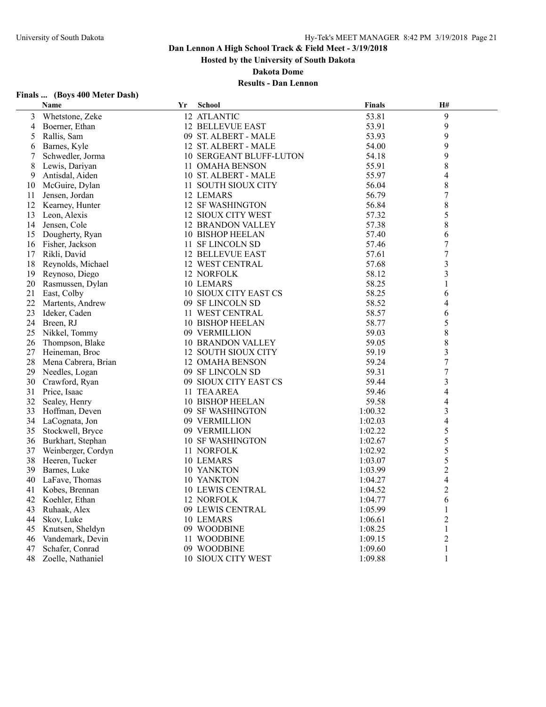**Hosted by the University of South Dakota**

**Dakota Dome**

| Finals  (Boys 400 Meter Dash) |  |
|-------------------------------|--|
|-------------------------------|--|

|    | <b>Name</b>         | Yr | <b>School</b>                  | <b>Finals</b> | H#                      |  |
|----|---------------------|----|--------------------------------|---------------|-------------------------|--|
| 3  | Whetstone, Zeke     |    | 12 ATLANTIC                    | 53.81         | 9                       |  |
| 4  | Boerner, Ethan      |    | <b>12 BELLEVUE EAST</b>        | 53.91         | 9                       |  |
| 5  | Rallis, Sam         |    | 09 ST. ALBERT - MALE           | 53.93         | 9                       |  |
| 6  | Barnes, Kyle        |    | 12 ST. ALBERT - MALE           | 54.00         | 9                       |  |
| 7  | Schwedler, Jorma    |    | <b>10 SERGEANT BLUFF-LUTON</b> | 54.18         | 9                       |  |
| 8  | Lewis, Dariyan      |    | 11 OMAHA BENSON                | 55.91         | 8                       |  |
| 9  | Antisdal, Aiden     |    | 10 ST. ALBERT - MALE           | 55.97         | $\overline{4}$          |  |
| 10 | McGuire, Dylan      |    | 11 SOUTH SIOUX CITY            | 56.04         | 8                       |  |
| 11 | Jensen, Jordan      |    | 12 LEMARS                      | 56.79         | 7                       |  |
| 12 | Kearney, Hunter     |    | 12 SF WASHINGTON               | 56.84         | 8                       |  |
| 13 | Leon, Alexis        |    | 12 SIOUX CITY WEST             | 57.32         | 5                       |  |
| 14 | Jensen, Cole        |    | <b>12 BRANDON VALLEY</b>       | 57.38         | $\,$ $\,$               |  |
| 15 | Dougherty, Ryan     |    | <b>10 BISHOP HEELAN</b>        | 57.40         | 6                       |  |
| 16 | Fisher, Jackson     |    | 11 SF LINCOLN SD               | 57.46         | $\tau$                  |  |
| 17 | Rikli, David        |    | 12 BELLEVUE EAST               | 57.61         | $\boldsymbol{7}$        |  |
| 18 | Reynolds, Michael   |    | 12 WEST CENTRAL                | 57.68         | $\overline{\mathbf{3}}$ |  |
| 19 | Reynoso, Diego      |    | 12 NORFOLK                     | 58.12         | $\overline{\mathbf{3}}$ |  |
| 20 | Rasmussen, Dylan    |    | 10 LEMARS                      | 58.25         | 1                       |  |
| 21 | East, Colby         |    | 10 SIOUX CITY EAST CS          | 58.25         | 6                       |  |
| 22 | Martents, Andrew    |    | 09 SF LINCOLN SD               | 58.52         | 4                       |  |
| 23 | Ideker, Caden       |    | 11 WEST CENTRAL                | 58.57         | 6                       |  |
| 24 | Breen, RJ           |    | <b>10 BISHOP HEELAN</b>        | 58.77         | 5                       |  |
| 25 | Nikkel, Tommy       |    | 09 VERMILLION                  | 59.03         | 8                       |  |
| 26 | Thompson, Blake     |    | <b>10 BRANDON VALLEY</b>       | 59.05         | $\,$ $\,$               |  |
| 27 | Heineman, Broc      |    | 12 SOUTH SIOUX CITY            | 59.19         | $\overline{\mathbf{3}}$ |  |
| 28 | Mena Cabrera, Brian |    | 12 OMAHA BENSON                | 59.24         | $\boldsymbol{7}$        |  |
| 29 | Needles, Logan      |    | 09 SF LINCOLN SD               | 59.31         | $\overline{7}$          |  |
| 30 | Crawford, Ryan      |    | 09 SIOUX CITY EAST CS          | 59.44         | $\overline{\mathbf{3}}$ |  |
| 31 | Price, Isaac        |    | 11 TEA AREA                    | 59.46         | $\overline{4}$          |  |
| 32 | Sealey, Henry       |    | <b>10 BISHOP HEELAN</b>        | 59.58         | $\overline{4}$          |  |
| 33 | Hoffman, Deven      |    | 09 SF WASHINGTON               | 1:00.32       | $\overline{\mathbf{3}}$ |  |
| 34 | LaCognata, Jon      |    | 09 VERMILLION                  | 1:02.03       | $\overline{4}$          |  |
| 35 | Stockwell, Bryce    |    | 09 VERMILLION                  | 1:02.22       | 5                       |  |
| 36 | Burkhart, Stephan   |    | <b>10 SF WASHINGTON</b>        | 1:02.67       | 5                       |  |
| 37 | Weinberger, Cordyn  |    | 11 NORFOLK                     | 1:02.92       | 5                       |  |
| 38 | Heeren, Tucker      |    | 10 LEMARS                      | 1:03.07       | 5                       |  |
| 39 | Barnes, Luke        |    | 10 YANKTON                     | 1:03.99       | $\overline{2}$          |  |
| 40 | LaFave, Thomas      |    | 10 YANKTON                     | 1:04.27       | 4                       |  |
| 41 | Kobes, Brennan      |    | <b>10 LEWIS CENTRAL</b>        | 1:04.52       | $\overline{2}$          |  |
| 42 | Koehler, Ethan      |    | 12 NORFOLK                     | 1:04.77       | 6                       |  |
| 43 | Ruhaak, Alex        |    | 09 LEWIS CENTRAL               | 1:05.99       | 1                       |  |
| 44 | Skov, Luke          |    | 10 LEMARS                      | 1:06.61       | $\overline{2}$          |  |
| 45 | Knutsen, Sheldyn    |    | 09 WOODBINE                    | 1:08.25       | $\mathbf{1}$            |  |
| 46 | Vandemark, Devin    |    | 11 WOODBINE                    | 1:09.15       | $\boldsymbol{2}$        |  |
| 47 | Schafer, Conrad     |    | 09 WOODBINE                    | 1:09.60       | $\mathbf{1}$            |  |
| 48 | Zoelle, Nathaniel   |    | 10 SIOUX CITY WEST             | 1:09.88       | $\mathbf{1}$            |  |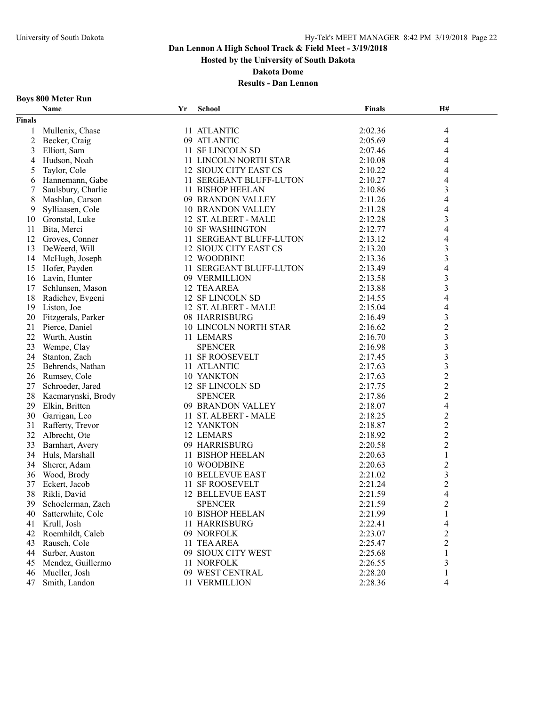**Hosted by the University of South Dakota**

**Dakota Dome**

## **Results - Dan Lennon**

#### **Boys 800 Meter Run**

|                | Name               | Yr | School                   | Finals  | H#                       |  |
|----------------|--------------------|----|--------------------------|---------|--------------------------|--|
| <b>Finals</b>  |                    |    |                          |         |                          |  |
| 1              | Mullenix, Chase    |    | 11 ATLANTIC              | 2:02.36 | 4                        |  |
| $\overline{c}$ | Becker, Craig      |    | 09 ATLANTIC              | 2:05.69 | $\overline{\mathcal{A}}$ |  |
| 3              | Elliott, Sam       |    | 11 SF LINCOLN SD         | 2:07.46 | 4                        |  |
| 4              | Hudson, Noah       |    | 11 LINCOLN NORTH STAR    | 2:10.08 | 4                        |  |
| 5              | Taylor, Cole       |    | 12 SIOUX CITY EAST CS    | 2:10.22 | 4                        |  |
| 6              | Hannemann, Gabe    |    | 11 SERGEANT BLUFF-LUTON  | 2:10.27 | 4                        |  |
| 7              | Saulsbury, Charlie |    | 11 BISHOP HEELAN         | 2:10.86 | $\mathfrak{Z}$           |  |
| 8              | Mashlan, Carson    |    | 09 BRANDON VALLEY        | 2:11.26 | $\overline{4}$           |  |
| 9              | Sylliaasen, Cole   |    | <b>10 BRANDON VALLEY</b> | 2:11.28 | 4                        |  |
| 10             | Gronstal, Luke     |    | 12 ST. ALBERT - MALE     | 2:12.28 | 3                        |  |
| 11             | Bita, Merci        |    | <b>10 SF WASHINGTON</b>  | 2:12.77 | $\overline{\mathbf{4}}$  |  |
| 12             | Groves, Conner     |    | 11 SERGEANT BLUFF-LUTON  | 2:13.12 | 4                        |  |
| 13             | DeWeerd, Will      |    | 12 SIOUX CITY EAST CS    | 2:13.20 | $\mathfrak{Z}$           |  |
| 14             | McHugh, Joseph     |    | 12 WOODBINE              | 2:13.36 | 3                        |  |
| 15             | Hofer, Payden      |    | 11 SERGEANT BLUFF-LUTON  | 2:13.49 | 4                        |  |
| 16             | Lavin, Hunter      |    | 09 VERMILLION            | 2:13.58 | 3                        |  |
| 17             | Schlunsen, Mason   |    | 12 TEA AREA              | 2:13.88 | 3                        |  |
| 18             | Radichev, Evgeni   |    | 12 SF LINCOLN SD         | 2:14.55 | 4                        |  |
| 19             | Liston, Joe        |    | 12 ST. ALBERT - MALE     | 2:15.04 | 4                        |  |
| 20             | Fitzgerals, Parker |    | 08 HARRISBURG            | 2:16.49 | $\mathfrak{Z}$           |  |
| 21             | Pierce, Daniel     |    | 10 LINCOLN NORTH STAR    | 2:16.62 | $\boldsymbol{2}$         |  |
| 22             | Wurth, Austin      |    | 11 LEMARS                | 2:16.70 | $\overline{3}$           |  |
| 23             | Wempe, Clay        |    | <b>SPENCER</b>           | 2:16.98 | $\mathfrak{Z}$           |  |
| 24             | Stanton, Zach      |    | 11 SF ROOSEVELT          | 2:17.45 | $\mathfrak{Z}$           |  |
| 25             | Behrends, Nathan   |    | 11 ATLANTIC              | 2:17.63 | $\mathfrak{Z}$           |  |
| 26             | Rumsey, Cole       |    | 10 YANKTON               | 2:17.63 | $\boldsymbol{2}$         |  |
| 27             | Schroeder, Jared   |    | 12 SF LINCOLN SD         | 2:17.75 | $\overline{c}$           |  |
| 28             | Kacmarynski, Brody |    | <b>SPENCER</b>           | 2:17.86 | $\sqrt{2}$               |  |
| 29             | Elkin, Britten     |    | 09 BRANDON VALLEY        | 2:18.07 | $\overline{\mathbf{4}}$  |  |
| 30             | Garrigan, Leo      |    | 11 ST. ALBERT - MALE     | 2:18.25 | $\overline{c}$           |  |
| 31             | Rafferty, Trevor   |    | 12 YANKTON               | 2:18.87 | $\overline{c}$           |  |
| 32             | Albrecht, Ote      |    | 12 LEMARS                | 2:18.92 | $\overline{2}$           |  |
| 33             | Barnhart, Avery    |    | 09 HARRISBURG            | 2:20.58 | $\boldsymbol{2}$         |  |
| 34             | Huls, Marshall     |    | 11 BISHOP HEELAN         | 2:20.63 | $\mathbf{1}$             |  |
| 34             | Sherer, Adam       |    | 10 WOODBINE              | 2:20.63 | $\boldsymbol{2}$         |  |
| 36             | Wood, Brody        |    | <b>10 BELLEVUE EAST</b>  | 2:21.02 | $\mathfrak{Z}$           |  |
| 37             | Eckert, Jacob      |    | 11 SF ROOSEVELT          | 2:21.24 | $\overline{\mathbf{c}}$  |  |
| 38             | Rikli, David       |    | <b>12 BELLEVUE EAST</b>  | 2:21.59 | $\overline{4}$           |  |
| 39             | Schoelerman, Zach  |    | <b>SPENCER</b>           | 2:21.59 | $\mathfrak{D}$           |  |
| 40             | Satterwhite, Cole  |    | 10 BISHOP HEELAN         | 2:21.99 | 1                        |  |
| 41             | Krull, Josh        |    | 11 HARRISBURG            | 2:22.41 | 4                        |  |
| 42             | Roemhildt, Caleb   |    | 09 NORFOLK               | 2:23.07 | $\overline{c}$           |  |
| 43             | Rausch, Cole       |    | 11 TEA AREA              | 2:25.47 | $\boldsymbol{2}$         |  |
| 44             | Surber, Auston     |    | 09 SIOUX CITY WEST       | 2:25.68 |                          |  |
| 45             | Mendez, Guillermo  |    | 11 NORFOLK               | 2:26.55 | 3                        |  |
| 46             | Mueller, Josh      |    | 09 WEST CENTRAL          | 2:28.20 |                          |  |
| 47             | Smith, Landon      |    | 11 VERMILLION            | 2:28.36 | 4                        |  |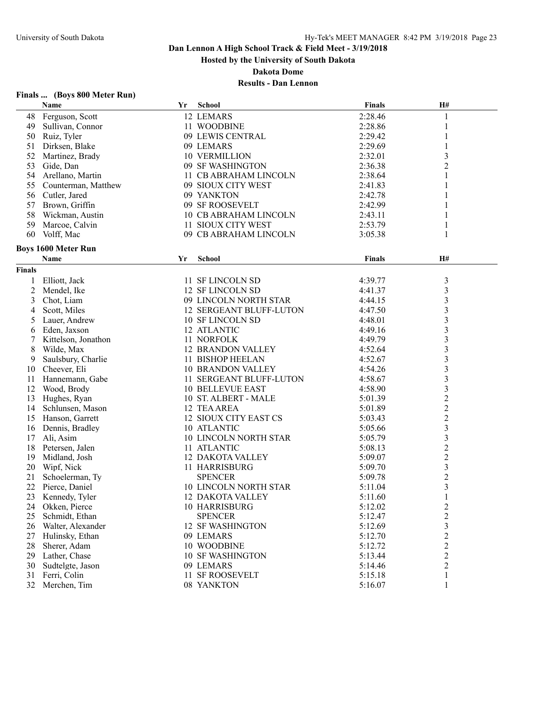**Hosted by the University of South Dakota**

**Dakota Dome**

## **Results - Dan Lennon**

## **Finals ... (Boys 800 Meter Run)**

|                | Name                       | Yr | <b>School</b>                  | <b>Finals</b> | H#                      |
|----------------|----------------------------|----|--------------------------------|---------------|-------------------------|
| 48             | Ferguson, Scott            |    | 12 LEMARS                      | 2:28.46       | 1                       |
| 49             | Sullivan, Connor           |    | 11 WOODBINE                    | 2:28.86       | 1                       |
| 50             | Ruiz, Tyler                |    | 09 LEWIS CENTRAL               | 2:29.42       | 1                       |
| 51             | Dirksen, Blake             |    | 09 LEMARS                      | 2:29.69       |                         |
| 52             | Martinez, Brady            |    | <b>10 VERMILLION</b>           | 2:32.01       | 3                       |
| 53             | Gide, Dan                  |    | 09 SF WASHINGTON               | 2:36.38       | $\overline{2}$          |
| 54             | Arellano, Martin           |    | 11 CB ABRAHAM LINCOLN          | 2:38.64       | 1                       |
| 55             | Counterman, Matthew        |    | 09 SIOUX CITY WEST             | 2:41.83       | 1                       |
|                | 56 Cutler, Jared           |    | 09 YANKTON                     | 2:42.78       | 1                       |
| 57             | Brown, Griffin             |    | 09 SF ROOSEVELT                | 2:42.99       | 1                       |
| 58             | Wickman, Austin            |    | 10 CB ABRAHAM LINCOLN          | 2:43.11       | 1                       |
| 59             | Marcoe, Calvin             |    | 11 SIOUX CITY WEST             | 2:53.79       | 1                       |
| 60             | Volff, Mac                 |    | 09 CB ABRAHAM LINCOLN          | 3:05.38       | 1                       |
|                | <b>Boys 1600 Meter Run</b> |    |                                |               |                         |
|                | Name                       | Yr | <b>School</b>                  | <b>Finals</b> | H#                      |
|                |                            |    |                                |               |                         |
| <b>Finals</b>  |                            |    |                                |               |                         |
| 1              | Elliott, Jack              |    | 11 SF LINCOLN SD               | 4:39.77       | $\mathfrak{Z}$          |
| $\overline{c}$ | Mendel, Ike                |    | 12 SF LINCOLN SD               | 4:41.37       | $\mathfrak{Z}$          |
| 3              | Chot, Liam                 |    | 09 LINCOLN NORTH STAR          | 4:44.15       | $\overline{\mathbf{3}}$ |
| 4              | Scott, Miles               |    | <b>12 SERGEANT BLUFF-LUTON</b> | 4:47.50       | $\overline{\mathbf{3}}$ |
| 5              | Lauer, Andrew              |    | 10 SF LINCOLN SD               | 4:48.01       | $\overline{\mathbf{3}}$ |
| 6              | Eden, Jaxson               |    | 12 ATLANTIC                    | 4:49.16       | $\overline{\mathbf{3}}$ |
| 7              | Kittelson, Jonathon        |    | 11 NORFOLK                     | 4:49.79       | $\frac{3}{3}$           |
| 8              | Wilde, Max                 |    | <b>12 BRANDON VALLEY</b>       | 4:52.64       |                         |
| 9              | Saulsbury, Charlie         |    | 11 BISHOP HEELAN               | 4:52.67       | $\overline{\mathbf{3}}$ |
| 10             | Cheever, Eli               |    | <b>10 BRANDON VALLEY</b>       | 4:54.26       | $\overline{\mathbf{3}}$ |
| 11             | Hannemann, Gabe            |    | 11 SERGEANT BLUFF-LUTON        | 4:58.67       | $\overline{\mathbf{3}}$ |
| 12             | Wood, Brody                |    | <b>10 BELLEVUE EAST</b>        | 4:58.90       | $\mathfrak{Z}$          |
| 13             | Hughes, Ryan               |    | 10 ST. ALBERT - MALE           | 5:01.39       | $\frac{2}{2}$           |
| 14             | Schlunsen, Mason           |    | 12 TEA AREA                    | 5:01.89       |                         |
| 15             | Hanson, Garrett            |    | 12 SIOUX CITY EAST CS          | 5:03.43       | $\overline{\mathbf{c}}$ |
| 16             | Dennis, Bradley            |    | 10 ATLANTIC                    | 5:05.66       | $\overline{\mathbf{3}}$ |
| 17             | Ali, Asim                  |    | 10 LINCOLN NORTH STAR          | 5:05.79       | $\overline{\mathbf{3}}$ |
| 18             | Petersen, Jalen            |    | 11 ATLANTIC                    | 5:08.13       | $\overline{\mathbf{c}}$ |
| 19             | Midland, Josh              |    | <b>12 DAKOTA VALLEY</b>        | 5:09.07       | $\frac{2}{3}$           |
| 20             | Wipf, Nick                 |    | 11 HARRISBURG                  | 5:09.70       |                         |
| 21             | Schoelerman, Ty            |    | <b>SPENCER</b>                 | 5:09.78       | $\overline{c}$          |
| 22             | Pierce, Daniel             |    | <b>10 LINCOLN NORTH STAR</b>   | 5:11.04       | $\overline{\mathbf{3}}$ |
| 23             | Kennedy, Tyler             |    | 12 DAKOTA VALLEY               | 5:11.60       | $\mathbf{1}$            |
| 24             | Okken, Pierce              |    | 10 HARRISBURG                  | 5:12.02       | $\overline{\mathbf{c}}$ |
| 25             | Schmidt, Ethan             |    | <b>SPENCER</b>                 | 5:12.47       | $\overline{\mathbf{c}}$ |
| 26             | Walter, Alexander          |    | <b>12 SF WASHINGTON</b>        | 5:12.69       | $\mathfrak{Z}$          |
| 27             | Hulinsky, Ethan            |    | 09 LEMARS                      | 5:12.70       | $\overline{c}$          |
| 28             | Sherer, Adam               |    | 10 WOODBINE                    | 5:12.72       | $\overline{c}$          |
| 29             | Lather, Chase              |    | <b>10 SF WASHINGTON</b>        | 5:13.44       | $\overline{c}$          |
| 30             | Sudtelgte, Jason           |    | 09 LEMARS                      | 5:14.46       | $\boldsymbol{2}$        |
| 31             | Ferri, Colin               |    | 11 SF ROOSEVELT                | 5:15.18       | $\mathbf{1}$            |
| 32             | Merchen, Tim               |    | 08 YANKTON                     | 5:16.07       | 1                       |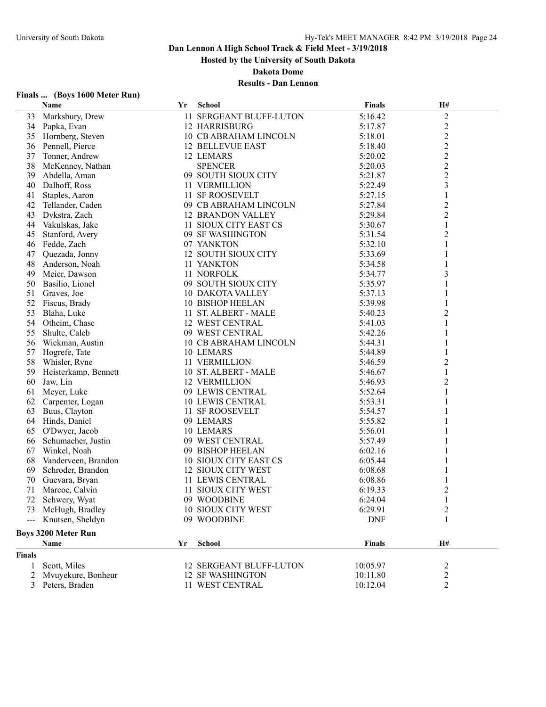**Hosted by the University of South Dakota**

**Dakota Dome**

## **Results - Dan Lennon**

## **Finals ... (Boys 1600 Meter Run)**

|               | Name                       | Yr | <b>School</b>            | <b>Finals</b> | H#                      |
|---------------|----------------------------|----|--------------------------|---------------|-------------------------|
| 33            | Marksbury, Drew            |    | 11 SERGEANT BLUFF-LUTON  | 5:16.42       | $\mathbf{2}$            |
|               | 34 Papka, Evan             |    | <b>12 HARRISBURG</b>     | 5:17.87       | $\overline{c}$          |
| 35            | Hornberg, Steven           |    | 10 CB ABRAHAM LINCOLN    | 5:18.01       | $\overline{\mathbf{c}}$ |
| 36            | Pennell, Pierce            |    | <b>12 BELLEVUE EAST</b>  | 5:18.40       | $\overline{c}$          |
| 37            | Tonner, Andrew             |    | 12 LEMARS                | 5:20.02       | $\overline{c}$          |
| 38            | McKenney, Nathan           |    | <b>SPENCER</b>           | 5:20.03       | $\overline{c}$          |
| 39            | Abdella, Aman              |    | 09 SOUTH SIOUX CITY      | 5:21.87       | $\overline{c}$          |
| 40            | Dalhoff, Ross              |    | 11 VERMILLION            | 5:22.49       | $\overline{\mathbf{3}}$ |
| 41            | Staples, Aaron             |    | 11 SF ROOSEVELT          | 5:27.15       | 1                       |
| 42            | Tellander, Caden           |    | 09 CB ABRAHAM LINCOLN    | 5:27.84       | $\overline{c}$          |
| 43            | Dykstra, Zach              |    | <b>12 BRANDON VALLEY</b> | 5:29.84       | $\overline{c}$          |
|               | 44 Vakulskas, Jake         |    | 11 SIOUX CITY EAST CS    | 5:30.67       | 1                       |
| 45            | Stanford, Avery            |    | 09 SF WASHINGTON         | 5:31.54       | $\overline{c}$          |
|               | 46 Fedde, Zach             |    | 07 YANKTON               | 5:32.10       | 1                       |
| 47            | Quezada, Jonny             |    | 12 SOUTH SIOUX CITY      | 5:33.69       | 1                       |
| 48            | Anderson, Noah             |    | 11 YANKTON               | 5:34.58       |                         |
| 49            | Meier, Dawson              |    | 11 NORFOLK               | 5:34.77       | 3                       |
| 50            | Basilio, Lionel            |    | 09 SOUTH SIOUX CITY      | 5:35.97       | 1                       |
| 51            | Graves, Joe                |    | <b>10 DAKOTA VALLEY</b>  | 5:37.13       |                         |
| 52            | Fiscus, Brady              |    | <b>10 BISHOP HEELAN</b>  | 5:39.98       |                         |
| 53            | Blaha, Luke                |    | 11 ST. ALBERT - MALE     | 5:40.23       | 2                       |
| 54            | Otheim, Chase              |    | <b>12 WEST CENTRAL</b>   | 5:41.03       | 1                       |
| 55            | Shulte, Caleb              |    | 09 WEST CENTRAL          | 5:42.26       |                         |
| 56            | Wickman, Austin            |    | 10 CB ABRAHAM LINCOLN    | 5:44.31       | 1                       |
| 57            | Hogrefe, Tate              |    | 10 LEMARS                | 5:44.89       |                         |
| 58            | Whisler, Ryne              |    | 11 VERMILLION            | 5:46.59       | $\overline{\mathbf{c}}$ |
| 59            | Heisterkamp, Bennett       |    | 10 ST. ALBERT - MALE     | 5:46.67       | 1                       |
| 60            | Jaw, Lin                   |    | <b>12 VERMILLION</b>     | 5:46.93       | 2                       |
| 61            | Meyer, Luke                |    | 09 LEWIS CENTRAL         | 5:52.64       | 1                       |
| 62            | Carpenter, Logan           |    | <b>10 LEWIS CENTRAL</b>  | 5:53.31       | 1                       |
| 63            | Buus, Clayton              |    | 11 SF ROOSEVELT          | 5:54.57       |                         |
|               | 64 Hinds, Daniel           |    | 09 LEMARS                | 5:55.82       |                         |
| 65            | O'Dwyer, Jacob             |    | 10 LEMARS                | 5:56.01       |                         |
| 66            | Schumacher, Justin         |    | 09 WEST CENTRAL          | 5:57.49       |                         |
| 67            | Winkel, Noah               |    | 09 BISHOP HEELAN         | 6:02.16       |                         |
| 68            | Vanderveen, Brandon        |    | 10 SIOUX CITY EAST CS    | 6:05.44       |                         |
| 69            | Schroder, Brandon          |    | 12 SIOUX CITY WEST       | 6:08.68       |                         |
| 70            | Guevara, Bryan             |    | 11 LEWIS CENTRAL         | 6:08.86       |                         |
| 71            | Marcoe, Calvin             |    | 11 SIOUX CITY WEST       | 6:19.33       | 2                       |
|               | 72 Schwery, Wyat           |    | 09 WOODBINE              | 6:24.04       |                         |
|               | 73 McHugh, Bradley         |    | 10 SIOUX CITY WEST       | 6:29.91       | 2                       |
|               | --- Knutsen, Sheldyn       |    | 09 WOODBINE              | <b>DNF</b>    | 1                       |
|               |                            |    |                          |               |                         |
|               | <b>Boys 3200 Meter Run</b> |    |                          |               |                         |
|               | Name                       | Yr | <b>School</b>            | <b>Finals</b> | H#                      |
| <b>Finals</b> |                            |    |                          |               |                         |
| 1             | Scott, Miles               |    | 12 SERGEANT BLUFF-LUTON  | 10:05.97      | 2                       |
| 2             | Mvuyekure, Bonheur         |    | <b>12 SF WASHINGTON</b>  | 10:11.80      | $\overline{\mathbf{c}}$ |
|               | 3 Peters, Braden           |    | 11 WEST CENTRAL          | 10:12.04      | 2                       |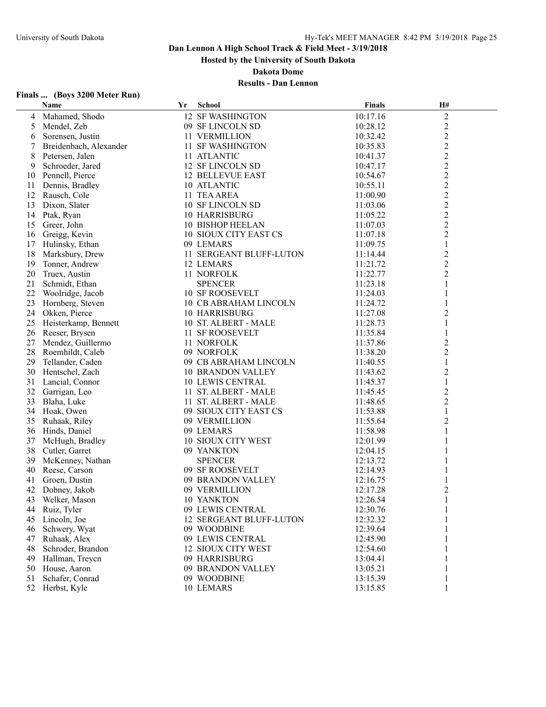**Hosted by the University of South Dakota**

**Dakota Dome**

## **Results - Dan Lennon**

## **Finals ... (Boys 3200 Meter Run)**

|    | Name                   | Yr | <b>School</b>            | <b>Finals</b> | H#             |  |
|----|------------------------|----|--------------------------|---------------|----------------|--|
| 4  | Mahamed, Shodo         |    | <b>12 SF WASHINGTON</b>  | 10:17.16      | $\overline{c}$ |  |
| 5  | Mendel, Zeb            |    | 09 SF LINCOLN SD         | 10:28.12      | $\overline{c}$ |  |
| 6  | Sorensen, Justin       |    | 11 VERMILLION            | 10:32.42      | $\overline{2}$ |  |
|    | Breidenbach, Alexander |    | 11 SF WASHINGTON         | 10:35.83      | $\overline{c}$ |  |
| 8  | Petersen, Jalen        |    | 11 ATLANTIC              | 10:41.37      | $\overline{2}$ |  |
| 9  | Schroeder, Jared       |    | 12 SF LINCOLN SD         | 10:47.17      | $\overline{c}$ |  |
| 10 | Pennell, Pierce        |    | <b>12 BELLEVUE EAST</b>  | 10:54.67      | $\overline{c}$ |  |
| 11 | Dennis, Bradley        |    | 10 ATLANTIC              | 10:55.11      | $\overline{c}$ |  |
|    | 12 Rausch, Cole        |    | 11 TEA AREA              | 11:00.90      | $\overline{c}$ |  |
| 13 | Dixon, Slater          |    | 10 SF LINCOLN SD         | 11:03.06      | $\overline{c}$ |  |
| 14 | Ptak, Ryan             |    | <b>10 HARRISBURG</b>     | 11:05.22      | $\overline{2}$ |  |
| 15 | Greer, John            |    | 10 BISHOP HEELAN         | 11:07.03      | $\overline{2}$ |  |
|    | 16 Greigg, Kevin       |    | 10 SIOUX CITY EAST CS    | 11:07.18      | $\overline{c}$ |  |
|    | 17 Hulinsky, Ethan     |    | 09 LEMARS                | 11:09.75      | 1              |  |
| 18 | Marksbury, Drew        |    | 11 SERGEANT BLUFF-LUTON  | 11:14.44      | $\overline{c}$ |  |
| 19 | Tonner, Andrew         |    | 12 LEMARS                | 11:21.72      | $\overline{c}$ |  |
| 20 | Truex, Austin          |    | 11 NORFOLK               | 11:22.77      | $\overline{2}$ |  |
| 21 | Schmidt, Ethan         |    | <b>SPENCER</b>           | 11:23.18      | $\mathbf{1}$   |  |
| 22 | Woolridge, Jacob       |    | <b>10 SF ROOSEVELT</b>   | 11:24.03      | 1              |  |
| 23 | Hornberg, Steven       |    | 10 CB ABRAHAM LINCOLN    | 11:24.72      | 1              |  |
| 24 | Okken, Pierce          |    | <b>10 HARRISBURG</b>     | 11:27.08      | 2              |  |
| 25 | Heisterkamp, Bennett   |    | 10 ST. ALBERT - MALE     | 11:28.73      | 1              |  |
| 26 | Reeser, Brysen         |    | <b>11 SF ROOSEVELT</b>   | 11:35.84      | 1              |  |
|    | 27 Mendez, Guillermo   |    | 11 NORFOLK               | 11:37.86      | $\mathbf{2}$   |  |
|    |                        |    | 09 NORFOLK               |               |                |  |
| 28 | Roemhildt, Caleb       |    |                          | 11:38.20      | $\overline{c}$ |  |
| 29 | Tellander, Caden       |    | 09 CB ABRAHAM LINCOLN    | 11:40.55      | 1              |  |
| 30 | Hentschel, Zach        |    | <b>10 BRANDON VALLEY</b> | 11:43.62      | 2              |  |
| 31 | Lancial, Connor        |    | <b>10 LEWIS CENTRAL</b>  | 11:45.37      | $\mathbf{1}$   |  |
| 32 | Garrigan, Leo          |    | 11 ST. ALBERT - MALE     | 11:45.45      | $\overline{2}$ |  |
| 33 | Blaha, Luke            |    | 11 ST. ALBERT - MALE     | 11:48.65      | $\overline{2}$ |  |
|    | 34 Hoak, Owen          |    | 09 SIOUX CITY EAST CS    | 11:53.88      | $\mathbf{1}$   |  |
|    | 35 Ruhaak, Riley       |    | 09 VERMILLION            | 11:55.64      | $\overline{2}$ |  |
| 36 | Hinds, Daniel          |    | 09 LEMARS                | 11:58.98      | 1              |  |
| 37 | McHugh, Bradley        |    | 10 SIOUX CITY WEST       | 12:01.99      | 1              |  |
| 38 | Cutler, Garret         |    | 09 YANKTON               | 12:04.15      | 1              |  |
| 39 | McKenney, Nathan       |    | <b>SPENCER</b>           | 12:13.72      |                |  |
| 40 | Reese, Carson          |    | 09 SF ROOSEVELT          | 12:14.93      |                |  |
| 41 | Groen, Dustin          |    | 09 BRANDON VALLEY        | 12:16.75      |                |  |
| 42 | Dobney, Jakob          |    | 09 VERMILLION            | 12:17.28      | $\overline{c}$ |  |
|    | 43 Welker, Mason       |    | 10 YANKTON               | 12:26.54      |                |  |
| 44 | Ruiz, Tyler            |    | 09 LEWIS CENTRAL         | 12:30.76      | 1              |  |
| 45 | Lincoln, Joe           |    | 12 SERGEANT BLUFF-LUTON  | 12:32.32      |                |  |
| 46 | Schwery, Wyat          |    | 09 WOODBINE              | 12:39.64      |                |  |
| 47 | Ruhaak, Alex           |    | 09 LEWIS CENTRAL         | 12:45.90      |                |  |
| 48 | Schroder, Brandon      |    | 12 SIOUX CITY WEST       | 12:54.60      |                |  |
| 49 | Hallman, Treycn        |    | 09 HARRISBURG            | 13:04.41      |                |  |
| 50 | House, Aaron           |    | 09 BRANDON VALLEY        | 13:05.21      |                |  |
| 51 | Schafer, Conrad        |    | 09 WOODBINE              | 13:15.39      | 1              |  |
|    | 52 Herbst, Kyle        |    | 10 LEMARS                | 13:15.85      | 1              |  |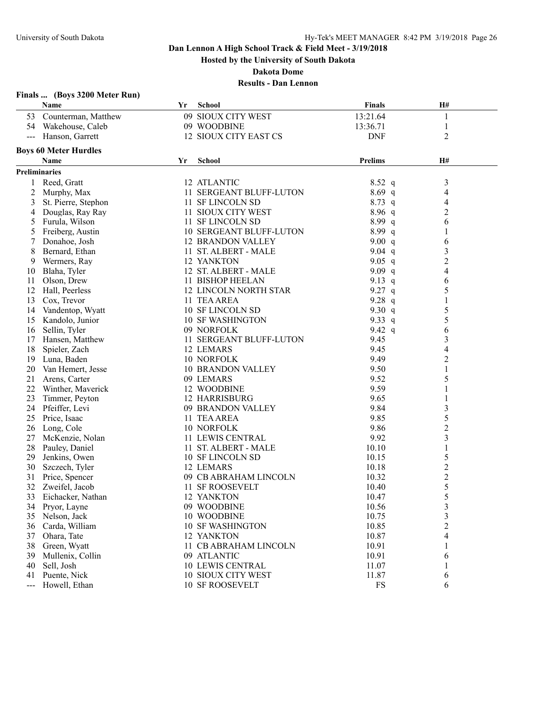**Hosted by the University of South Dakota**

**Dakota Dome**

|       | Finals  (Boys 3200 Meter Run) |    |                                |                |                |
|-------|-------------------------------|----|--------------------------------|----------------|----------------|
|       | Name                          | Yr | <b>School</b>                  | <b>Finals</b>  | H#             |
| 53    | Counterman, Matthew           |    | 09 SIOUX CITY WEST             | 13:21.64       | 1              |
|       | 54 Wakehouse, Caleb           |    | 09 WOODBINE                    | 13:36.71       | 1              |
|       | Hanson, Garrett               |    | 12 SIOUX CITY EAST CS          | <b>DNF</b>     | 2              |
|       | <b>Boys 60 Meter Hurdles</b>  |    |                                |                |                |
|       | Name                          | Yr | School                         | <b>Prelims</b> | H#             |
|       | <b>Preliminaries</b>          |    |                                |                |                |
|       | 1 Reed, Gratt                 |    | 12 ATLANTIC                    | $8.52\ q$      | 3              |
| 2     | Murphy, Max                   |    | 11 SERGEANT BLUFF-LUTON        | $8.69$ q       | 4              |
| 3     | St. Pierre, Stephon           |    | 11 SF LINCOLN SD               | $8.73$ q       | 4              |
| 4     | Douglas, Ray Ray              |    | 11 SIOUX CITY WEST             | $8.96\ q$      | $\overline{2}$ |
| 5     | Furula, Wilson                |    | 11 SF LINCOLN SD               | 8.99q          | 6              |
| 5     | Freiberg, Austin              |    | <b>10 SERGEANT BLUFF-LUTON</b> | 8.99 q         | 1              |
| 7     | Donahoe, Josh                 |    | <b>12 BRANDON VALLEY</b>       | 9.00 $q$       | 6              |
| 8     | Bernard, Ethan                |    | 11 ST. ALBERT - MALE           | 9.04 $q$       | 3              |
| 9     | Wermers, Ray                  |    | 12 YANKTON                     | 9.05 $q$       | $\overline{2}$ |
| 10    | Blaha, Tyler                  |    | 12 ST. ALBERT - MALE           | 9.09 $q$       | $\overline{4}$ |
| 11    | Olson, Drew                   |    | 11 BISHOP HEELAN               | 9.13 q         | 6              |
| 12    | Hall, Peerless                |    | 12 LINCOLN NORTH STAR          | 9.27 q         | 5              |
| 13    | Cox, Trevor                   |    | 11 TEA AREA                    | 9.28 $q$       | 1              |
| 14    | Vandentop, Wyatt              |    | 10 SF LINCOLN SD               | 9.30 $q$       | 5              |
| 15    | Kandolo, Junior               |    | <b>10 SF WASHINGTON</b>        | 9.33 q         | 5              |
| 16    |                               |    | 09 NORFOLK                     | 9.42 $q$       | 6              |
|       | Sellin, Tyler                 |    | 11 SERGEANT BLUFF-LUTON        | 9.45           |                |
| 17    | Hansen, Matthew               |    |                                |                | 3              |
| 18    | Spieler, Zach                 |    | 12 LEMARS                      | 9.45           | 4              |
| 19    | Luna, Baden                   |    | 10 NORFOLK                     | 9.49           | $\overline{c}$ |
| 20    | Van Hemert, Jesse             |    | <b>10 BRANDON VALLEY</b>       | 9.50           | 1              |
| 21    | Arens, Carter                 |    | 09 LEMARS                      | 9.52           | 5              |
| 22    | Winther, Maverick             |    | 12 WOODBINE                    | 9.59           | 1              |
| 23    | Timmer, Peyton                |    | <b>12 HARRISBURG</b>           | 9.65           |                |
| 24    | Pfeiffer, Levi                |    | 09 BRANDON VALLEY              | 9.84           | $\mathfrak{Z}$ |
| 25    | Price, Isaac                  |    | 11 TEA AREA                    | 9.85           | 5              |
| 26    | Long, Cole                    |    | 10 NORFOLK                     | 9.86           | $\overline{2}$ |
| 27    | McKenzie, Nolan               |    | 11 LEWIS CENTRAL               | 9.92           | 3              |
| 28    | Pauley, Daniel                |    | 11 ST. ALBERT - MALE           | 10.10          | 1              |
| 29    | Jenkins, Owen                 |    | 10 SF LINCOLN SD               | 10.15          | 5              |
| 30    | Szczech, Tyler                |    | 12 LEMARS                      | 10.18          | $\overline{c}$ |
| 31    | Price, Spencer                |    | 09 CB ABRAHAM LINCOLN          | 10.32          | $\overline{c}$ |
| 32    | Zweifel, Jacob                |    | 11 SF ROOSEVELT                | 10.40          | 5              |
| 33    | Eichacker, Nathan             |    | 12 YANKTON                     | 10.47          | 5              |
|       | 34 Pryor, Layne               |    | 09 WOODBINE                    | 10.56          | 3              |
| 35    | Nelson, Jack                  |    | 10 WOODBINE                    | 10.75          | 3              |
| 36    | Carda, William                |    | <b>10 SF WASHINGTON</b>        | 10.85          | $\overline{c}$ |
| 37    | Ohara, Tate                   |    | 12 YANKTON                     | 10.87          | 4              |
| 38    | Green, Wyatt                  |    | 11 CB ABRAHAM LINCOLN          | 10.91          |                |
| 39    | Mullenix, Collin              |    | 09 ATLANTIC                    | 10.91          | 6              |
| 40    | Sell, Josh                    |    | <b>10 LEWIS CENTRAL</b>        | 11.07          |                |
| 41    | Puente, Nick                  |    | 10 SIOUX CITY WEST             | 11.87          | 6              |
| $---$ | Howell, Ethan                 |    | <b>10 SF ROOSEVELT</b>         | FS             | 6              |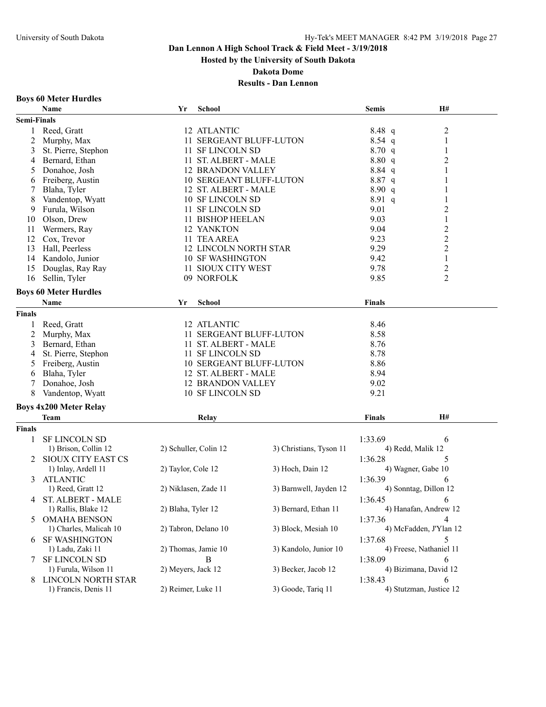**Hosted by the University of South Dakota**

**Dakota Dome**

## **Results - Dan Lennon**

#### **Boys 60 Meter Hurdles**

|                    | Name                          | Yr                   | <b>School</b>                |                                | <b>Semis</b>  | H#                      |
|--------------------|-------------------------------|----------------------|------------------------------|--------------------------------|---------------|-------------------------|
| <b>Semi-Finals</b> |                               |                      |                              |                                |               |                         |
| 1                  | Reed, Gratt                   |                      | 12 ATLANTIC                  |                                | 8.48 q        | $\overline{c}$          |
| $\overline{c}$     | Murphy, Max                   |                      |                              | 11 SERGEANT BLUFF-LUTON        | $8.54$ q      | 1                       |
| 3                  | St. Pierre, Stephon           |                      | 11 SF LINCOLN SD             |                                | 8.70q         | 1                       |
| 4                  | Bernard, Ethan                |                      | 11 ST. ALBERT - MALE         |                                | 8.80 q        | $\overline{c}$          |
| 5                  | Donahoe, Josh                 |                      | <b>12 BRANDON VALLEY</b>     |                                | $8.84$ q      | 1                       |
| 6                  | Freiberg, Austin              |                      |                              | 10 SERGEANT BLUFF-LUTON        | $8.87$ q      | 1                       |
| 7                  | Blaha, Tyler                  |                      | 12 ST. ALBERT - MALE         |                                | 8.90 q        | 1                       |
| 8                  | Vandentop, Wyatt              |                      | 10 SF LINCOLN SD             |                                | $8.91\ q$     |                         |
| 9                  | Furula, Wilson                |                      | 11 SF LINCOLN SD             |                                | 9.01          | $\overline{c}$          |
| 10                 | Olson, Drew                   |                      | 11 BISHOP HEELAN             |                                | 9.03          | $\mathbf{1}$            |
| 11                 | Wermers, Ray                  |                      | 12 YANKTON                   |                                | 9.04          | $\overline{c}$          |
| 12                 | Cox, Trevor                   |                      | 11 TEA AREA                  |                                | 9.23          | $\overline{c}$          |
| 13                 | Hall, Peerless                |                      | <b>12 LINCOLN NORTH STAR</b> |                                | 9.29          | $\overline{2}$          |
| 14                 | Kandolo, Junior               |                      | <b>10 SF WASHINGTON</b>      |                                | 9.42          | 1                       |
| 15                 | Douglas, Ray Ray              |                      | 11 SIOUX CITY WEST           |                                | 9.78          | $\overline{c}$          |
| 16                 | Sellin, Tyler                 |                      | 09 NORFOLK                   |                                | 9.85          | 2                       |
|                    |                               |                      |                              |                                |               |                         |
|                    | <b>Boys 60 Meter Hurdles</b>  |                      |                              |                                |               |                         |
|                    | Name                          | Yr                   | <b>School</b>                |                                | <b>Finals</b> |                         |
| <b>Finals</b>      |                               |                      |                              |                                |               |                         |
| 1                  | Reed, Gratt                   |                      | 12 ATLANTIC                  |                                | 8.46          |                         |
| 2                  | Murphy, Max                   |                      |                              | 11 SERGEANT BLUFF-LUTON        | 8.58          |                         |
| 3                  | Bernard, Ethan                |                      | 11 ST. ALBERT - MALE         |                                | 8.76          |                         |
| 4                  | St. Pierre, Stephon           |                      | 11 SF LINCOLN SD             |                                | 8.78          |                         |
| 5                  | Freiberg, Austin              |                      |                              | <b>10 SERGEANT BLUFF-LUTON</b> | 8.86          |                         |
| 6                  | Blaha, Tyler                  |                      | 12 ST. ALBERT - MALE         |                                | 8.94          |                         |
|                    | Donahoe, Josh                 |                      | <b>12 BRANDON VALLEY</b>     |                                | 9.02          |                         |
| 8                  | Vandentop, Wyatt              |                      | 10 SF LINCOLN SD             |                                | 9.21          |                         |
|                    | <b>Boys 4x200 Meter Relay</b> |                      |                              |                                |               |                         |
|                    | <b>Team</b>                   |                      | Relay                        |                                | <b>Finals</b> | H#                      |
| <b>Finals</b>      |                               |                      |                              |                                |               |                         |
| 1                  | <b>SF LINCOLN SD</b>          |                      |                              |                                | 1:33.69       | 6                       |
|                    | 1) Brison, Collin 12          |                      | 2) Schuller, Colin 12        | 3) Christians, Tyson 11        |               | 4) Redd, Malik 12       |
|                    | <b>SIOUX CITY EAST CS</b>     |                      |                              |                                | 1:36.28       | 5                       |
|                    | 1) Inlay, Ardell 11           | 2) Taylor, Cole 12   |                              | 3) Hoch, Dain 12               |               | 4) Wagner, Gabe 10      |
| 3                  | <b>ATLANTIC</b>               |                      |                              |                                | 1:36.39       | 6                       |
|                    | 1) Reed, Gratt 12             | 2) Niklasen, Zade 11 |                              | 3) Barnwell, Jayden 12         |               | 4) Sonntag, Dillon 12   |
|                    | 4 ST. ALBERT - MALE           |                      |                              |                                | 1:36.45       | 6                       |
|                    | 1) Rallis, Blake 12           | 2) Blaha, Tyler 12   |                              | 3) Bernard, Ethan 11           |               | 4) Hanafan, Andrew 12   |
|                    | <b>OMAHA BENSON</b>           |                      |                              |                                |               | 4                       |
| 5                  | 1) Charles, Malicah 10        |                      | 2) Tabron, Delano 10         | 3) Block, Mesiah 10            | 1:37.36       | 4) McFadden, J'Ylan 12  |
|                    |                               |                      |                              |                                |               |                         |
| 6                  | <b>SF WASHINGTON</b>          |                      |                              |                                | 1:37.68       | 5                       |
|                    | 1) Ladu, Zaki 11              | 2) Thomas, Jamie 10  |                              | 3) Kandolo, Junior 10          |               | 4) Freese, Nathaniel 11 |
| 7                  | <b>SF LINCOLN SD</b>          |                      | B                            |                                | 1:38.09       | 6                       |
|                    | 1) Furula, Wilson 11          | 2) Meyers, Jack 12   |                              | 3) Becker, Jacob 12            |               | 4) Bizimana, David 12   |
| 8                  | LINCOLN NORTH STAR            |                      |                              |                                | 1:38.43       | 6                       |
|                    | 1) Francis, Denis 11          | 2) Reimer, Luke 11   |                              | 3) Goode, Tariq 11             |               | 4) Stutzman, Justice 12 |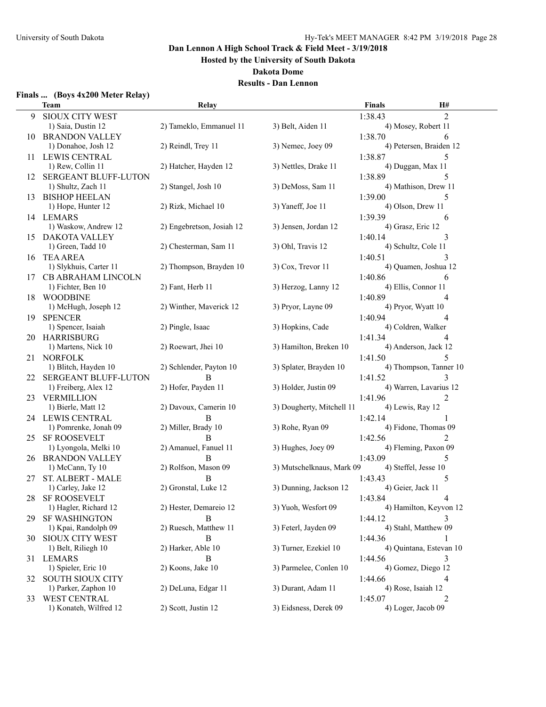**Hosted by the University of South Dakota**

**Dakota Dome**

#### **Results - Dan Lennon**

## **Finals ... (Boys 4x200 Meter Relay)**

|      | <b>Team</b>                          | <b>Relay</b>              |                           | <b>Finals</b> | H#                      |
|------|--------------------------------------|---------------------------|---------------------------|---------------|-------------------------|
| 9    | <b>SIOUX CITY WEST</b>               |                           |                           | 1:38.43       | $\overline{2}$          |
|      | 1) Saia, Dustin 12                   | 2) Tameklo, Emmanuel 11   | 3) Belt, Aiden 11         |               | 4) Mosey, Robert 11     |
| 10   | <b>BRANDON VALLEY</b>                |                           |                           | 1:38.70       | 6                       |
|      | 1) Donahoe, Josh 12                  | 2) Reindl, Trey 11        | 3) Nemec, Joey 09         |               | 4) Petersen, Braiden 12 |
| 11   | <b>LEWIS CENTRAL</b>                 |                           |                           | 1:38.87       | 5                       |
|      | 1) Rew, Collin 11                    | 2) Hatcher, Hayden 12     | 3) Nettles, Drake 11      |               | 4) Duggan, Max 11       |
| 12   | <b>SERGEANT BLUFF-LUTON</b>          |                           |                           | 1:38.89       | 5                       |
|      | 1) Shultz, Zach 11                   | 2) Stangel, Josh 10       | 3) DeMoss, Sam 11         |               | 4) Mathison, Drew 11    |
| 13   | <b>BISHOP HEELAN</b>                 |                           |                           | 1:39.00       | 5                       |
|      | 1) Hope, Hunter 12                   | 2) Rizk, Michael 10       | 3) Yaneff, Joe 11         |               | 4) Olson, Drew 11       |
|      | 14 LEMARS                            |                           |                           | 1:39.39       | 6                       |
|      | 1) Waskow, Andrew 12                 | 2) Engebretson, Josiah 12 | 3) Jensen, Jordan 12      |               | 4) Grasz, Eric 12       |
| 15   | DAKOTA VALLEY                        |                           |                           | 1:40.14       | 3                       |
|      | 1) Green, Tadd 10                    | 2) Chesterman, Sam 11     | 3) Ohl, Travis 12         |               | 4) Schultz, Cole 11     |
| 16   | <b>TEA AREA</b>                      |                           |                           | 1:40.51       |                         |
|      | 1) Slykhuis, Carter 11               | 2) Thompson, Brayden 10   | 3) Cox, Trevor 11         |               | 4) Quamen, Joshua 12    |
|      | <b>CB ABRAHAM LINCOLN</b>            |                           |                           | 1:40.86       | 6                       |
| 17   | 1) Fichter, Ben 10                   | 2) Fant, Herb 11          | 3) Herzog, Lanny 12       |               | 4) Ellis, Connor 11     |
|      |                                      |                           |                           |               | 4                       |
| 18   | WOODBINE<br>1) McHugh, Joseph 12     | 2) Winther, Maverick 12   | 3) Pryor, Layne 09        | 1:40.89       | 4) Pryor, Wyatt 10      |
|      |                                      |                           |                           |               |                         |
| 19   | <b>SPENCER</b><br>1) Spencer, Isaiah |                           |                           | 1:40.94       | 4                       |
|      |                                      | 2) Pingle, Isaac          | 3) Hopkins, Cade          |               | 4) Coldren, Walker      |
|      | 20 HARRISBURG                        |                           |                           | 1:41.34       | 4                       |
|      | 1) Martens, Nick 10                  | 2) Roewart, Jhei 10       | 3) Hamilton, Breken 10    |               | 4) Anderson, Jack 12    |
| 21   | <b>NORFOLK</b>                       |                           |                           | 1:41.50       | 5                       |
|      | 1) Blitch, Hayden 10                 | 2) Schlender, Payton 10   | 3) Splater, Brayden 10    |               | 4) Thompson, Tanner 10  |
| 22.  | <b>SERGEANT BLUFF-LUTON</b>          | B                         |                           | 1:41.52       | 3                       |
|      | 1) Freiberg, Alex 12                 | 2) Hofer, Payden 11       | 3) Holder, Justin 09      |               | 4) Warren, Lavarius 12  |
| 23   | <b>VERMILLION</b>                    |                           |                           | 1:41.96       | 2                       |
|      | 1) Bierle, Matt 12                   | 2) Davoux, Camerin 10     | 3) Dougherty, Mitchell 11 |               | 4) Lewis, Ray 12        |
| 24.  | LEWIS CENTRAL                        | B                         |                           | 1:42.14       |                         |
|      | 1) Pomrenke, Jonah 09                | 2) Miller, Brady 10       | 3) Rohe, Ryan 09          |               | 4) Fidone, Thomas 09    |
| 25.  | <b>SF ROOSEVELT</b>                  | <sub>B</sub>              |                           | 1:42.56       |                         |
|      | 1) Lyongola, Melki 10                | 2) Amanuel, Fanuel 11     | 3) Hughes, Joey 09        |               | 4) Fleming, Paxon 09    |
| 26   | <b>BRANDON VALLEY</b>                | B                         |                           | 1:43.09       | 5                       |
|      | 1) McCann, Ty 10                     | 2) Rolfson, Mason 09      | 3) Mutschelknaus, Mark 09 |               | 4) Steffel, Jesse 10    |
| 27 - | ST. ALBERT - MALE                    | B                         |                           | 1:43.43       | 5                       |
|      | 1) Carley, Jake 12                   | 2) Gronstal, Luke 12      | 3) Dunning, Jackson 12    |               | 4) Geier, Jack 11       |
| 28   | <b>SF ROOSEVELT</b>                  |                           |                           | 1:43.84       | 4                       |
|      | 1) Hagler, Richard 12                | 2) Hester, Demareio 12    | 3) Yuoh, Wesfort 09       |               | 4) Hamilton, Keyvon 12  |
| 29.  | <b>SF WASHINGTON</b>                 | B                         |                           | 1:44.12       |                         |
|      | 1) Kpai, Randolph 09                 | 2) Ruesch, Matthew 11     | 3) Feterl, Jayden 09      |               | 4) Stahl, Matthew 09    |
| 30   | <b>SIOUX CITY WEST</b>               | B                         |                           | 1:44.36       | 1.                      |
|      | 1) Belt, Riliegh 10                  | 2) Harker, Able 10        | 3) Turner, Ezekiel 10     |               | 4) Quintana, Estevan 10 |
|      | 31 LEMARS                            | B                         |                           | 1:44.56       | 3                       |
|      | 1) Spieler, Eric 10                  | 2) Koons, Jake 10         | 3) Parmelee, Conlen 10    |               | 4) Gomez, Diego 12      |
|      | 32 SOUTH SIOUX CITY                  |                           |                           | 1:44.66       | 4                       |
|      | 1) Parker, Zaphon 10                 | 2) DeLuna, Edgar 11       | 3) Durant, Adam 11        |               | 4) Rose, Isaiah 12      |
| 33   | <b>WEST CENTRAL</b>                  |                           |                           | 1:45.07       | 2                       |
|      | 1) Konateh, Wilfred 12               | 2) Scott, Justin 12       | 3) Eidsness, Derek 09     |               | 4) Loger, Jacob 09      |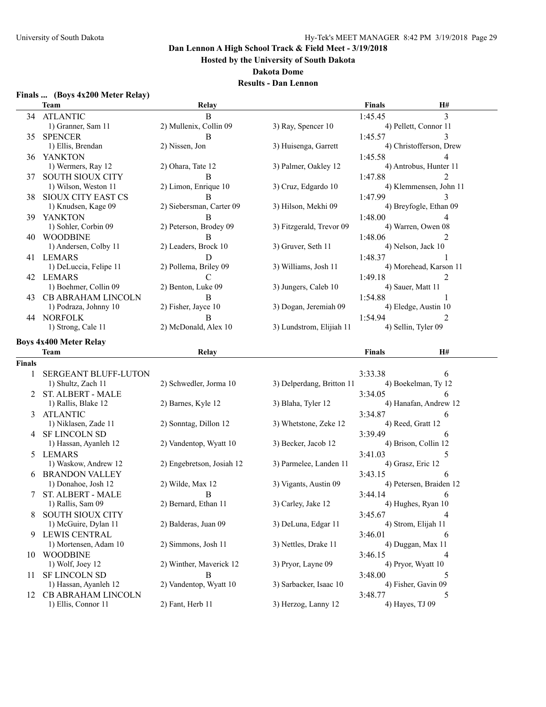**Hosted by the University of South Dakota**

**Dakota Dome**

| Finals  (Boys 4x200 Meter Relay) |  |
|----------------------------------|--|
|----------------------------------|--|

|               | <b>Team</b>                               | Relay                     |                           | Finals                     | H#                       |  |
|---------------|-------------------------------------------|---------------------------|---------------------------|----------------------------|--------------------------|--|
|               | 34 ATLANTIC                               | $\overline{B}$            |                           | 1:45.45                    | 3                        |  |
|               | 1) Granner, Sam 11                        | 2) Mullenix, Collin 09    | 3) Ray, Spencer 10        |                            | 4) Pellett, Connor 11    |  |
| 35            | <b>SPENCER</b>                            | B                         |                           | 1:45.57                    | 3                        |  |
|               | 1) Ellis, Brendan                         | 2) Nissen, Jon            | 3) Huisenga, Garrett      |                            | 4) Christofferson, Drew  |  |
|               | 36 YANKTON                                |                           |                           | 1:45.58                    | 4                        |  |
|               | 1) Wermers, Ray 12                        | 2) Ohara, Tate 12         | 3) Palmer, Oakley 12      |                            | 4) Antrobus, Hunter 11   |  |
| 37            | <b>SOUTH SIOUX CITY</b>                   | B                         |                           | 1:47.88                    | 2                        |  |
|               | 1) Wilson, Weston 11                      | 2) Limon, Enrique 10      | 3) Cruz, Edgardo 10       |                            | 4) Klemmensen, John 11   |  |
| 38            | <b>SIOUX CITY EAST CS</b>                 | B                         |                           | 1:47.99                    | 3                        |  |
|               | 1) Knudsen, Kage 09                       | 2) Siebersman, Carter 09  | 3) Hilson, Mekhi 09       |                            | 4) Breyfogle, Ethan 09   |  |
|               |                                           | B                         |                           |                            |                          |  |
| 39            | YANKTON                                   | 2) Peterson, Brodey 09    |                           | 1:48.00                    | 4                        |  |
|               | 1) Sohler, Corbin 09                      |                           | 3) Fitzgerald, Trevor 09  |                            | 4) Warren, Owen 08       |  |
| 40            | <b>WOODBINE</b>                           | B                         |                           | 1:48.06                    | 2                        |  |
|               | 1) Andersen, Colby 11                     | 2) Leaders, Brock 10      | 3) Gruver, Seth 11        |                            | 4) Nelson, Jack 10       |  |
|               | 41 LEMARS                                 | D                         |                           | 1:48.37                    |                          |  |
|               | 1) DeLuccia, Felipe 11                    | 2) Pollema, Briley 09     | 3) Williams, Josh 11      |                            | 4) Morehead, Karson 11   |  |
|               | 42 LEMARS                                 | C                         |                           | 1:49.18                    | 2                        |  |
|               | 1) Boehmer, Collin 09                     | 2) Benton, Luke 09        | 3) Jungers, Caleb 10      |                            | 4) Sauer, Matt 11        |  |
|               | 43 CB ABRAHAM LINCOLN                     | B                         |                           | 1:54.88                    |                          |  |
|               | 1) Podraza, Johnny 10                     | 2) Fisher, Jayce 10       | 3) Dogan, Jeremiah 09     |                            | 4) Eledge, Austin 10     |  |
|               | 44 NORFOLK                                | B                         |                           | 1:54.94                    | 2                        |  |
|               | 1) Strong, Cale 11                        | 2) McDonald, Alex 10      | 3) Lundstrom, Elijiah 11  |                            | 4) Sellin, Tyler 09      |  |
|               | <b>Boys 4x400 Meter Relay</b>             |                           |                           |                            |                          |  |
|               |                                           |                           |                           | <b>Finals</b>              | H#                       |  |
|               | Team                                      | Relay                     |                           |                            |                          |  |
| <b>Finals</b> |                                           |                           |                           |                            |                          |  |
| 1             | <b>SERGEANT BLUFF-LUTON</b>               |                           |                           | 3:33.38                    | 6                        |  |
|               | 1) Shultz, Zach 11                        | 2) Schwedler, Jorma 10    | 3) Delperdang, Britton 11 |                            | 4) Boekelman, Ty 12      |  |
| 2             | <b>ST. ALBERT - MALE</b>                  |                           |                           | 3:34.05                    | 6                        |  |
|               | 1) Rallis, Blake 12                       | 2) Barnes, Kyle 12        | 3) Blaha, Tyler 12        |                            | 4) Hanafan, Andrew 12    |  |
| 3             | <b>ATLANTIC</b>                           |                           |                           | 3:34.87                    | 6                        |  |
|               | 1) Niklasen, Zade 11                      | 2) Sonntag, Dillon 12     | 3) Whetstone, Zeke 12     |                            | 4) Reed, Gratt 12        |  |
| 4             | <b>SF LINCOLN SD</b>                      |                           |                           | 3:39.49                    | 6                        |  |
|               | 1) Hassan, Ayanleh 12                     | 2) Vandentop, Wyatt 10    | 3) Becker, Jacob 12       |                            | 4) Brison, Collin 12     |  |
| 5             | LEMARS                                    |                           |                           | 3:41.03                    | 5                        |  |
|               | 1) Waskow, Andrew 12                      | 2) Engebretson, Josiah 12 | 3) Parmelee, Landen 11    |                            | 4) Grasz, Eric 12        |  |
| 6             | <b>BRANDON VALLEY</b>                     |                           |                           | 3:43.15                    | 6                        |  |
|               | 1) Donahoe, Josh 12                       | 2) Wilde, Max 12          | 3) Vigants, Austin 09     |                            | 4) Petersen, Braiden 12  |  |
|               | <b>ST. ALBERT - MALE</b>                  | B                         |                           | 3:44.14                    | 6                        |  |
|               | 1) Rallis, Sam 09                         | 2) Bernard, Ethan 11      | 3) Carley, Jake 12        |                            | 4) Hughes, Ryan 10       |  |
| 8             | <b>SOUTH SIOUX CITY</b>                   |                           |                           | 3:45.67                    | 4                        |  |
|               | 1) McGuire, Dylan 11                      | 2) Balderas, Juan 09      | 3) DeLuna, Edgar 11       |                            | 4) Strom, Elijah 11      |  |
| 9             | <b>LEWIS CENTRAL</b>                      |                           |                           | 3:46.01                    | 6                        |  |
|               | 1) Mortensen, Adam 10                     | 2) Simmons, Josh 11       | 3) Nettles, Drake 11      |                            | 4) Duggan, Max 11        |  |
| 10            | <b>WOODBINE</b>                           |                           |                           | 3:46.15                    | 4                        |  |
|               | 1) Wolf, Joey 12                          | 2) Winther, Maverick 12   | 3) Pryor, Layne 09        |                            | 4) Pryor, Wyatt 10       |  |
|               | <b>SF LINCOLN SD</b>                      | B                         |                           | 3:48.00                    |                          |  |
| 11            | 1) Hassan, Ayanleh 12                     | 2) Vandentop, Wyatt 10    | 3) Sarbacker, Isaac 10    |                            | 5<br>4) Fisher, Gavin 09 |  |
|               |                                           |                           |                           |                            |                          |  |
| 12            |                                           |                           |                           |                            |                          |  |
|               | CB ABRAHAM LINCOLN<br>1) Ellis, Connor 11 | 2) Fant, Herb 11          | 3) Herzog, Lanny 12       | 3:48.77<br>4) Hayes, TJ 09 | 5                        |  |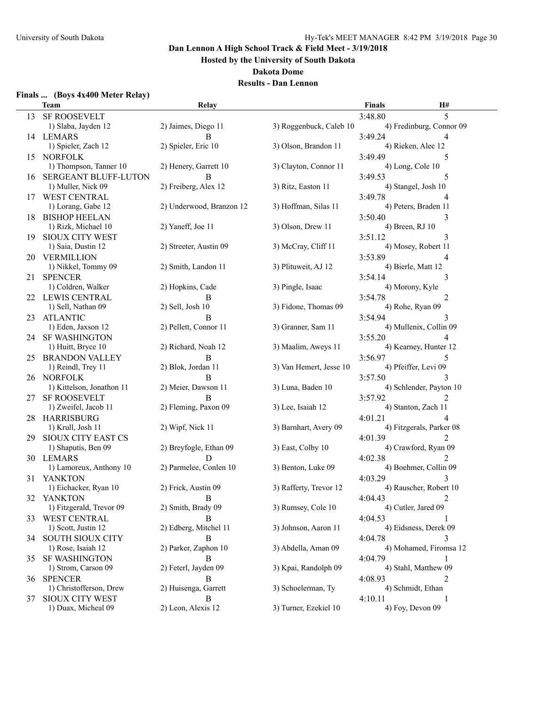**Hosted by the University of South Dakota**

**Dakota Dome**

| Finals  (Boys 4x400 Meter Relay) |  |  |  |  |  |
|----------------------------------|--|--|--|--|--|
|----------------------------------|--|--|--|--|--|

|    | <b>Team</b>               | Relay                      |                         | <b>Finals</b> | H#                       |
|----|---------------------------|----------------------------|-------------------------|---------------|--------------------------|
|    | 13 SF ROOSEVELT           |                            |                         | 3:48.80       | 5                        |
|    | 1) Slaba, Jayden 12       | 2) Jaimes, Diego 11        | 3) Roggenbuck, Caleb 10 |               | 4) Fredinburg, Connor 09 |
|    | 14 LEMARS                 | B                          |                         | 3:49.24       | 4                        |
|    | 1) Spieler, Zach 12       | 2) Spieler, Eric 10        | 3) Olson, Brandon 11    |               | 4) Rieken, Alec 12       |
| 15 | <b>NORFOLK</b>            |                            |                         | 3:49.49       | 5                        |
|    | 1) Thompson, Tanner 10    | 2) Henery, Garrett 10      | 3) Clayton, Connor 11   |               | 4) Long, Cole 10         |
|    | 16 SERGEANT BLUFF-LUTON   | B                          |                         | 3:49.53       | 5                        |
|    | 1) Muller, Nick 09        | 2) Freiberg, Alex 12       | 3) Ritz, Easton 11      |               | 4) Stangel, Josh 10      |
|    | 17 WEST CENTRAL           |                            |                         | 3:49.78       | 4                        |
|    | 1) Lorang, Gabe 12        | 2) Underwood, Branzon 12   | 3) Hoffman, Silas 11    |               | 4) Peters, Braden 11     |
| 18 | <b>BISHOP HEELAN</b>      |                            |                         | 3:50.40       | 3                        |
|    | 1) Rizk, Michael 10       | 2) Yaneff, Joe 11          | 3) Olson, Drew 11       |               | 4) Breen, RJ 10          |
| 19 | <b>SIOUX CITY WEST</b>    |                            |                         | 3:51.12       | 3                        |
|    | 1) Saia, Dustin 12        | 2) Streeter, Austin 09     | 3) McCray, Cliff 11     |               | 4) Mosey, Robert 11      |
|    | 20 VERMILLION             |                            |                         | 3:53.89       | 4                        |
|    | 1) Nikkel, Tommy 09       | 2) Smith, Landon 11        | 3) Plituweit, AJ 12     |               | 4) Bierle, Matt 12       |
|    | <b>SPENCER</b>            |                            |                         |               |                          |
| 21 | 1) Coldren, Walker        |                            | 3) Pingle, Isaac        | 3:54.14       | 3                        |
|    |                           | 2) Hopkins, Cade           |                         |               | 4) Morony, Kyle          |
| 22 | <b>LEWIS CENTRAL</b>      | В                          |                         | 3:54.78       | 2                        |
|    | 1) Sell, Nathan 09        | 2) Sell, Josh 10           | 3) Fidone, Thomas 09    |               | 4) Rohe, Ryan 09         |
| 23 | <b>ATLANTIC</b>           | B<br>2) Pellett, Connor 11 |                         | 3:54.94       | 3                        |
|    | 1) Eden, Jaxson 12        |                            | 3) Granner, Sam 11      |               | 4) Mullenix, Collin 09   |
|    | 24 SF WASHINGTON          |                            |                         | 3:55.20       | 4                        |
|    | 1) Huitt, Bryce 10        | 2) Richard, Noah 12        | 3) Maalim, Aweys 11     |               | 4) Kearney, Hunter 12    |
|    | 25 BRANDON VALLEY         | B                          |                         | 3:56.97       | 5                        |
|    | 1) Reindl, Trey 11        | 2) Blok, Jordan 11         | 3) Van Hemert, Jesse 10 |               | 4) Pfeiffer, Levi 09     |
|    | 26 NORFOLK                | B                          |                         | 3:57.50       | 3                        |
|    | 1) Kittelson, Jonathon 11 | 2) Meier, Dawson 11        | 3) Luna, Baden 10       |               | 4) Schlender, Payton 10  |
| 27 | <b>SF ROOSEVELT</b>       | B                          |                         | 3:57.92       | 2                        |
|    | 1) Zweifel, Jacob 11      | 2) Fleming, Paxon 09       | 3) Lee, Isaiah 12       |               | 4) Stanton, Zach 11      |
|    | 28 HARRISBURG             |                            |                         | 4:01.21       |                          |
|    | 1) Krull, Josh 11         | 2) Wipf, Nick 11           | 3) Barnhart, Avery 09   |               | 4) Fitzgerals, Parker 08 |
| 29 | SIOUX CITY EAST CS        |                            |                         | 4:01.39       |                          |
|    | 1) Shaputis, Ben 09       | 2) Breyfogle, Ethan 09     | 3) East, Colby 10       |               | 4) Crawford, Ryan 09     |
|    | 30 LEMARS                 | D                          |                         | 4:02.38       | 2                        |
|    | 1) Lamoreux, Anthony 10   | 2) Parmelee, Conlen 10     | 3) Benton, Luke 09      |               | 4) Boehmer, Collin 09    |
| 31 | <b>YANKTON</b>            |                            |                         | 4:03.29       | 3                        |
|    | 1) Eichacker, Ryan 10     | 2) Frick, Austin 09        | 3) Rafferty, Trevor 12  |               | 4) Rauscher, Robert 10   |
|    | 32 YANKTON                | -B                         |                         | 4:04.43       |                          |
|    | 1) Fitzgerald, Trevor 09  | 2) Smith, Brady 09         | 3) Rumsey, Cole 10      |               | 4) Cutler, Jared 09      |
|    | 33 WEST CENTRAL           | B                          |                         | 4:04.53       |                          |
|    | 1) Scott, Justin 12       | 2) Edberg, Mitchel 11      | 3) Johnson, Aaron 11    |               | 4) Eidsness, Derek 09    |
|    | 34 SOUTH SIOUX CITY       | B                          |                         | 4:04.78       | 3                        |
|    | 1) Rose, Isaiah 12        | 2) Parker, Zaphon 10       | 3) Abdella, Aman 09     |               | 4) Mohamed, Firomsa 12   |
| 35 | <b>SF WASHINGTON</b>      | B                          |                         | 4:04.79       | 1                        |
|    | 1) Strom, Carson 09       | 2) Feterl, Jayden 09       | 3) Kpai, Randolph 09    |               | 4) Stahl, Matthew 09     |
|    | 36 SPENCER                | В                          |                         | 4:08.93       | 2                        |
|    | 1) Christofferson, Drew   | 2) Huisenga, Garrett       | 3) Schoelerman, Ty      |               | 4) Schmidt, Ethan        |
|    | 37 SIOUX CITY WEST        | B                          |                         | 4:10.11       | 1                        |
|    | 1) Duax, Micheal 09       | 2) Leon, Alexis 12         | 3) Turner, Ezekiel 10   |               | 4) Foy, Devon 09         |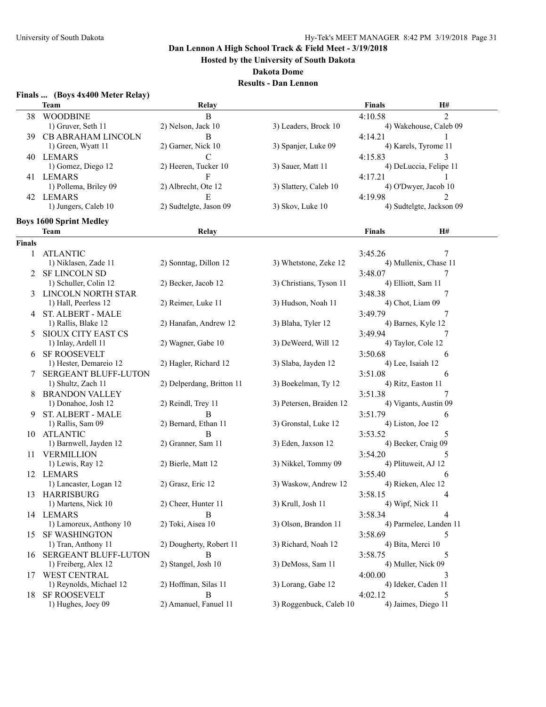**Hosted by the University of South Dakota**

**Dakota Dome**

| Finals  (Boys 4x400 Meter Relay) |  |  |  |  |
|----------------------------------|--|--|--|--|
|----------------------------------|--|--|--|--|

|               | <b>Team</b>                                | Relay                                 |                         | <b>Finals</b>                 | <b>H#</b>                |  |
|---------------|--------------------------------------------|---------------------------------------|-------------------------|-------------------------------|--------------------------|--|
| 38            | <b>WOODBINE</b>                            | $\, {\bf B}$                          |                         | 4:10.58                       | $\overline{2}$           |  |
|               | 1) Gruver, Seth 11                         | 2) Nelson, Jack 10                    | 3) Leaders, Brock 10    |                               | 4) Wakehouse, Caleb 09   |  |
|               | 39 CB ABRAHAM LINCOLN                      | B                                     |                         | 4:14.21                       |                          |  |
|               | 1) Green, Wyatt 11                         | 2) Garner, Nick 10                    | 3) Spanjer, Luke 09     |                               | 4) Karels, Tyrome 11     |  |
|               | 40 LEMARS                                  | C                                     |                         | 4:15.83                       | 3                        |  |
|               | 1) Gomez, Diego 12                         | 2) Heeren, Tucker 10                  | 3) Sauer, Matt 11       |                               | 4) DeLuccia, Felipe 11   |  |
|               | 41 LEMARS                                  | F                                     |                         | 4:17.21                       |                          |  |
|               | 1) Pollema, Briley 09                      | 2) Albrecht, Ote 12                   | 3) Slattery, Caleb 10   |                               | 4) O'Dwyer, Jacob 10     |  |
|               |                                            |                                       |                         |                               |                          |  |
|               | 42 LEMARS<br>1) Jungers, Caleb 10          | $\mathbf E$<br>2) Sudtelgte, Jason 09 |                         | 4:19.98                       | 2                        |  |
|               |                                            |                                       | 3) Skov, Luke 10        |                               | 4) Sudtelgte, Jackson 09 |  |
|               | <b>Boys 1600 Sprint Medley</b>             |                                       |                         |                               |                          |  |
|               | Team                                       | <b>Relay</b>                          |                         | <b>Finals</b>                 | Н#                       |  |
| <b>Finals</b> |                                            |                                       |                         |                               |                          |  |
| 1             | <b>ATLANTIC</b>                            |                                       |                         | 3:45.26                       | 7                        |  |
|               | 1) Niklasen, Zade 11                       | 2) Sonntag, Dillon 12                 | 3) Whetstone, Zeke 12   |                               | 4) Mullenix, Chase 11    |  |
|               | 2 SF LINCOLN SD                            |                                       |                         | 3:48.07                       | 7                        |  |
|               | 1) Schuller, Colin 12                      | 2) Becker, Jacob 12                   | 3) Christians, Tyson 11 | 4) Elliott, Sam 11            |                          |  |
|               | 3 LINCOLN NORTH STAR                       |                                       |                         | 3:48.38                       | 7                        |  |
|               | 1) Hall, Peerless 12                       | 2) Reimer, Luke 11                    | 3) Hudson, Noah 11      | 4) Chot, Liam 09              |                          |  |
|               |                                            |                                       |                         |                               | 7                        |  |
|               | 4 ST. ALBERT - MALE<br>1) Rallis, Blake 12 | 2) Hanafan, Andrew 12                 | 3) Blaha, Tyler 12      | 3:49.79<br>4) Barnes, Kyle 12 |                          |  |
|               |                                            |                                       |                         |                               |                          |  |
|               | <b>SIOUX CITY EAST CS</b>                  |                                       |                         | 3:49.94                       |                          |  |
|               | 1) Inlay, Ardell 11                        | 2) Wagner, Gabe 10                    | 3) DeWeerd, Will 12     | 4) Taylor, Cole 12            |                          |  |
|               | 6 SF ROOSEVELT                             |                                       |                         | 3:50.68                       | 6                        |  |
|               | 1) Hester, Demareio 12                     | 2) Hagler, Richard 12                 | 3) Slaba, Jayden 12     | 4) Lee, Isaiah 12             |                          |  |
|               | SERGEANT BLUFF-LUTON                       |                                       |                         | 3:51.08                       | 6                        |  |
|               | 1) Shultz, Zach 11                         | 2) Delperdang, Britton 11             | 3) Boekelman, Ty 12     | 4) Ritz, Easton 11            |                          |  |
|               | 8 BRANDON VALLEY                           |                                       |                         | 3:51.38                       | 7                        |  |
|               | 1) Donahoe, Josh 12                        | 2) Reindl, Trey 11                    | 3) Petersen, Braiden 12 |                               | 4) Vigants, Austin 09    |  |
|               | 9 ST. ALBERT - MALE                        | В                                     |                         | 3:51.79                       | 6                        |  |
|               | 1) Rallis, Sam 09                          | 2) Bernard, Ethan 11                  | 3) Gronstal, Luke 12    | 4) Liston, Joe 12             |                          |  |
|               | 10 ATLANTIC                                | B                                     |                         | 3:53.52                       | 5                        |  |
|               | 1) Barnwell, Jayden 12                     | 2) Granner, Sam 11                    | 3) Eden, Jaxson 12      | 4) Becker, Craig 09           |                          |  |
|               | 11 VERMILLION                              |                                       |                         | 3:54.20                       | 5                        |  |
|               | 1) Lewis, Ray 12                           | 2) Bierle, Matt 12                    | 3) Nikkel, Tommy 09     | 4) Plituweit, AJ 12           |                          |  |
|               | 12 LEMARS                                  |                                       |                         | 3:55.40                       | 6                        |  |
|               | 1) Lancaster, Logan 12                     | 2) Grasz, Eric 12                     | 3) Waskow, Andrew 12    | 4) Rieken, Alec 12            |                          |  |
|               | 13 HARRISBURG                              |                                       |                         | 3:58.15                       | 4                        |  |
|               | 1) Martens, Nick 10                        | 2) Cheer, Hunter 11                   | 3) Krull, Josh 11       | 4) Wipf, Nick 11              |                          |  |
|               | 14 LEMARS                                  | B                                     |                         | 3:58.34                       | 4                        |  |
|               | 1) Lamoreux, Anthony 10                    | 2) Toki, Aisea 10                     | 3) Olson, Brandon 11    |                               | 4) Parmelee, Landen 11   |  |
|               | 15 SF WASHINGTON                           |                                       |                         | 3:58.69                       | 5                        |  |
|               | 1) Tran, Anthony 11                        | 2) Dougherty, Robert 11               | 3) Richard, Noah 12     | 4) Bita, Merci 10             |                          |  |
| 16            | <b>SERGEANT BLUFF-LUTON</b>                | B                                     |                         | 3:58.75                       | 5                        |  |
|               | 1) Freiberg, Alex 12                       | 2) Stangel, Josh 10                   | 3) DeMoss, Sam 11       | 4) Muller, Nick 09            |                          |  |
|               | 17 WEST CENTRAL                            |                                       |                         | 4:00.00                       | 3                        |  |
|               | 1) Reynolds, Michael 12                    | 2) Hoffman, Silas 11                  | 3) Lorang, Gabe 12      | 4) Ideker, Caden 11           |                          |  |
| 18            | <b>SF ROOSEVELT</b>                        | B                                     |                         | 4:02.12                       | 5                        |  |
|               | 1) Hughes, Joey 09                         | 2) Amanuel, Fanuel 11                 | 3) Roggenbuck, Caleb 10 | 4) Jaimes, Diego 11           |                          |  |
|               |                                            |                                       |                         |                               |                          |  |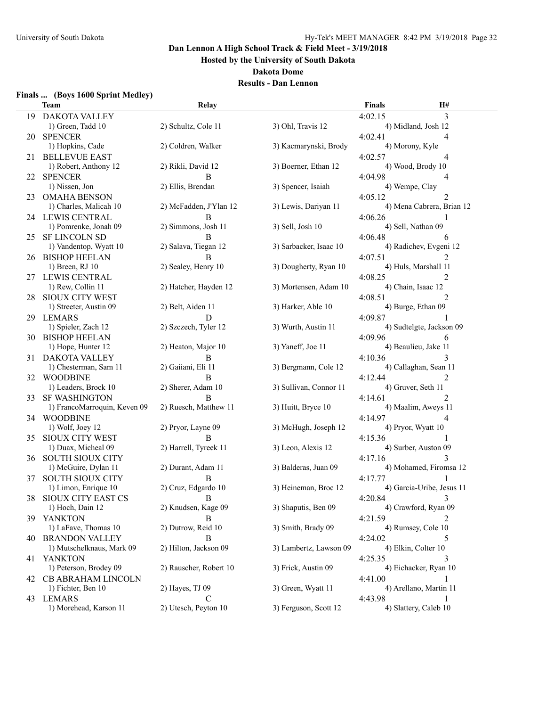**Hosted by the University of South Dakota**

#### **Dakota Dome**

## **Results - Dan Lennon**

#### **Finals ... (Boys 1600 Sprint Medley)**

|     | <b>Team</b>                               | Relay                  |                        | <b>Finals</b> | H#                        |
|-----|-------------------------------------------|------------------------|------------------------|---------------|---------------------------|
| 19  | DAKOTA VALLEY                             |                        |                        | 4:02.15       | 3                         |
|     | 1) Green, Tadd 10                         | 2) Schultz, Cole 11    | 3) Ohl, Travis 12      |               | 4) Midland, Josh 12       |
| 20. | <b>SPENCER</b>                            |                        |                        | 4:02.41       | 4                         |
|     | 1) Hopkins, Cade                          | 2) Coldren, Walker     | 3) Kacmarynski, Brody  |               | 4) Morony, Kyle           |
| 21  | <b>BELLEVUE EAST</b>                      |                        |                        | 4:02.57       | 4                         |
|     | 1) Robert, Anthony 12                     | 2) Rikli, David 12     | 3) Boerner, Ethan 12   |               | 4) Wood, Brody 10         |
|     | 22 SPENCER                                | B                      |                        | 4:04.98       | 4                         |
|     | 1) Nissen, Jon                            | 2) Ellis, Brendan      | 3) Spencer, Isaiah     |               | 4) Wempe, Clay            |
|     | 23 OMAHA BENSON                           |                        |                        | 4:05.12       | 2                         |
|     | 1) Charles, Malicah 10                    | 2) McFadden, J'Ylan 12 | 3) Lewis, Dariyan 11   |               | 4) Mena Cabrera, Brian 12 |
|     |                                           | B                      |                        | 4:06.26       |                           |
|     | 24 LEWIS CENTRAL<br>1) Pomrenke, Jonah 09 | 2) Simmons, Josh 11    | 3) Sell, Josh 10       |               | 4) Sell, Nathan 09        |
|     |                                           |                        |                        |               |                           |
| 25. | <b>SF LINCOLN SD</b>                      | B                      |                        | 4:06.48       | 6                         |
|     | 1) Vandentop, Wyatt 10                    | 2) Salava, Tiegan 12   | 3) Sarbacker, Isaac 10 |               | 4) Radichev, Evgeni 12    |
| 26. | <b>BISHOP HEELAN</b>                      | В                      |                        | 4:07.51       |                           |
|     | 1) Breen, RJ 10                           | 2) Sealey, Henry 10    | 3) Dougherty, Ryan 10  |               | 4) Huls, Marshall 11      |
|     | 27 LEWIS CENTRAL                          |                        |                        | 4:08.25       |                           |
|     | 1) Rew, Collin 11                         | 2) Hatcher, Hayden 12  | 3) Mortensen, Adam 10  |               | 4) Chain, Isaac 12        |
| 28. | <b>SIOUX CITY WEST</b>                    |                        |                        | 4:08.51       | 2                         |
|     | 1) Streeter, Austin 09                    | 2) Belt, Aiden 11      | 3) Harker, Able 10     |               | 4) Burge, Ethan 09        |
| 29  | <b>LEMARS</b>                             | D                      |                        | 4:09.87       |                           |
|     | 1) Spieler, Zach 12                       | 2) Szczech, Tyler 12   | 3) Wurth, Austin 11    |               | 4) Sudtelgte, Jackson 09  |
|     | 30 BISHOP HEELAN                          |                        |                        | 4:09.96       | 6                         |
|     | 1) Hope, Hunter 12                        | 2) Heaton, Major 10    | 3) Yaneff, Joe 11      |               | 4) Beaulieu, Jake 11      |
|     | 31 DAKOTA VALLEY                          | В                      |                        | 4:10.36       | 3                         |
|     | 1) Chesterman, Sam 11                     | 2) Gaiiani, Eli 11     | 3) Bergmann, Cole 12   |               | 4) Callaghan, Sean 11     |
|     | 32 WOODBINE                               | B                      |                        | 4:12.44       | 2                         |
|     | 1) Leaders, Brock 10                      | 2) Sherer, Adam 10     | 3) Sullivan, Connor 11 |               | 4) Gruver, Seth 11        |
| 33. | <b>SF WASHINGTON</b>                      | B                      |                        | 4:14.61       | 2                         |
|     | 1) FrancoMarroquin, Keven 09              | 2) Ruesch, Matthew 11  | 3) Huitt, Bryce 10     |               | 4) Maalim, Aweys 11       |
| 34  | <b>WOODBINE</b>                           |                        |                        | 4:14.97       | 4                         |
|     | $1)$ Wolf, Joey 12                        | 2) Pryor, Layne 09     | 3) McHugh, Joseph 12   |               | 4) Pryor, Wyatt 10        |
| 35. | <b>SIOUX CITY WEST</b>                    | В                      |                        | 4:15.36       |                           |
|     | 1) Duax, Micheal 09                       | 2) Harrell, Tyreek 11  | 3) Leon, Alexis 12     |               | 4) Surber, Auston 09      |
| 36  | <b>SOUTH SIOUX CITY</b>                   |                        |                        | 4:17.16       |                           |
|     | 1) McGuire, Dylan 11                      | 2) Durant, Adam 11     | 3) Balderas, Juan 09   |               | 4) Mohamed, Firomsa 12    |
| 37  | <b>SOUTH SIOUX CITY</b>                   | B                      |                        | 4:17.77       |                           |
|     | 1) Limon, Enrique 10                      | 2) Cruz, Edgardo 10    | 3) Heineman, Broc 12   |               | 4) Garcia-Uribe, Jesus 11 |
|     | 38 SIOUX CITY EAST CS                     | - B                    |                        | 4:20.84       | $\mathcal{E}$             |
|     | 1) Hoch, Dain 12                          | 2) Knudsen, Kage 09    | 3) Shaputis, Ben 09    |               | 4) Crawford, Ryan 09      |
|     | 39 YANKTON                                | B                      |                        | 4:21.59       |                           |
|     | 1) LaFave, Thomas 10                      | 2) Dutrow, Reid 10     | 3) Smith, Brady 09     |               | 4) Rumsey, Cole 10        |
|     | <b>40 BRANDON VALLEY</b>                  | B                      |                        | 4:24.02       | 5                         |
|     | 1) Mutschelknaus, Mark 09                 | 2) Hilton, Jackson 09  | 3) Lambertz, Lawson 09 |               | 4) Elkin, Colter 10       |
| 41  | YANKTON                                   |                        |                        | 4:25.35       | 3                         |
|     | 1) Peterson, Brodey 09                    | 2) Rauscher, Robert 10 | 3) Frick, Austin 09    |               | 4) Eichacker, Ryan 10     |
|     | 42 CB ABRAHAM LINCOLN                     |                        |                        | 4:41.00       |                           |
|     | 1) Fichter, Ben 10                        | 2) Hayes, TJ 09        | 3) Green, Wyatt 11     |               | 4) Arellano, Martin 11    |
|     | 43 LEMARS                                 | $\mathcal{C}$          |                        | 4:43.98       |                           |
|     | 1) Morehead, Karson 11                    | 2) Utesch, Peyton 10   | 3) Ferguson, Scott 12  |               | 4) Slattery, Caleb 10     |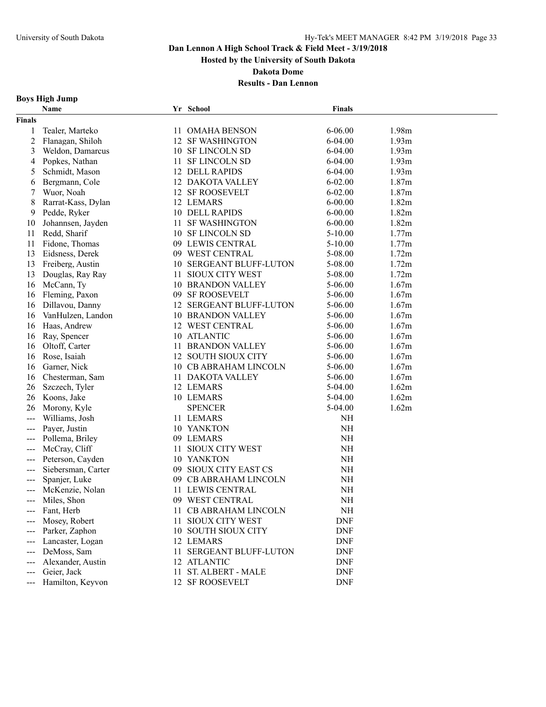**Hosted by the University of South Dakota**

**Dakota Dome**

**Results - Dan Lennon**

## **Boys High Jump**

|                     | Name               |      | Yr School                      | <b>Finals</b> |       |
|---------------------|--------------------|------|--------------------------------|---------------|-------|
| <b>Finals</b>       |                    |      |                                |               |       |
| 1                   | Tealer, Marteko    |      | 11 OMAHA BENSON                | 6-06.00       | 1.98m |
| $\overline{c}$      | Flanagan, Shiloh   |      | 12 SF WASHINGTON               | 6-04.00       | 1.93m |
| 3                   | Weldon, Damarcus   |      | 10 SF LINCOLN SD               | 6-04.00       | 1.93m |
| 4                   | Popkes, Nathan     | 11   | <b>SF LINCOLN SD</b>           | 6-04.00       | 1.93m |
| 5                   | Schmidt, Mason     |      | <b>12 DELL RAPIDS</b>          | 6-04.00       | 1.93m |
| 6                   | Bergmann, Cole     |      | 12 DAKOTA VALLEY               | $6 - 02.00$   | 1.87m |
| 7                   | Wuor, Noah         |      | 12 SF ROOSEVELT                | $6 - 02.00$   | 1.87m |
| 8                   | Rarrat-Kass, Dylan |      | 12 LEMARS                      | $6 - 00.00$   | 1.82m |
| 9                   | Pedde, Ryker       |      | 10 DELL RAPIDS                 | $6 - 00.00$   | 1.82m |
| 10                  | Johannsen, Jayden  | 11   | <b>SF WASHINGTON</b>           | $6 - 00.00$   | 1.82m |
| 11                  | Redd, Sharif       |      | 10 SF LINCOLN SD               | $5 - 10.00$   | 1.77m |
| 11                  | Fidone, Thomas     |      | 09 LEWIS CENTRAL               | $5 - 10.00$   | 1.77m |
| 13                  | Eidsness, Derek    |      | 09 WEST CENTRAL                | 5-08.00       | 1.72m |
| 13                  | Freiberg, Austin   |      | <b>10 SERGEANT BLUFF-LUTON</b> | 5-08.00       | 1.72m |
| 13                  | Douglas, Ray Ray   | 11.  | <b>SIOUX CITY WEST</b>         | 5-08.00       | 1.72m |
| 16                  | McCann, Ty         |      | <b>10 BRANDON VALLEY</b>       | $5 - 06.00$   | 1.67m |
| 16                  | Fleming, Paxon     | 09.  | <b>SF ROOSEVELT</b>            | $5 - 06.00$   | 1.67m |
| 16                  | Dillavou, Danny    | 12   | <b>SERGEANT BLUFF-LUTON</b>    | 5-06.00       | 1.67m |
| 16                  | VanHulzen, Landon  |      | <b>10 BRANDON VALLEY</b>       | $5 - 06.00$   | 1.67m |
| 16                  | Haas, Andrew       | 12   | <b>WEST CENTRAL</b>            | 5-06.00       | 1.67m |
| 16                  | Ray, Spencer       |      | 10 ATLANTIC                    | $5 - 06.00$   | 1.67m |
| 16                  | Oltoff, Carter     | 11 - | <b>BRANDON VALLEY</b>          | $5 - 06.00$   | 1.67m |
| 16                  | Rose, Isaiah       |      | 12 SOUTH SIOUX CITY            | $5 - 06.00$   | 1.67m |
| 16                  | Garner, Nick       |      | 10 CB ABRAHAM LINCOLN          | $5 - 06.00$   | 1.67m |
| 16                  | Chesterman, Sam    |      | 11 DAKOTA VALLEY               | 5-06.00       | 1.67m |
| 26                  | Szczech, Tyler     |      | 12 LEMARS                      | 5-04.00       | 1.62m |
| 26                  | Koons, Jake        |      | 10 LEMARS                      | $5-04.00$     | 1.62m |
| 26                  | Morony, Kyle       |      | <b>SPENCER</b>                 | $5-04.00$     | 1.62m |
| $---$               | Williams, Josh     |      | 11 LEMARS                      | NH            |       |
| ---                 | Payer, Justin      |      | 10 YANKTON                     | NH            |       |
|                     | Pollema, Briley    |      | 09 LEMARS                      | $NH$          |       |
|                     | McCray, Cliff      | 11   | <b>SIOUX CITY WEST</b>         | $\rm NH$      |       |
|                     | Peterson, Cayden   |      | 10 YANKTON                     | NH            |       |
| $---$               | Siebersman, Carter |      | 09 SIOUX CITY EAST CS          | NH            |       |
| $\qquad \qquad -$   | Spanjer, Luke      |      | 09 CB ABRAHAM LINCOLN          | NH            |       |
| $\qquad \qquad -$   | McKenzie, Nolan    | 11   | <b>LEWIS CENTRAL</b>           | NH            |       |
| $\qquad \qquad - -$ | Miles, Shon        |      | 09 WEST CENTRAL                | NH            |       |
|                     | Fant, Herb         |      | 11 CB ABRAHAM LINCOLN          | NH            |       |
|                     | Mosey, Robert      | 11.  | <b>SIOUX CITY WEST</b>         | <b>DNF</b>    |       |
|                     | Parker, Zaphon     |      | 10 SOUTH SIOUX CITY            | <b>DNF</b>    |       |
| ---                 | Lancaster, Logan   |      | 12 LEMARS                      | <b>DNF</b>    |       |
|                     | DeMoss, Sam        | 11   | SERGEANT BLUFF-LUTON           | <b>DNF</b>    |       |
|                     | Alexander, Austin  |      | 12 ATLANTIC                    | <b>DNF</b>    |       |
|                     | Geier, Jack        | 11   | <b>ST. ALBERT - MALE</b>       | <b>DNF</b>    |       |
| $---$               | Hamilton, Keyvon   |      | 12 SF ROOSEVELT                | <b>DNF</b>    |       |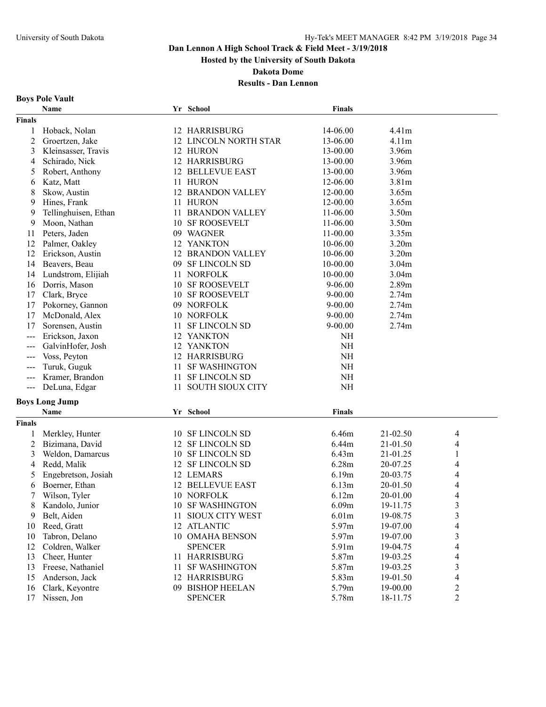**Hosted by the University of South Dakota**

**Dakota Dome**

**Results - Dan Lennon**

# **Boys Pole Vault**

|                | Name                  |    | Yr School                | <b>Finals</b> |          |                          |
|----------------|-----------------------|----|--------------------------|---------------|----------|--------------------------|
| <b>Finals</b>  |                       |    |                          |               |          |                          |
| 1              | Hoback, Nolan         |    | <b>12 HARRISBURG</b>     | 14-06.00      | 4.41m    |                          |
| $\overline{c}$ | Groertzen, Jake       |    | 12 LINCOLN NORTH STAR    | 13-06.00      | 4.11m    |                          |
| 3              | Kleinsasser, Travis   |    | 12 HURON                 | 13-00.00      | 3.96m    |                          |
| 4              | Schirado, Nick        |    | 12 HARRISBURG            | 13-00.00      | 3.96m    |                          |
| 5              | Robert, Anthony       |    | <b>12 BELLEVUE EAST</b>  | 13-00.00      | 3.96m    |                          |
| 6              | Katz, Matt            |    | 11 HURON                 | 12-06.00      | 3.81m    |                          |
| 8              | Skow, Austin          |    | <b>12 BRANDON VALLEY</b> | 12-00.00      | 3.65m    |                          |
| 9              | Hines, Frank          |    | 11 HURON                 | 12-00.00      | 3.65m    |                          |
| 9              | Tellinghuisen, Ethan  |    | 11 BRANDON VALLEY        | 11-06.00      | 3.50m    |                          |
| 9              | Moon, Nathan          |    | 10 SF ROOSEVELT          | 11-06.00      | 3.50m    |                          |
| 11             | Peters, Jaden         |    | 09 WAGNER                | $11-00.00$    | 3.35m    |                          |
| 12             | Palmer, Oakley        |    | 12 YANKTON               | 10-06.00      | 3.20m    |                          |
| 12             | Erickson, Austin      |    | <b>12 BRANDON VALLEY</b> | 10-06.00      | 3.20m    |                          |
| 14             | Beavers, Beau         | 09 | <b>SF LINCOLN SD</b>     | 10-00.00      | 3.04m    |                          |
| 14             | Lundstrom, Elijiah    |    | 11 NORFOLK               | 10-00.00      | 3.04m    |                          |
| 16             | Dorris, Mason         | 10 | <b>SF ROOSEVELT</b>      | $9 - 06.00$   | 2.89m    |                          |
| 17             | Clark, Bryce          |    | <b>10 SF ROOSEVELT</b>   | $9 - 00.00$   | 2.74m    |                          |
| 17             | Pokorney, Gannon      |    | 09 NORFOLK               | $9 - 00.00$   | 2.74m    |                          |
| 17             | McDonald, Alex        |    | 10 NORFOLK               | $9 - 00.00$   | 2.74m    |                          |
| 17             | Sorensen, Austin      | 11 | <b>SF LINCOLN SD</b>     | $9 - 00.00$   | 2.74m    |                          |
| $---$          | Erickson, Jaxon       |    | 12 YANKTON               | NH            |          |                          |
| $---$          | GalvinHofer, Josh     |    | 12 YANKTON               | $\rm NH$      |          |                          |
| $---$          | Voss, Peyton          |    | 12 HARRISBURG            | $\rm NH$      |          |                          |
|                | Turuk, Guguk          | 11 | <b>SF WASHINGTON</b>     | $\rm NH$      |          |                          |
|                | Kramer, Brandon       | 11 | <b>SF LINCOLN SD</b>     | $\rm NH$      |          |                          |
| $---$          | DeLuna, Edgar         | 11 | <b>SOUTH SIOUX CITY</b>  | $\rm NH$      |          |                          |
|                |                       |    |                          |               |          |                          |
|                | <b>Boys Long Jump</b> |    |                          |               |          |                          |
|                | Name                  |    | Yr School                | <b>Finals</b> |          |                          |
| <b>Finals</b>  |                       |    |                          |               |          |                          |
| 1              | Merkley, Hunter       |    | 10 SF LINCOLN SD         | 6.46m         | 21-02.50 | 4                        |
| $\overline{2}$ | Bizimana, David       |    | 12 SF LINCOLN SD         | 6.44m         | 21-01.50 | 4                        |
| 3              | Weldon, Damarcus      |    | 10 SF LINCOLN SD         | 6.43m         | 21-01.25 | 1                        |
| 4              | Redd, Malik           |    | 12 SF LINCOLN SD         | 6.28m         | 20-07.25 | 4                        |
| 5              | Engebretson, Josiah   |    | 12 LEMARS                | 6.19m         | 20-03.75 | 4                        |
| 6              | Boerner, Ethan        |    | <b>12 BELLEVUE EAST</b>  | 6.13m         | 20-01.50 | 4                        |
| 7              | Wilson, Tyler         |    | 10 NORFOLK               | 6.12m         | 20-01.00 | 4                        |
| 8              | Kandolo, Junior       |    | 10 SF WASHINGTON         | 6.09m         | 19-11.75 | 3                        |
| 9              | Belt, Aiden           |    | 11 SIOUX CITY WEST       | 6.01m         | 19-08.75 | $\overline{\mathbf{3}}$  |
| 10             | Reed, Gratt           |    | 12 ATLANTIC              | 5.97m         | 19-07.00 | $\overline{\mathcal{L}}$ |
| 10             | Tabron, Delano        |    | 10 OMAHA BENSON          | 5.97m         | 19-07.00 | $\mathfrak{Z}$           |
| 12             | Coldren, Walker       |    | <b>SPENCER</b>           | 5.91m         | 19-04.75 | $\overline{4}$           |
| 13             | Cheer, Hunter         |    | 11 HARRISBURG            | 5.87m         | 19-03.25 | $\overline{4}$           |
| 13             | Freese, Nathaniel     | 11 | <b>SF WASHINGTON</b>     | 5.87m         | 19-03.25 | $\mathfrak{Z}$           |
| 15             | Anderson, Jack        |    | 12 HARRISBURG            | 5.83m         | 19-01.50 | $\overline{\mathcal{A}}$ |
| 16             | Clark, Keyontre       |    | 09 BISHOP HEELAN         | 5.79m         | 19-00.00 | $\overline{c}$           |
| 17             | Nissen, Jon           |    | <b>SPENCER</b>           | 5.78m         | 18-11.75 | $\overline{2}$           |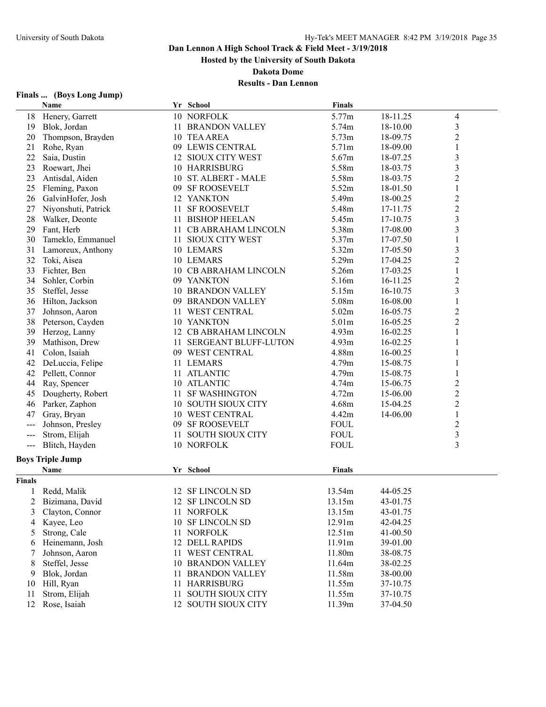**Hosted by the University of South Dakota**

**Dakota Dome**

## **Results - Dan Lennon**

## **Finals ... (Boys Long Jump)**

|                | Name                    |    | Yr School                | <b>Finals</b> |          |                         |
|----------------|-------------------------|----|--------------------------|---------------|----------|-------------------------|
|                | 18 Henery, Garrett      |    | 10 NORFOLK               | 5.77m         | 18-11.25 | 4                       |
| 19             | Blok, Jordan            |    | 11 BRANDON VALLEY        | 5.74m         | 18-10.00 | $\overline{\mathbf{3}}$ |
| 20             | Thompson, Brayden       |    | 10 TEA AREA              | 5.73m         | 18-09.75 | $\overline{c}$          |
| 21             | Rohe, Ryan              |    | 09 LEWIS CENTRAL         | 5.71m         | 18-09.00 | 1                       |
| 22             | Saia, Dustin            |    | 12 SIOUX CITY WEST       | 5.67m         | 18-07.25 | 3                       |
| 23             | Roewart, Jhei           |    | 10 HARRISBURG            | 5.58m         | 18-03.75 | 3                       |
| 23             | Antisdal, Aiden         |    | 10 ST. ALBERT - MALE     | 5.58m         | 18-03.75 | $\overline{c}$          |
| 25             | Fleming, Paxon          |    | 09 SF ROOSEVELT          | 5.52m         | 18-01.50 | $\mathbf{1}$            |
| 26             | GalvinHofer, Josh       |    | 12 YANKTON               | 5.49m         | 18-00.25 | $\overline{c}$          |
| 27             | Niyonshuti, Patrick     | 11 | <b>SF ROOSEVELT</b>      | 5.48m         | 17-11.75 | $\overline{c}$          |
| 28             | Walker, Deonte          |    | 11 BISHOP HEELAN         | 5.45m         | 17-10.75 | 3                       |
| 29             | Fant, Herb              |    | 11 CB ABRAHAM LINCOLN    | 5.38m         | 17-08.00 | $\overline{\mathbf{3}}$ |
| 30             | Tameklo, Emmanuel       |    | 11 SIOUX CITY WEST       | 5.37m         | 17-07.50 | 1                       |
| 31             | Lamoreux, Anthony       |    | 10 LEMARS                | 5.32m         | 17-05.50 | 3                       |
| 32             | Toki, Aisea             |    | 10 LEMARS                | 5.29m         | 17-04.25 | $\overline{c}$          |
| 33             | Fichter, Ben            |    | 10 CB ABRAHAM LINCOLN    | 5.26m         | 17-03.25 | 1                       |
| 34             | Sohler, Corbin          |    | 09 YANKTON               | 5.16m         | 16-11.25 | $\overline{c}$          |
| 35             | Steffel, Jesse          |    | <b>10 BRANDON VALLEY</b> | 5.15m         | 16-10.75 | 3                       |
| 36             | Hilton, Jackson         | 09 | <b>BRANDON VALLEY</b>    | 5.08m         | 16-08.00 | 1                       |
| 37             | Johnson, Aaron          | 11 | <b>WEST CENTRAL</b>      | 5.02m         | 16-05.75 | $\overline{c}$          |
| 38             | Peterson, Cayden        |    | 10 YANKTON               | 5.01m         | 16-05.25 | $\overline{c}$          |
| 39             | Herzog, Lanny           |    | 12 CB ABRAHAM LINCOLN    | 4.93m         | 16-02.25 |                         |
| 39             | Mathison, Drew          |    | 11 SERGEANT BLUFF-LUTON  | 4.93m         | 16-02.25 |                         |
| 41             | Colon, Isaiah           |    | 09 WEST CENTRAL          | 4.88m         | 16-00.25 |                         |
| 42             | DeLuccia, Felipe        |    | 11 LEMARS                | 4.79m         | 15-08.75 | 1                       |
| 42             | Pellett, Connor         |    | 11 ATLANTIC              | 4.79m         | 15-08.75 |                         |
| 44             | Ray, Spencer            |    | 10 ATLANTIC              | 4.74m         | 15-06.75 | $\overline{c}$          |
| 45             | Dougherty, Robert       |    | 11 SF WASHINGTON         | 4.72m         | 15-06.00 | $\overline{c}$          |
| 46             | Parker, Zaphon          |    | 10 SOUTH SIOUX CITY      | 4.68m         | 15-04.25 | $\overline{\mathbf{c}}$ |
| 47             | Gray, Bryan             |    | 10 WEST CENTRAL          | 4.42m         | 14-06.00 | $\mathbf{1}$            |
| $---$          | Johnson, Presley        |    | 09 SF ROOSEVELT          | <b>FOUL</b>   |          | $\overline{c}$          |
| $---$          | Strom, Elijah           | 11 | <b>SOUTH SIOUX CITY</b>  | <b>FOUL</b>   |          | $\overline{\mathbf{3}}$ |
| $---$          | Blitch, Hayden          |    | 10 NORFOLK               | <b>FOUL</b>   |          | $\overline{3}$          |
|                |                         |    |                          |               |          |                         |
|                | <b>Boys Triple Jump</b> |    |                          |               |          |                         |
|                | Name                    |    | Yr School                | <b>Finals</b> |          |                         |
| <b>Finals</b>  |                         |    |                          |               |          |                         |
| 1              | Redd, Malik             |    | 12 SF LINCOLN SD         | 13.54m        | 44-05.25 |                         |
| $\overline{c}$ | Bizimana, David         |    | 12 SF LINCOLN SD         | 13.15m        | 43-01.75 |                         |
| 3              | Clayton, Connor         |    | 11 NORFOLK               | 13.15m        | 43-01.75 |                         |
| 4              | Kayee, Leo              |    | 10 SF LINCOLN SD         | 12.91m        | 42-04.25 |                         |
| 5              | Strong, Cale            |    | 11 NORFOLK               | 12.51m        | 41-00.50 |                         |
| 6              | Heinemann, Josh         |    | 12 DELL RAPIDS           | 11.91m        | 39-01.00 |                         |
|                | Johnson, Aaron          |    | 11 WEST CENTRAL          | 11.80m        | 38-08.75 |                         |
| 8              | Steffel, Jesse          |    | <b>10 BRANDON VALLEY</b> | 11.64m        | 38-02.25 |                         |
| 9              | Blok, Jordan            |    | 11 BRANDON VALLEY        | 11.58m        | 38-00.00 |                         |
| 10             | Hill, Ryan              |    | 11 HARRISBURG            | 11.55m        | 37-10.75 |                         |
| 11             | Strom, Elijah           |    | 11 SOUTH SIOUX CITY      | 11.55m        | 37-10.75 |                         |
|                | 12 Rose, Isaiah         |    | 12 SOUTH SIOUX CITY      | 11.39m        | 37-04.50 |                         |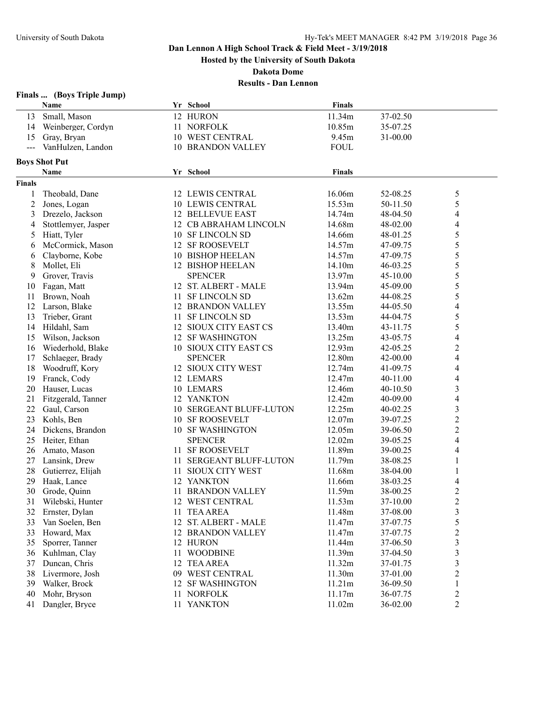**Hosted by the University of South Dakota**

**Dakota Dome**

| <b>Finals …</b> |  |  | (Boys Triple Jump) |
|-----------------|--|--|--------------------|
|-----------------|--|--|--------------------|

|                | Name                 |    | Yr School                   | <b>Finals</b> |              |                          |
|----------------|----------------------|----|-----------------------------|---------------|--------------|--------------------------|
| 13             | Small, Mason         |    | 12 HURON                    | 11.34m        | 37-02.50     |                          |
| 14             | Weinberger, Cordyn   |    | 11 NORFOLK                  | 10.85m        | 35-07.25     |                          |
| 15             | Gray, Bryan          |    | 10 WEST CENTRAL             | 9.45m         | 31-00.00     |                          |
| $---$          | VanHulzen, Landon    |    | <b>10 BRANDON VALLEY</b>    | <b>FOUL</b>   |              |                          |
|                |                      |    |                             |               |              |                          |
|                | <b>Boys Shot Put</b> |    |                             | <b>Finals</b> |              |                          |
|                | Name                 |    | Yr School                   |               |              |                          |
| <b>Finals</b>  |                      |    |                             |               |              |                          |
| 1              | Theobald, Dane       |    | 12 LEWIS CENTRAL            | 16.06m        | 52-08.25     | 5                        |
| $\overline{2}$ | Jones, Logan         |    | <b>10 LEWIS CENTRAL</b>     | 15.53m        | 50-11.50     | 5                        |
| 3              | Drezelo, Jackson     |    | <b>12 BELLEVUE EAST</b>     | 14.74m        | 48-04.50     | $\overline{\mathcal{L}}$ |
| 4              | Stottlemyer, Jasper  |    | 12 CB ABRAHAM LINCOLN       | 14.68m        | 48-02.00     | $\overline{\mathcal{L}}$ |
| 5              | Hiatt, Tyler         |    | 10 SF LINCOLN SD            | 14.66m        | 48-01.25     | 5                        |
| 6              | McCormick, Mason     |    | 12 SF ROOSEVELT             | 14.57m        | 47-09.75     | 5                        |
| 6              | Clayborne, Kobe      |    | 10 BISHOP HEELAN            | 14.57m        | 47-09.75     | 5                        |
| 8              | Mollet, Eli          |    | 12 BISHOP HEELAN            | 14.10m        | 46-03.25     | 5                        |
| 9              | Grover, Travis       |    | <b>SPENCER</b>              | 13.97m        | 45-10.00     | 5                        |
| 10             | Fagan, Matt          |    | 12 ST. ALBERT - MALE        | 13.94m        | 45-09.00     | 5                        |
| 11             | Brown, Noah          |    | 11 SF LINCOLN SD            | 13.62m        | 44-08.25     | 5                        |
| 12             | Larson, Blake        |    | <b>12 BRANDON VALLEY</b>    | 13.55m        | 44-05.50     | $\overline{4}$           |
| 13             | Trieber, Grant       | 11 | <b>SF LINCOLN SD</b>        | 13.53m        | 44-04.75     | 5                        |
| 14             | Hildahl, Sam         | 12 | SIOUX CITY EAST CS          | 13.40m        | 43-11.75     | 5                        |
| 15             | Wilson, Jackson      |    | 12 SF WASHINGTON            | 13.25m        | 43-05.75     | 4                        |
| 16             | Wiederhold, Blake    |    | 10 SIOUX CITY EAST CS       | 12.93m        | 42-05.25     | $\overline{\mathbf{c}}$  |
| 17             | Schlaeger, Brady     |    | <b>SPENCER</b>              | 12.80m        | 42-00.00     | 4                        |
| 18             | Woodruff, Kory       |    | 12 SIOUX CITY WEST          | 12.74m        | 41-09.75     | 4                        |
| 19             | Franck, Cody         |    | 12 LEMARS                   | 12.47m        | 40-11.00     | $\overline{\mathcal{A}}$ |
| 20             | Hauser, Lucas        |    | 10 LEMARS                   | 12.46m        | 40-10.50     | 3                        |
| 21             | Fitzgerald, Tanner   |    | 12 YANKTON                  | 12.42m        | 40-09.00     | $\overline{4}$           |
| 22             | Gaul, Carson         |    | 10 SERGEANT BLUFF-LUTON     | 12.25m        | $40 - 02.25$ | 3                        |
| 23             | Kohls, Ben           |    | <b>10 SF ROOSEVELT</b>      | 12.07m        | 39-07.25     | $\overline{c}$           |
| 24             | Dickens, Brandon     |    | <b>10 SF WASHINGTON</b>     | 12.05m        | 39-06.50     | $\overline{c}$           |
| 25             | Heiter, Ethan        |    | <b>SPENCER</b>              | 12.02m        | 39-05.25     | $\overline{4}$           |
| 26             | Amato, Mason         |    | 11 SF ROOSEVELT             | 11.89m        | 39-00.25     | $\overline{4}$           |
| 27             | Lansink, Drew        | 11 | <b>SERGEANT BLUFF-LUTON</b> | 11.79m        | 38-08.25     | $\mathbf{1}$             |
| 28             | Gutierrez, Elijah    |    | 11 SIOUX CITY WEST          | 11.68m        | 38-04.00     | 1                        |
| 29             | Haak, Lance          |    | 12 YANKTON                  | 11.66m        | 38-03.25     | $\overline{\mathcal{L}}$ |
| 30             | Grode, Quinn         |    | 11 BRANDON VALLEY           | 11.59m        | 38-00.25     | $\overline{2}$           |
| 31             | Wilebski, Hunter     |    | 12 WEST CENTRAL             | 11.53m        | 37-10.00     | $\overline{\mathbf{c}}$  |
| 32             | Ernster, Dylan       |    | 11 TEA AREA                 | 11.48m        | 37-08.00     | $\mathfrak{Z}$           |
| 33             | Van Soelen, Ben      |    | 12 ST. ALBERT - MALE        | 11.47m        | 37-07.75     | 5                        |
| 33             | Howard, Max          |    | 12 BRANDON VALLEY           | 11.47m        | 37-07.75     | $\overline{\mathbf{c}}$  |
| 35             | Sporrer, Tanner      |    | 12 HURON                    | 11.44m        | 37-06.50     | 3                        |
| 36             | Kuhlman, Clay        | 11 | <b>WOODBINE</b>             | 11.39m        | 37-04.50     | 3                        |
| 37             | Duncan, Chris        |    | 12 TEA AREA                 | 11.32m        | 37-01.75     | 3                        |
| 38             | Livermore, Josh      |    | 09 WEST CENTRAL             | 11.30m        | 37-01.00     | $\overline{c}$           |
| 39             | Walker, Brock        | 12 | <b>SF WASHINGTON</b>        | 11.21m        | 36-09.50     | 1                        |
| 40             | Mohr, Bryson         |    | 11 NORFOLK                  | 11.17m        | 36-07.75     | $\overline{c}$           |
| 41             | Dangler, Bryce       |    | 11 YANKTON                  | 11.02m        | 36-02.00     | $\overline{2}$           |